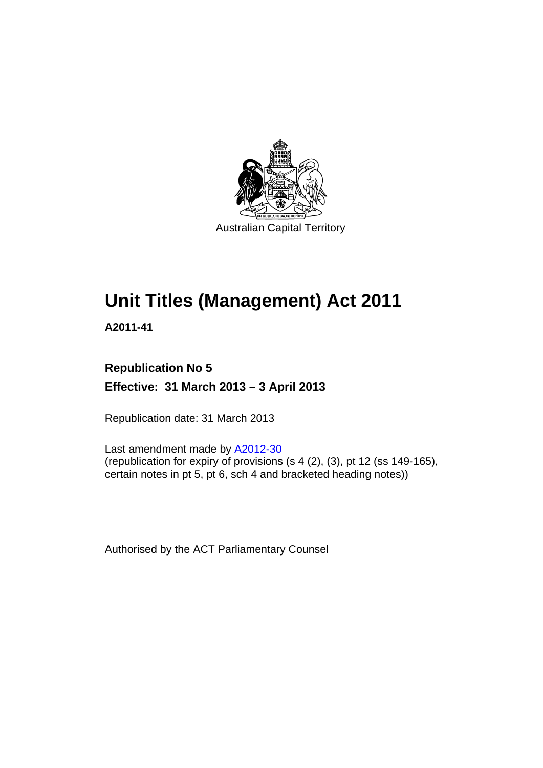

# **Unit Titles (Management) Act 2011**

**A2011-41** 

### **Republication No 5 Effective: 31 March 2013 – 3 April 2013**

Republication date: 31 March 2013

Last amendment made by [A2012-30](http://www.legislation.act.gov.au/a/2012-30) (republication for expiry of provisions  $(s 4 (2), (3),$  pt 12 (ss 149-165), certain notes in pt 5, pt 6, sch 4 and bracketed heading notes))

Authorised by the ACT Parliamentary Counsel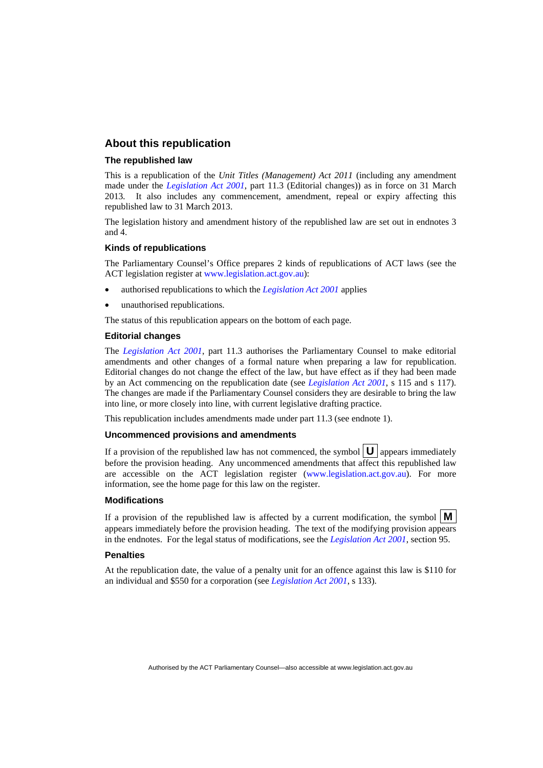#### **About this republication**

#### **The republished law**

This is a republication of the *Unit Titles (Management) Act 2011* (including any amendment made under the *[Legislation Act 2001](http://www.legislation.act.gov.au/a/2001-14)*, part 11.3 (Editorial changes)) as in force on 31 March 2013*.* It also includes any commencement, amendment, repeal or expiry affecting this republished law to 31 March 2013.

The legislation history and amendment history of the republished law are set out in endnotes 3 and 4.

#### **Kinds of republications**

The Parliamentary Counsel's Office prepares 2 kinds of republications of ACT laws (see the ACT legislation register at [www.legislation.act.gov.au](http://www.legislation.act.gov.au/)):

- authorised republications to which the *[Legislation Act 2001](http://www.legislation.act.gov.au/a/2001-14)* applies
- unauthorised republications.

The status of this republication appears on the bottom of each page.

#### **Editorial changes**

The *[Legislation Act 2001](http://www.legislation.act.gov.au/a/2001-14)*, part 11.3 authorises the Parliamentary Counsel to make editorial amendments and other changes of a formal nature when preparing a law for republication. Editorial changes do not change the effect of the law, but have effect as if they had been made by an Act commencing on the republication date (see *[Legislation Act 2001](http://www.legislation.act.gov.au/a/2001-14)*, s 115 and s 117). The changes are made if the Parliamentary Counsel considers they are desirable to bring the law into line, or more closely into line, with current legislative drafting practice.

This republication includes amendments made under part 11.3 (see endnote 1).

#### **Uncommenced provisions and amendments**

If a provision of the republished law has not commenced, the symbol  $\mathbf{U}$  appears immediately before the provision heading. Any uncommenced amendments that affect this republished law are accessible on the ACT legislation register [\(www.legislation.act.gov.au\)](http://www.legislation.act.gov.au/). For more information, see the home page for this law on the register.

#### **Modifications**

If a provision of the republished law is affected by a current modification, the symbol  $\mathbf{M}$ appears immediately before the provision heading. The text of the modifying provision appears in the endnotes. For the legal status of modifications, see the *[Legislation Act 2001](http://www.legislation.act.gov.au/a/2001-14)*, section 95.

#### **Penalties**

At the republication date, the value of a penalty unit for an offence against this law is \$110 for an individual and \$550 for a corporation (see *[Legislation Act 2001](http://www.legislation.act.gov.au/a/2001-14)*, s 133).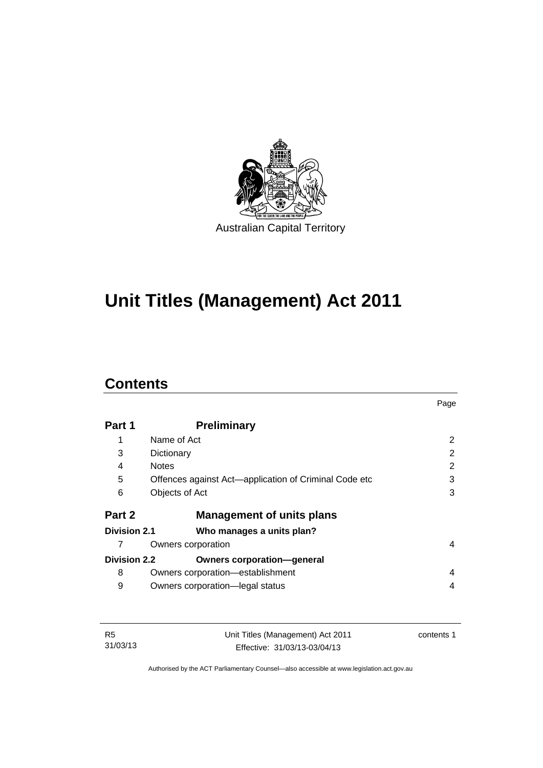

# **Unit Titles (Management) Act 2011**

### **Contents**

|                     |                                                       | Page |
|---------------------|-------------------------------------------------------|------|
| Part 1              | <b>Preliminary</b>                                    |      |
| 1                   | Name of Act                                           | 2    |
| 3                   | Dictionary                                            | 2    |
| 4                   | <b>Notes</b>                                          | 2    |
| 5                   | Offences against Act—application of Criminal Code etc | 3    |
| 6                   | Objects of Act                                        | 3    |
| Part 2              | <b>Management of units plans</b>                      |      |
| Division 2.1        | Who manages a units plan?                             |      |
|                     | Owners corporation                                    | 4    |
| <b>Division 2.2</b> | <b>Owners corporation-general</b>                     |      |
| 8                   | Owners corporation-establishment                      | 4    |
| 9                   | Owners corporation-legal status                       | 4    |

| - R5     | Unit Titles (Management) Act 2011 | contents 1 |
|----------|-----------------------------------|------------|
| 31/03/13 | Effective: 31/03/13-03/04/13      |            |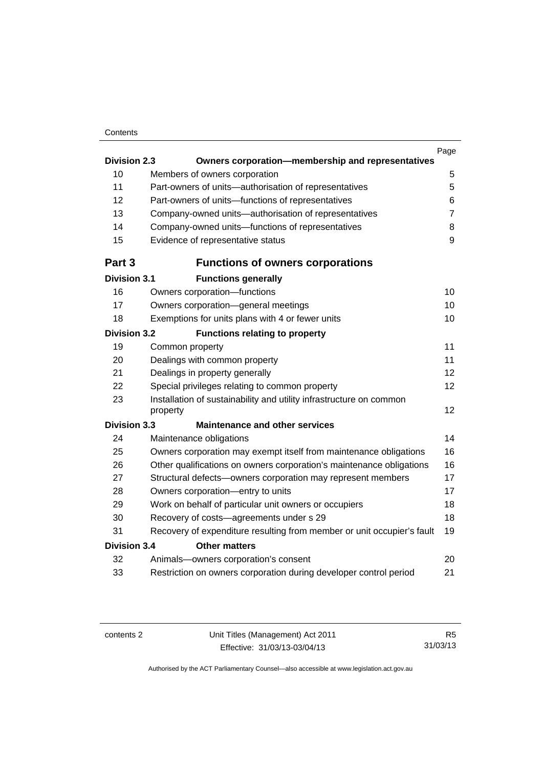#### **Contents**

|                     |                                                                                 | Page           |
|---------------------|---------------------------------------------------------------------------------|----------------|
| <b>Division 2.3</b> | Owners corporation-membership and representatives                               |                |
| 10                  | Members of owners corporation                                                   | 5              |
| 11                  | Part-owners of units-authorisation of representatives                           | 5              |
| 12                  | Part-owners of units-functions of representatives                               | 6              |
| 13                  | Company-owned units-authorisation of representatives                            | $\overline{7}$ |
| 14                  | Company-owned units-functions of representatives                                | 8              |
| 15                  | Evidence of representative status                                               | 9              |
| Part 3              | <b>Functions of owners corporations</b>                                         |                |
| <b>Division 3.1</b> | <b>Functions generally</b>                                                      |                |
| 16                  | Owners corporation-functions                                                    | 10             |
| 17                  | Owners corporation-general meetings                                             | 10             |
| 18                  | Exemptions for units plans with 4 or fewer units                                | 10             |
| <b>Division 3.2</b> | <b>Functions relating to property</b>                                           |                |
| 19                  | Common property                                                                 | 11             |
| 20                  | Dealings with common property                                                   | 11             |
| 21                  | Dealings in property generally                                                  | 12             |
| 22                  | Special privileges relating to common property                                  | 12             |
| 23                  | Installation of sustainability and utility infrastructure on common<br>property | 12             |
| <b>Division 3.3</b> | <b>Maintenance and other services</b>                                           |                |
| 24                  | Maintenance obligations                                                         | 14             |
| 25                  | Owners corporation may exempt itself from maintenance obligations               | 16             |
| 26                  | Other qualifications on owners corporation's maintenance obligations            | 16             |
| 27                  | Structural defects-owners corporation may represent members                     | 17             |
| 28                  | Owners corporation-entry to units                                               | 17             |
| 29                  | Work on behalf of particular unit owners or occupiers                           | 18             |
| 30                  | Recovery of costs-agreements under s 29                                         | 18             |
| 31                  | Recovery of expenditure resulting from member or unit occupier's fault          | 19             |
| <b>Division 3.4</b> | <b>Other matters</b>                                                            |                |
| 32                  | Animals-owners corporation's consent                                            | 20             |
| 33                  | Restriction on owners corporation during developer control period               | 21             |
|                     |                                                                                 |                |

R5 31/03/13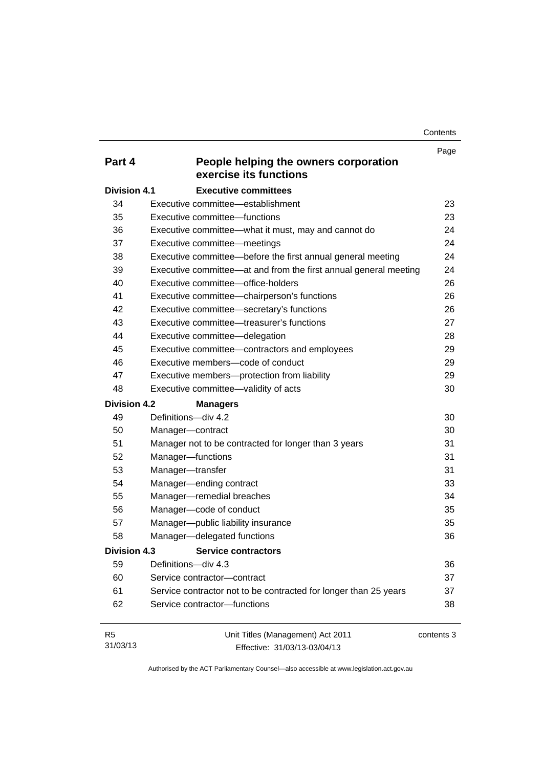**Contents** 

|                     |                                                                  | Page       |
|---------------------|------------------------------------------------------------------|------------|
| Part 4              | People helping the owners corporation<br>exercise its functions  |            |
| <b>Division 4.1</b> | <b>Executive committees</b>                                      |            |
| 34                  | Executive committee-establishment                                | 23         |
| 35                  | Executive committee-functions                                    | 23         |
| 36                  | Executive committee-what it must, may and cannot do              | 24         |
| 37                  | Executive committee-meetings                                     | 24         |
| 38                  | Executive committee—before the first annual general meeting      | 24         |
| 39                  | Executive committee—at and from the first annual general meeting | 24         |
| 40                  | Executive committee-office-holders                               | 26         |
| 41                  | Executive committee-chairperson's functions                      | 26         |
| 42                  | Executive committee-secretary's functions                        | 26         |
| 43                  | Executive committee—treasurer's functions                        | 27         |
| 44                  | Executive committee-delegation                                   | 28         |
| 45                  | Executive committee-contractors and employees                    | 29         |
| 46                  | Executive members-code of conduct                                | 29         |
| 47                  | Executive members-protection from liability                      | 29         |
| 48                  | Executive committee-validity of acts                             | 30         |
| <b>Division 4.2</b> | <b>Managers</b>                                                  |            |
| 49                  | Definitions-div 4.2                                              | 30         |
| 50                  | Manager-contract                                                 | 30         |
| 51                  | Manager not to be contracted for longer than 3 years             | 31         |
| 52                  | Manager-functions                                                | 31         |
| 53                  | Manager-transfer                                                 | 31         |
| 54                  | Manager-ending contract                                          | 33         |
| 55                  | Manager-remedial breaches                                        | 34         |
| 56                  | Manager-code of conduct                                          | 35         |
| 57                  | Manager-public liability insurance                               | 35         |
| 58                  | Manager-delegated functions                                      | 36         |
| Division 4.3        | <b>Service contractors</b>                                       |            |
| 59                  | Definitions-div 4.3                                              | 36         |
| 60                  | Service contractor-contract                                      | 37         |
| 61                  | Service contractor not to be contracted for longer than 25 years | 37         |
| 62                  | Service contractor-functions                                     | 38         |
| R <sub>5</sub>      | Unit Titles (Management) Act 2011                                | contents 3 |

Effective: 31/03/13-03/04/13

31/03/13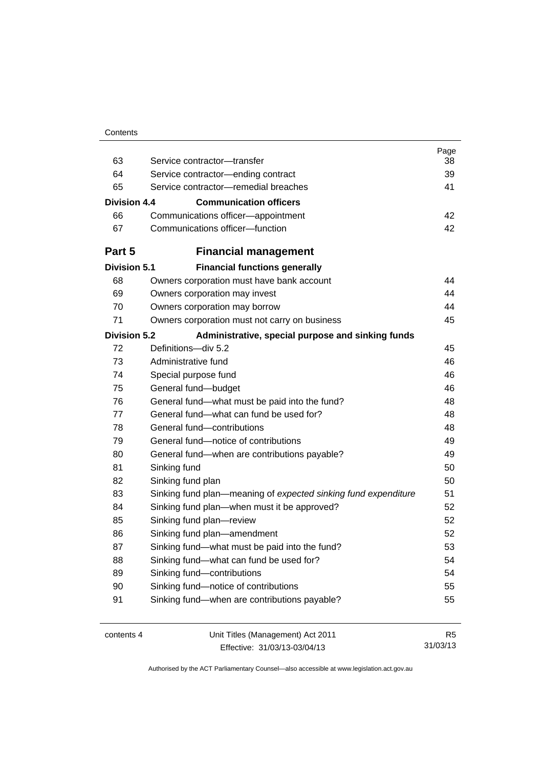| Contents |
|----------|
|----------|

| 63                  | Service contractor-transfer                                    | Page<br>38     |
|---------------------|----------------------------------------------------------------|----------------|
| 64                  | Service contractor-ending contract                             | 39             |
| 65                  | Service contractor-remedial breaches                           | 41             |
| Division 4.4        | <b>Communication officers</b>                                  |                |
|                     |                                                                |                |
| 66                  | Communications officer-appointment                             | 42<br>42       |
| 67                  | Communications officer-function                                |                |
| Part 5              | <b>Financial management</b>                                    |                |
| <b>Division 5.1</b> | <b>Financial functions generally</b>                           |                |
| 68                  | Owners corporation must have bank account                      | 44             |
| 69                  | Owners corporation may invest                                  | 44             |
| 70                  | Owners corporation may borrow                                  | 44             |
| 71                  | Owners corporation must not carry on business                  | 45             |
| <b>Division 5.2</b> | Administrative, special purpose and sinking funds              |                |
| 72                  | Definitions-div 5.2                                            | 45             |
| 73                  | Administrative fund                                            | 46             |
| 74                  | Special purpose fund                                           | 46             |
| 75                  | General fund-budget                                            | 46             |
| 76                  | General fund-what must be paid into the fund?                  | 48             |
| 77                  | General fund—what can fund be used for?                        | 48             |
| 78                  | General fund-contributions                                     | 48             |
| 79                  | General fund-notice of contributions                           | 49             |
| 80                  | General fund—when are contributions payable?                   | 49             |
| 81                  | Sinking fund                                                   | 50             |
| 82                  | Sinking fund plan                                              | 50             |
| 83                  | Sinking fund plan—meaning of expected sinking fund expenditure | 51             |
| 84                  | Sinking fund plan—when must it be approved?                    | 52             |
| 85                  | Sinking fund plan-review                                       | 52             |
| 86                  | Sinking fund plan-amendment                                    | 52             |
| 87                  | Sinking fund-what must be paid into the fund?                  | 53             |
| 88                  | Sinking fund-what can fund be used for?                        | 54             |
| 89                  | Sinking fund-contributions                                     | 54             |
| 90                  | Sinking fund-notice of contributions                           | 55             |
| 91                  | Sinking fund-when are contributions payable?                   | 55             |
| contents 4          | Unit Titles (Management) Act 2011                              | R <sub>5</sub> |

Effective: 31/03/13-03/04/13

31/03/13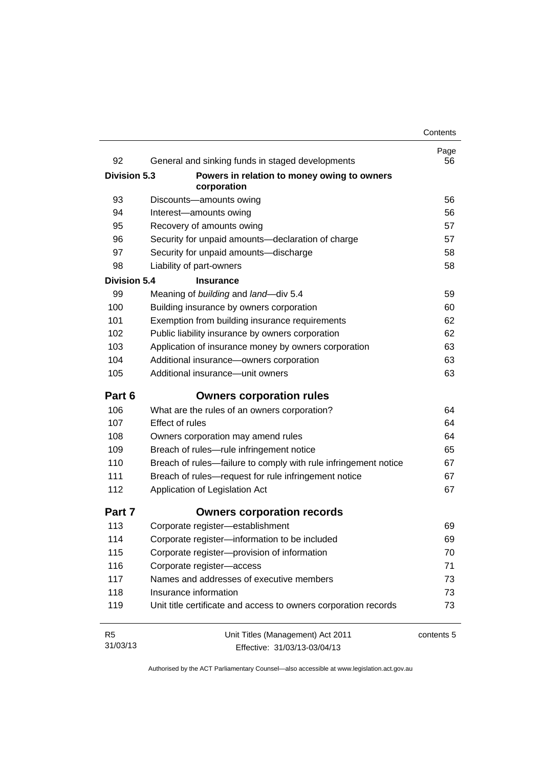| 92                  | General and sinking funds in staged developments                | Page<br>56 |
|---------------------|-----------------------------------------------------------------|------------|
| <b>Division 5.3</b> | Powers in relation to money owing to owners<br>corporation      |            |
| 93                  | Discounts-amounts owing                                         | 56         |
| 94                  | Interest-amounts owing                                          | 56         |
| 95                  | Recovery of amounts owing                                       | 57         |
| 96                  | Security for unpaid amounts-declaration of charge               | 57         |
| 97                  | Security for unpaid amounts-discharge                           | 58         |
| 98                  | Liability of part-owners                                        | 58         |
| <b>Division 5.4</b> | <b>Insurance</b>                                                |            |
| 99                  | Meaning of building and land-div 5.4                            | 59         |
| 100                 | Building insurance by owners corporation                        | 60         |
| 101                 | Exemption from building insurance requirements                  | 62         |
| 102                 | Public liability insurance by owners corporation                | 62         |
| 103                 | Application of insurance money by owners corporation            | 63         |
| 104                 | Additional insurance-owners corporation                         | 63         |
| 105                 | Additional insurance-unit owners                                | 63         |
| Part 6              | <b>Owners corporation rules</b>                                 |            |
| 106                 | What are the rules of an owners corporation?                    | 64         |
| 107                 | <b>Effect of rules</b>                                          | 64         |
| 108                 | Owners corporation may amend rules                              | 64         |
| 109                 | Breach of rules-rule infringement notice                        | 65         |
| 110                 | Breach of rules—failure to comply with rule infringement notice | 67         |
| 111                 | Breach of rules-request for rule infringement notice            | 67         |
| 112                 | Application of Legislation Act                                  | 67         |
| Part 7              | <b>Owners corporation records</b>                               |            |
| 113                 | Corporate register-establishment                                | 69         |
| 114                 | Corporate register-information to be included                   | 69         |
| 115                 | Corporate register-provision of information                     | 70         |
| 116                 | Corporate register-access                                       | 71         |
| 117                 | Names and addresses of executive members                        | 73         |
| 118                 | Insurance information                                           | 73         |
| 119                 | Unit title certificate and access to owners corporation records | 73         |
| R <sub>5</sub>      | Unit Titles (Management) Act 2011                               | contents 5 |
| 31/03/13            | Effective: 31/03/13-03/04/13                                    |            |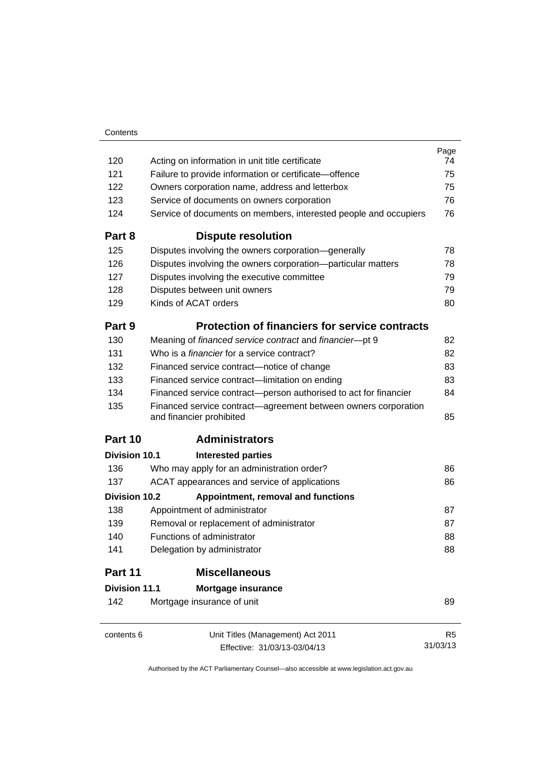|                                                                  | Page                                                                                                                                                                                                                                                                                              |
|------------------------------------------------------------------|---------------------------------------------------------------------------------------------------------------------------------------------------------------------------------------------------------------------------------------------------------------------------------------------------|
| Acting on information in unit title certificate                  | 74                                                                                                                                                                                                                                                                                                |
| Failure to provide information or certificate-offence            | 75                                                                                                                                                                                                                                                                                                |
| Owners corporation name, address and letterbox                   | 75                                                                                                                                                                                                                                                                                                |
| Service of documents on owners corporation                       | 76                                                                                                                                                                                                                                                                                                |
|                                                                  | 76                                                                                                                                                                                                                                                                                                |
| <b>Dispute resolution</b>                                        |                                                                                                                                                                                                                                                                                                   |
| Disputes involving the owners corporation-generally              | 78                                                                                                                                                                                                                                                                                                |
| Disputes involving the owners corporation-particular matters     | 78                                                                                                                                                                                                                                                                                                |
| Disputes involving the executive committee                       | 79                                                                                                                                                                                                                                                                                                |
| Disputes between unit owners                                     | 79                                                                                                                                                                                                                                                                                                |
| Kinds of ACAT orders                                             | 80                                                                                                                                                                                                                                                                                                |
|                                                                  |                                                                                                                                                                                                                                                                                                   |
| Meaning of financed service contract and financier-pt 9          | 82                                                                                                                                                                                                                                                                                                |
| Who is a <i>financier</i> for a service contract?                | 82                                                                                                                                                                                                                                                                                                |
| Financed service contract-notice of change                       | 83                                                                                                                                                                                                                                                                                                |
| Financed service contract-limitation on ending                   | 83                                                                                                                                                                                                                                                                                                |
| Financed service contract-person authorised to act for financier | 84                                                                                                                                                                                                                                                                                                |
| and financier prohibited                                         | 85                                                                                                                                                                                                                                                                                                |
| <b>Administrators</b>                                            |                                                                                                                                                                                                                                                                                                   |
| <b>Interested parties</b>                                        |                                                                                                                                                                                                                                                                                                   |
| Who may apply for an administration order?                       | 86                                                                                                                                                                                                                                                                                                |
| ACAT appearances and service of applications                     | 86                                                                                                                                                                                                                                                                                                |
| Appointment, removal and functions                               |                                                                                                                                                                                                                                                                                                   |
| Appointment of administrator                                     | 87                                                                                                                                                                                                                                                                                                |
| Removal or replacement of administrator                          | 87                                                                                                                                                                                                                                                                                                |
| Functions of administrator                                       | 88                                                                                                                                                                                                                                                                                                |
| Delegation by administrator                                      | 88                                                                                                                                                                                                                                                                                                |
| <b>Miscellaneous</b>                                             |                                                                                                                                                                                                                                                                                                   |
| Mortgage insurance                                               |                                                                                                                                                                                                                                                                                                   |
| Mortgage insurance of unit                                       | 89                                                                                                                                                                                                                                                                                                |
|                                                                  | R <sub>5</sub>                                                                                                                                                                                                                                                                                    |
| Effective: 31/03/13-03/04/13                                     | 31/03/13                                                                                                                                                                                                                                                                                          |
|                                                                  | Service of documents on members, interested people and occupiers<br><b>Protection of financiers for service contracts</b><br>Financed service contract—agreement between owners corporation<br>Division 10.1<br><b>Division 10.2</b><br><b>Division 11.1</b><br>Unit Titles (Management) Act 2011 |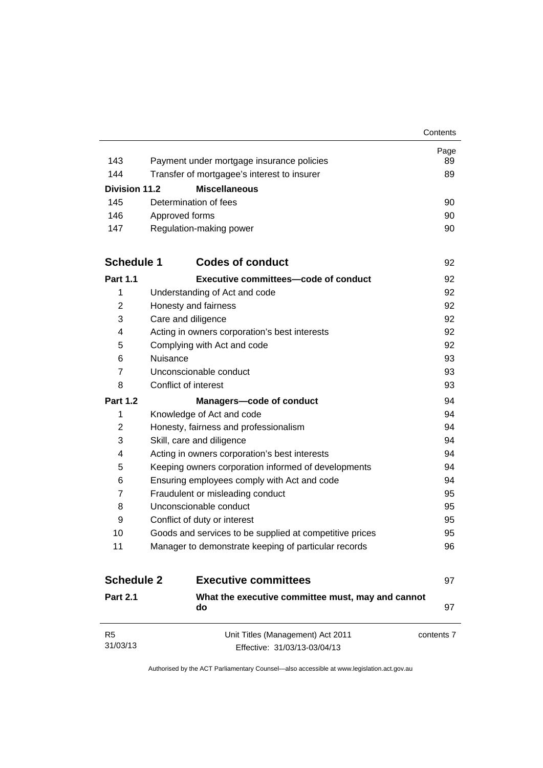|                      |                                                         | Contents   |
|----------------------|---------------------------------------------------------|------------|
|                      |                                                         | Page       |
| 143                  | Payment under mortgage insurance policies               | 89         |
| 144                  | Transfer of mortgagee's interest to insurer             | 89         |
| <b>Division 11.2</b> | <b>Miscellaneous</b>                                    |            |
| 145                  | Determination of fees                                   | 90         |
| 146                  | Approved forms                                          | 90         |
| 147                  | Regulation-making power                                 | 90         |
| <b>Schedule 1</b>    | <b>Codes of conduct</b>                                 | 92         |
| <b>Part 1.1</b>      | Executive committees—code of conduct                    | 92         |
| 1                    | Understanding of Act and code                           | 92         |
| 2                    | Honesty and fairness                                    | 92         |
| 3                    | Care and diligence                                      | 92         |
| 4                    | Acting in owners corporation's best interests           | 92         |
| 5                    | Complying with Act and code                             | 92         |
| 6                    | Nuisance                                                | 93         |
| $\overline{7}$       | Unconscionable conduct                                  | 93         |
| 8                    | Conflict of interest                                    | 93         |
| <b>Part 1.2</b>      | <b>Managers-code of conduct</b>                         | 94         |
| 1                    | Knowledge of Act and code                               | 94         |
| 2                    | Honesty, fairness and professionalism                   | 94         |
| 3                    | Skill, care and diligence                               | 94         |
| 4                    | Acting in owners corporation's best interests           | 94         |
| 5                    | Keeping owners corporation informed of developments     | 94         |
| 6                    | Ensuring employees comply with Act and code             | 94         |
| $\overline{7}$       | Fraudulent or misleading conduct                        | 95         |
| 8                    | Unconscionable conduct                                  | 95         |
| 9                    | Conflict of duty or interest                            | 95         |
| 10                   | Goods and services to be supplied at competitive prices | 95         |
| 11                   | Manager to demonstrate keeping of particular records    | 96         |
| <b>Schedule 2</b>    | <b>Executive committees</b>                             | 97         |
| <b>Part 2.1</b>      | What the executive committee must, may and cannot<br>do | 97         |
| R <sub>5</sub>       | Unit Titles (Management) Act 2011                       | contents 7 |
| 31/03/13             | Effective: 31/03/13-03/04/13                            |            |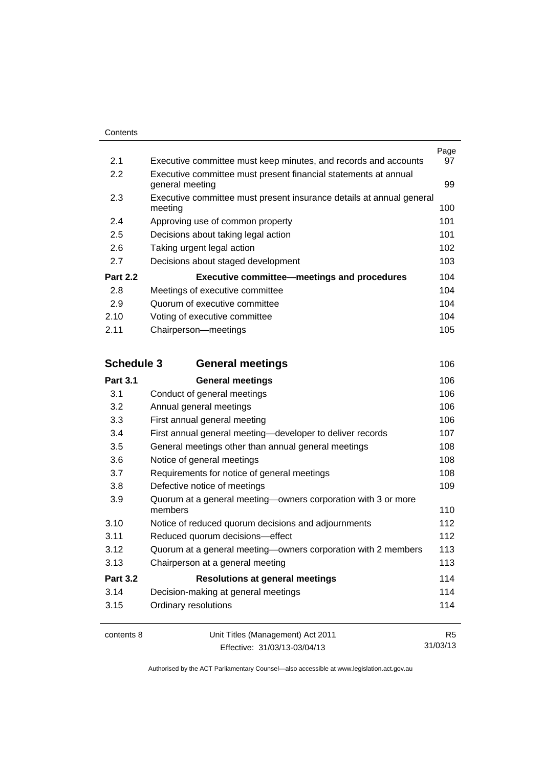| 2.1               | Executive committee must keep minutes, and records and accounts          | Page<br>97     |
|-------------------|--------------------------------------------------------------------------|----------------|
| 2.2               | Executive committee must present financial statements at annual          |                |
|                   | general meeting                                                          | 99             |
| 2.3               | Executive committee must present insurance details at annual general     |                |
|                   | meeting                                                                  | 100            |
| 2.4               | Approving use of common property                                         | 101            |
| 2.5               | Decisions about taking legal action                                      | 101            |
| 2.6               | Taking urgent legal action                                               | 102            |
| 2.7               | Decisions about staged development                                       | 103            |
| <b>Part 2.2</b>   | <b>Executive committee-meetings and procedures</b>                       | 104            |
| 2.8               | Meetings of executive committee                                          | 104            |
| 2.9               | Quorum of executive committee                                            | 104            |
| 2.10              | Voting of executive committee                                            | 104            |
| 2.11              | Chairperson-meetings                                                     | 105            |
| <b>Schedule 3</b> | <b>General meetings</b>                                                  | 106            |
| <b>Part 3.1</b>   | <b>General meetings</b>                                                  | 106            |
| 3.1               | Conduct of general meetings                                              | 106            |
| 3.2               | Annual general meetings                                                  | 106            |
| 3.3               | First annual general meeting                                             | 106            |
| 3.4               | First annual general meeting-developer to deliver records                | 107            |
| 3.5               | General meetings other than annual general meetings                      | 108            |
| 3.6               | Notice of general meetings                                               | 108            |
| 3.7               | Requirements for notice of general meetings                              | 108            |
| 3.8               | Defective notice of meetings                                             | 109            |
| 3.9               | Quorum at a general meeting-owners corporation with 3 or more<br>members | 110            |
| 3.10              | Notice of reduced quorum decisions and adjournments                      | 112            |
| 3.11              | Reduced quorum decisions-effect                                          | 112            |
| 3.12              | Quorum at a general meeting-owners corporation with 2 members            | 113            |
| 3.13              | Chairperson at a general meeting                                         | 113            |
| <b>Part 3.2</b>   | <b>Resolutions at general meetings</b>                                   | 114            |
| 3.14              | Decision-making at general meetings                                      | 114            |
| 3.15              | Ordinary resolutions                                                     | 114            |
| contents 8        | Unit Titles (Management) Act 2011                                        | R <sub>5</sub> |

Effective: 31/03/13-03/04/13

31/03/13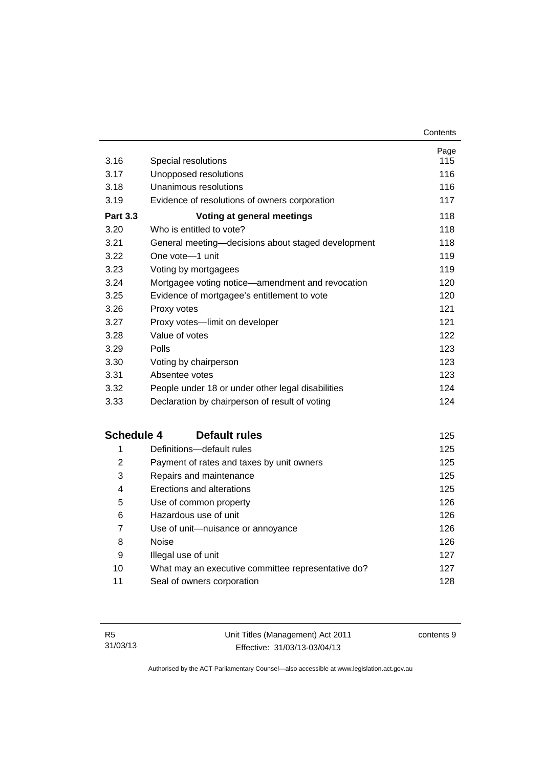| 3.16              | Special resolutions                                | Page<br>115 |
|-------------------|----------------------------------------------------|-------------|
| 3.17              | Unopposed resolutions                              | 116         |
| 3.18              | Unanimous resolutions                              | 116         |
| 3.19              | Evidence of resolutions of owners corporation      | 117         |
| <b>Part 3.3</b>   | Voting at general meetings                         | 118         |
| 3.20              | Who is entitled to vote?                           | 118         |
| 3.21              | General meeting-decisions about staged development | 118         |
| 3.22              | One vote-1 unit                                    | 119         |
| 3.23              | Voting by mortgagees                               | 119         |
| 3.24              | Mortgagee voting notice-amendment and revocation   | 120         |
| 3.25              | Evidence of mortgagee's entitlement to vote        | 120         |
| 3.26              | Proxy votes                                        | 121         |
| 3.27              | Proxy votes-limit on developer                     | 121         |
| 3.28              | Value of votes                                     | 122         |
| 3.29              | Polls                                              | 123         |
| 3.30              | Voting by chairperson                              | 123         |
| 3.31              | Absentee votes                                     | 123         |
| 3.32              | People under 18 or under other legal disabilities  | 124         |
| 3.33              | Declaration by chairperson of result of voting     | 124         |
| <b>Schedule 4</b> | <b>Default rules</b>                               | 125         |
| 1                 | Definitions-default rules                          | 125         |
| $\overline{2}$    | Payment of rates and taxes by unit owners          | 125         |
| 3                 | Repairs and maintenance                            | 125         |
| 4                 | Erections and alterations                          | 125         |
| 5                 | Use of common property                             | 126         |
| 6                 | Hazardous use of unit                              | 126         |
| 7                 | Use of unit-nuisance or annoyance                  | 126         |
| 8                 | <b>Noise</b>                                       | 126         |
| 9                 | Illegal use of unit                                | 127         |
| 10                | What may an executive committee representative do? | 127         |
| 11                | Seal of owners corporation                         | 128         |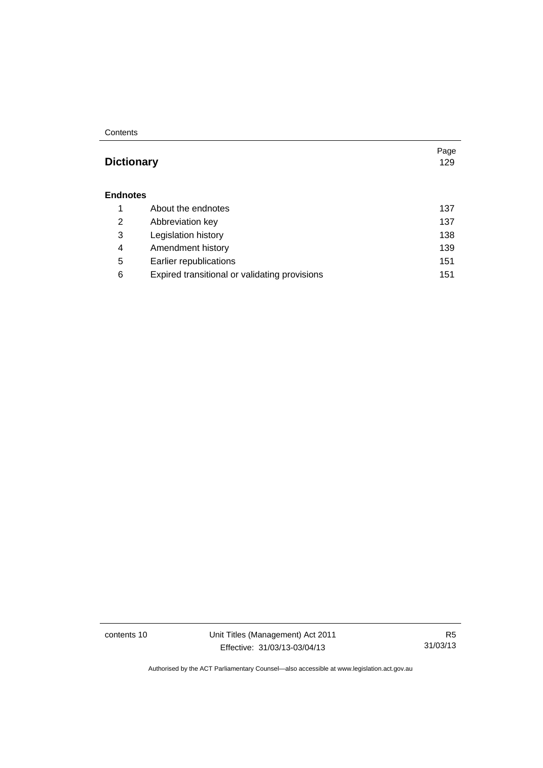#### **Contents**

### **Dictionary** [129](#page-140-0)

#### **[Endnotes](#page-148-0)**

|   | About the endnotes                            | 137 |
|---|-----------------------------------------------|-----|
| 2 | Abbreviation key                              | 137 |
| 3 | Legislation history                           | 138 |
| 4 | Amendment history                             | 139 |
| 5 | Earlier republications                        | 151 |
| 6 | Expired transitional or validating provisions | 151 |

contents 10 Unit Titles (Management) Act 2011 Effective: 31/03/13-03/04/13

R5 31/03/13

Page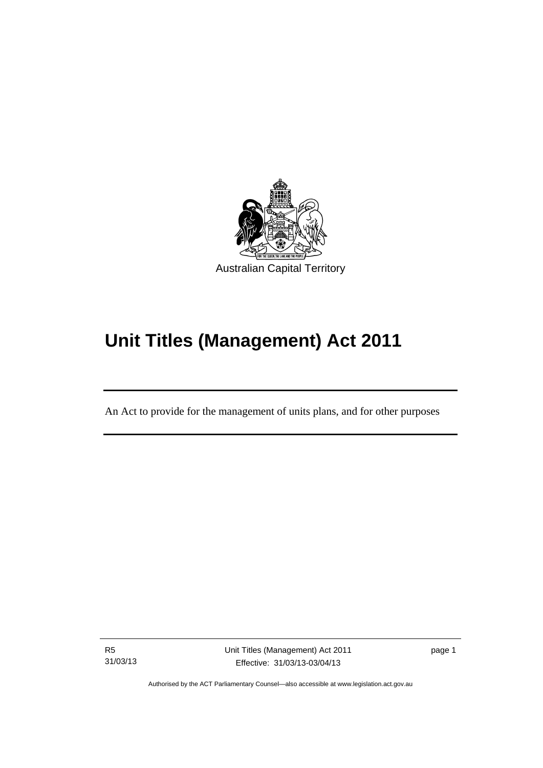

# **Unit Titles (Management) Act 2011**

An Act to provide for the management of units plans, and for other purposes

R5 31/03/13

Ī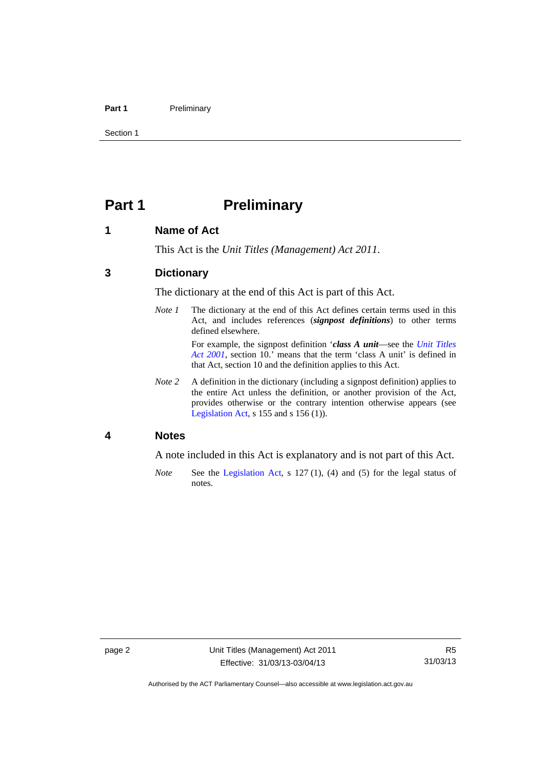#### Part 1 **Preliminary**

Section 1

### <span id="page-13-0"></span>**Part 1** Preliminary

#### <span id="page-13-1"></span>**1 Name of Act**

This Act is the *Unit Titles (Management) Act 2011*.

#### <span id="page-13-2"></span>**3 Dictionary**

The dictionary at the end of this Act is part of this Act.

*Note 1* The dictionary at the end of this Act defines certain terms used in this Act, and includes references (*signpost definitions*) to other terms defined elsewhere.

> For example, the signpost definition '*class A unit*—see the *[Unit Titles](http://www.legislation.act.gov.au/a/2001-16)  [Act 2001](http://www.legislation.act.gov.au/a/2001-16)*, section 10.' means that the term 'class A unit' is defined in that Act, section 10 and the definition applies to this Act.

*Note 2* A definition in the dictionary (including a signpost definition) applies to the entire Act unless the definition, or another provision of the Act, provides otherwise or the contrary intention otherwise appears (see [Legislation Act,](http://www.legislation.act.gov.au/a/2001-14) s 155 and s 156 (1)).

#### <span id="page-13-3"></span>**4 Notes**

A note included in this Act is explanatory and is not part of this Act.

*Note* See the [Legislation Act,](http://www.legislation.act.gov.au/a/2001-14) s 127 (1), (4) and (5) for the legal status of notes.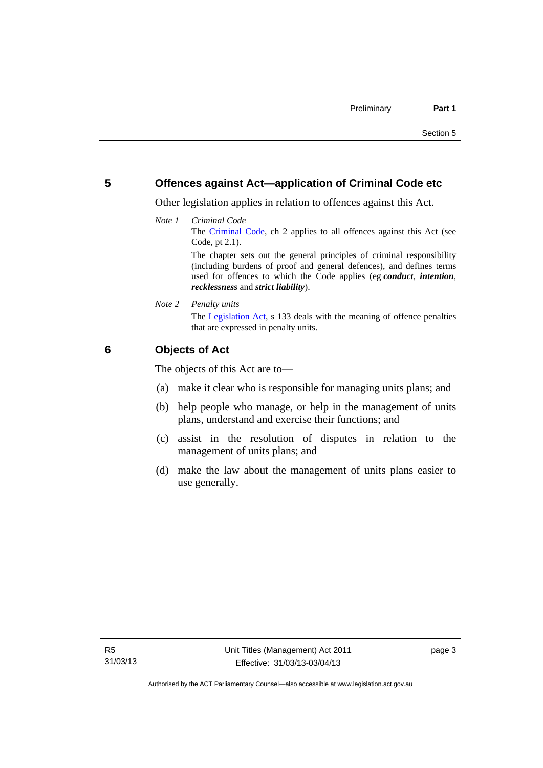#### <span id="page-14-0"></span>**5 Offences against Act—application of Criminal Code etc**

Other legislation applies in relation to offences against this Act.

*Note 1 Criminal Code* The [Criminal Code](http://www.legislation.act.gov.au/a/2002-51), ch 2 applies to all offences against this Act (see Code, pt 2.1). The chapter sets out the general principles of criminal responsibility

(including burdens of proof and general defences), and defines terms used for offences to which the Code applies (eg *conduct*, *intention*, *recklessness* and *strict liability*).

*Note 2 Penalty units* 

The [Legislation Act](http://www.legislation.act.gov.au/a/2001-14), s 133 deals with the meaning of offence penalties that are expressed in penalty units.

#### <span id="page-14-1"></span>**6 Objects of Act**

The objects of this Act are to—

- (a) make it clear who is responsible for managing units plans; and
- (b) help people who manage, or help in the management of units plans, understand and exercise their functions; and
- (c) assist in the resolution of disputes in relation to the management of units plans; and
- (d) make the law about the management of units plans easier to use generally.

page 3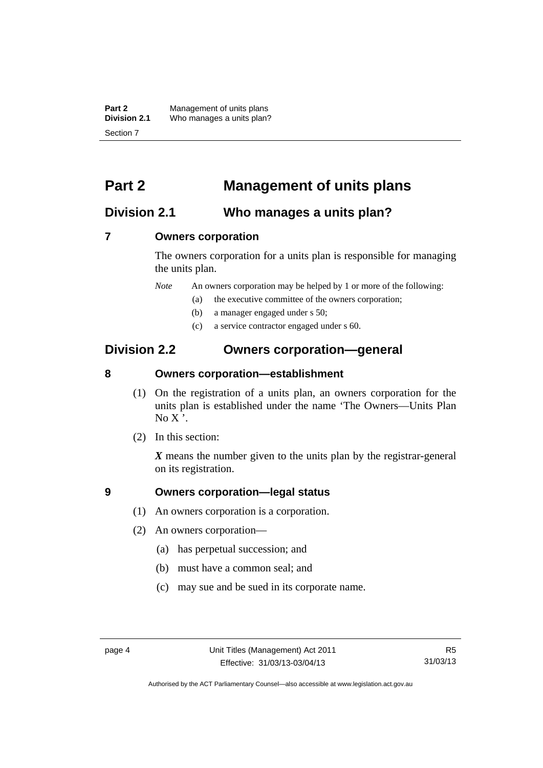**Part 2** Management of units plans<br>**Division 2.1** Who manages a units plan? Who manages a units plan? Section 7

### <span id="page-15-0"></span>**Part 2 Management of units plans**

### <span id="page-15-1"></span>**Division 2.1 Who manages a units plan?**

#### <span id="page-15-2"></span>**7 Owners corporation**

The owners corporation for a units plan is responsible for managing the units plan.

*Note* An owners corporation may be helped by 1 or more of the following:

- (a) the executive committee of the owners corporation;
- (b) a manager engaged under s 50;
- (c) a service contractor engaged under s 60.

### <span id="page-15-3"></span>**Division 2.2 Owners corporation—general**

#### <span id="page-15-4"></span>**8 Owners corporation—establishment**

- (1) On the registration of a units plan, an owners corporation for the units plan is established under the name 'The Owners—Units Plan  $No X'.$
- (2) In this section:

*X* means the number given to the units plan by the registrar-general on its registration.

#### <span id="page-15-5"></span>**9 Owners corporation—legal status**

- (1) An owners corporation is a corporation.
- (2) An owners corporation—
	- (a) has perpetual succession; and
	- (b) must have a common seal; and
	- (c) may sue and be sued in its corporate name.

Authorised by the ACT Parliamentary Counsel—also accessible at www.legislation.act.gov.au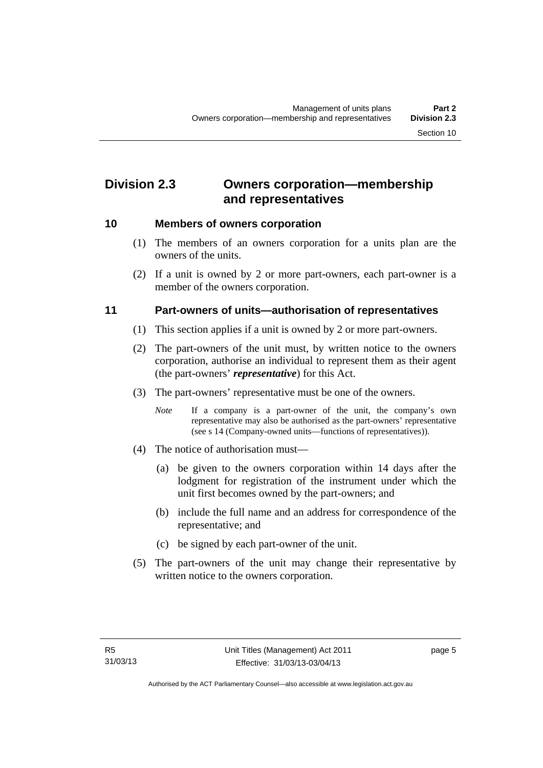### <span id="page-16-0"></span>**Division 2.3 Owners corporation—membership and representatives**

#### <span id="page-16-1"></span>**10 Members of owners corporation**

- (1) The members of an owners corporation for a units plan are the owners of the units.
- (2) If a unit is owned by 2 or more part-owners, each part-owner is a member of the owners corporation.

#### <span id="page-16-2"></span>**11 Part-owners of units—authorisation of representatives**

- (1) This section applies if a unit is owned by 2 or more part-owners.
- (2) The part-owners of the unit must, by written notice to the owners corporation, authorise an individual to represent them as their agent (the part-owners' *representative*) for this Act.
- (3) The part-owners' representative must be one of the owners.
	- *Note* If a company is a part-owner of the unit, the company's own representative may also be authorised as the part-owners' representative (see s 14 (Company-owned units—functions of representatives)).
- (4) The notice of authorisation must—
	- (a) be given to the owners corporation within 14 days after the lodgment for registration of the instrument under which the unit first becomes owned by the part-owners; and
	- (b) include the full name and an address for correspondence of the representative; and
	- (c) be signed by each part-owner of the unit.
- (5) The part-owners of the unit may change their representative by written notice to the owners corporation.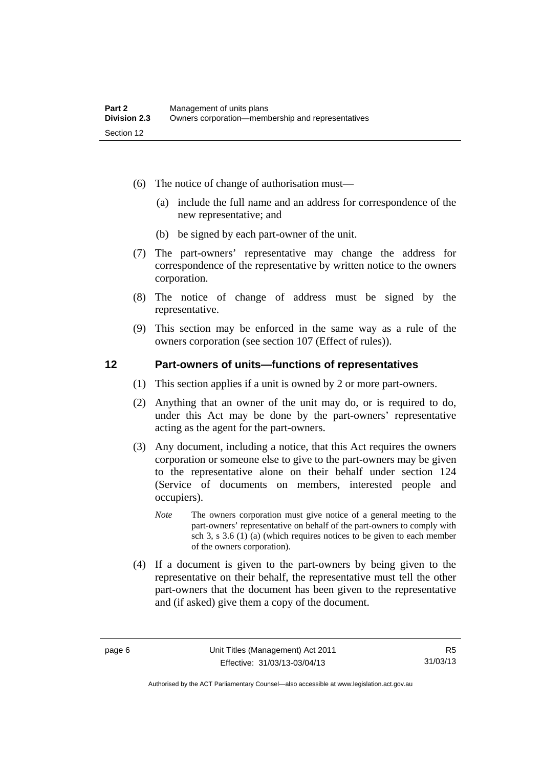- (6) The notice of change of authorisation must—
	- (a) include the full name and an address for correspondence of the new representative; and
	- (b) be signed by each part-owner of the unit.
- (7) The part-owners' representative may change the address for correspondence of the representative by written notice to the owners corporation.
- (8) The notice of change of address must be signed by the representative.
- (9) This section may be enforced in the same way as a rule of the owners corporation (see section 107 (Effect of rules)).

#### <span id="page-17-0"></span>**12 Part-owners of units—functions of representatives**

- (1) This section applies if a unit is owned by 2 or more part-owners.
- (2) Anything that an owner of the unit may do, or is required to do, under this Act may be done by the part-owners' representative acting as the agent for the part-owners.
- (3) Any document, including a notice, that this Act requires the owners corporation or someone else to give to the part-owners may be given to the representative alone on their behalf under section 124 (Service of documents on members, interested people and occupiers).
	- *Note* The owners corporation must give notice of a general meeting to the part-owners' representative on behalf of the part-owners to comply with sch 3, s 3.6 (1) (a) (which requires notices to be given to each member of the owners corporation).
- (4) If a document is given to the part-owners by being given to the representative on their behalf, the representative must tell the other part-owners that the document has been given to the representative and (if asked) give them a copy of the document.

Authorised by the ACT Parliamentary Counsel—also accessible at www.legislation.act.gov.au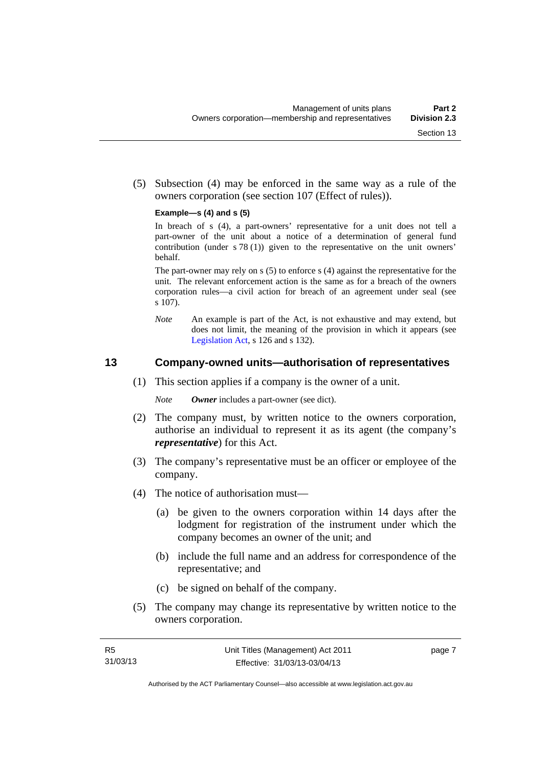(5) Subsection (4) may be enforced in the same way as a rule of the owners corporation (see section 107 (Effect of rules)).

#### **Example—s (4) and s (5)**

In breach of s (4), a part-owners' representative for a unit does not tell a part-owner of the unit about a notice of a determination of general fund contribution (under s 78 (1)) given to the representative on the unit owners' behalf.

The part-owner may rely on s (5) to enforce s (4) against the representative for the unit. The relevant enforcement action is the same as for a breach of the owners corporation rules—a civil action for breach of an agreement under seal (see s 107).

*Note* An example is part of the Act, is not exhaustive and may extend, but does not limit, the meaning of the provision in which it appears (see [Legislation Act,](http://www.legislation.act.gov.au/a/2001-14) s 126 and s 132).

#### <span id="page-18-0"></span>**13 Company-owned units—authorisation of representatives**

(1) This section applies if a company is the owner of a unit.

*Note Owner* includes a part-owner (see dict).

- (2) The company must, by written notice to the owners corporation, authorise an individual to represent it as its agent (the company's *representative*) for this Act.
- (3) The company's representative must be an officer or employee of the company.
- (4) The notice of authorisation must—
	- (a) be given to the owners corporation within 14 days after the lodgment for registration of the instrument under which the company becomes an owner of the unit; and
	- (b) include the full name and an address for correspondence of the representative; and
	- (c) be signed on behalf of the company.
- (5) The company may change its representative by written notice to the owners corporation.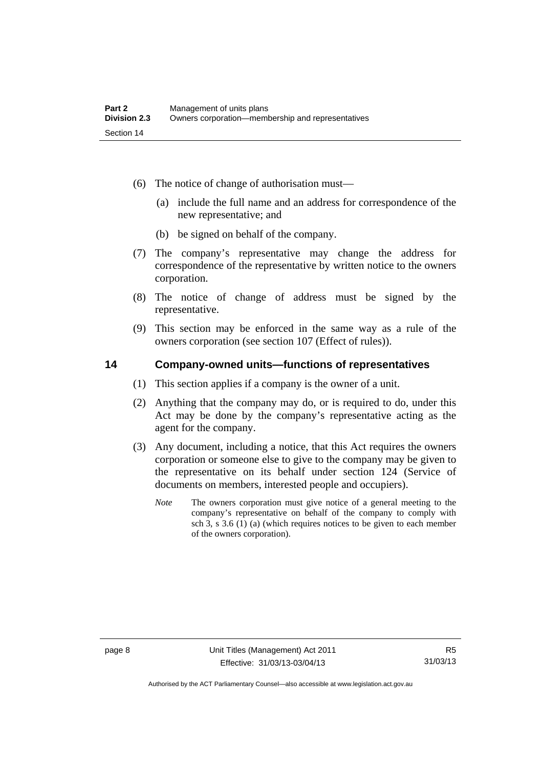- (6) The notice of change of authorisation must—
	- (a) include the full name and an address for correspondence of the new representative; and
	- (b) be signed on behalf of the company.
- (7) The company's representative may change the address for correspondence of the representative by written notice to the owners corporation.
- (8) The notice of change of address must be signed by the representative.
- (9) This section may be enforced in the same way as a rule of the owners corporation (see section 107 (Effect of rules)).

#### <span id="page-19-0"></span>**14 Company-owned units—functions of representatives**

- (1) This section applies if a company is the owner of a unit.
- (2) Anything that the company may do, or is required to do, under this Act may be done by the company's representative acting as the agent for the company.
- (3) Any document, including a notice, that this Act requires the owners corporation or someone else to give to the company may be given to the representative on its behalf under section 124 (Service of documents on members, interested people and occupiers).
	- *Note* The owners corporation must give notice of a general meeting to the company's representative on behalf of the company to comply with sch 3, s 3.6 (1) (a) (which requires notices to be given to each member of the owners corporation).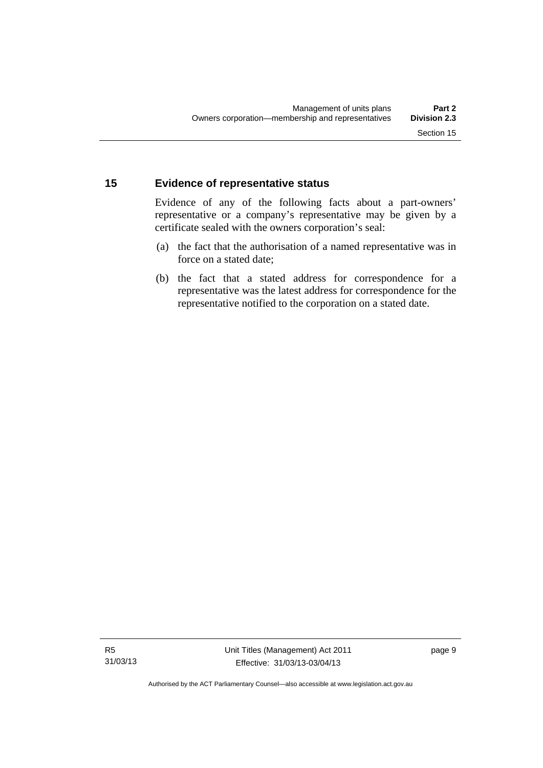#### <span id="page-20-0"></span>**15 Evidence of representative status**

Evidence of any of the following facts about a part-owners' representative or a company's representative may be given by a certificate sealed with the owners corporation's seal:

- (a) the fact that the authorisation of a named representative was in force on a stated date;
- (b) the fact that a stated address for correspondence for a representative was the latest address for correspondence for the representative notified to the corporation on a stated date.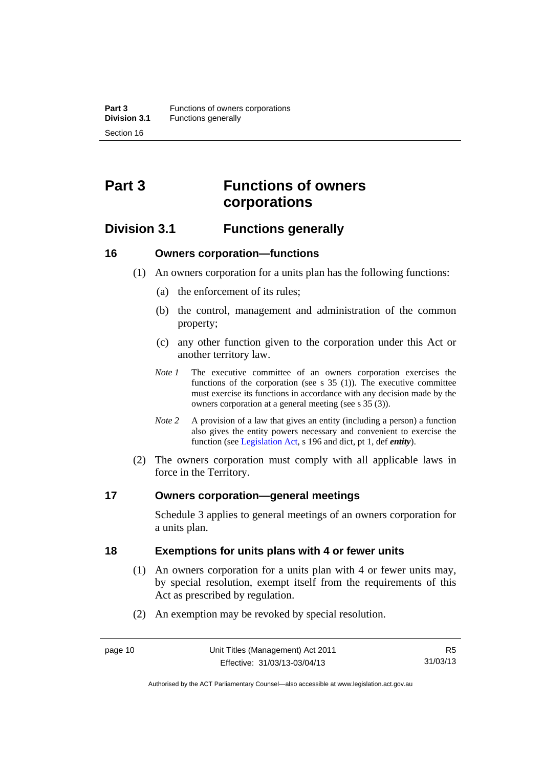## <span id="page-21-0"></span>**Part 3 Functions of owners corporations**

### <span id="page-21-1"></span>**Division 3.1 Functions generally**

#### <span id="page-21-2"></span>**16 Owners corporation—functions**

- (1) An owners corporation for a units plan has the following functions:
	- (a) the enforcement of its rules;
	- (b) the control, management and administration of the common property;
	- (c) any other function given to the corporation under this Act or another territory law.
	- *Note 1* The executive committee of an owners corporation exercises the functions of the corporation (see s  $35$  (1)). The executive committee must exercise its functions in accordance with any decision made by the owners corporation at a general meeting (see s 35 (3)).
	- *Note 2* A provision of a law that gives an entity (including a person) a function also gives the entity powers necessary and convenient to exercise the function (see [Legislation Act](http://www.legislation.act.gov.au/a/2001-14), s 196 and dict, pt 1, def *entity*).
- (2) The owners corporation must comply with all applicable laws in force in the Territory.

#### <span id="page-21-3"></span>**17 Owners corporation—general meetings**

Schedule 3 applies to general meetings of an owners corporation for a units plan.

#### <span id="page-21-4"></span>**18 Exemptions for units plans with 4 or fewer units**

- (1) An owners corporation for a units plan with 4 or fewer units may, by special resolution, exempt itself from the requirements of this Act as prescribed by regulation.
- (2) An exemption may be revoked by special resolution.

Authorised by the ACT Parliamentary Counsel—also accessible at www.legislation.act.gov.au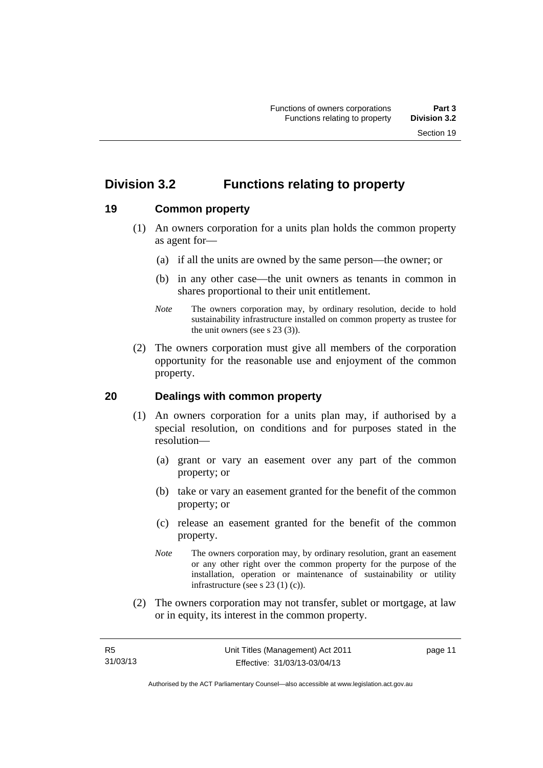### <span id="page-22-0"></span>**Division 3.2 Functions relating to property**

#### <span id="page-22-1"></span>**19 Common property**

- (1) An owners corporation for a units plan holds the common property as agent for—
	- (a) if all the units are owned by the same person—the owner; or
	- (b) in any other case—the unit owners as tenants in common in shares proportional to their unit entitlement.
	- *Note* The owners corporation may, by ordinary resolution, decide to hold sustainability infrastructure installed on common property as trustee for the unit owners (see s 23 (3)).
- (2) The owners corporation must give all members of the corporation opportunity for the reasonable use and enjoyment of the common property.

#### <span id="page-22-2"></span>**20 Dealings with common property**

- (1) An owners corporation for a units plan may, if authorised by a special resolution, on conditions and for purposes stated in the resolution—
	- (a) grant or vary an easement over any part of the common property; or
	- (b) take or vary an easement granted for the benefit of the common property; or
	- (c) release an easement granted for the benefit of the common property.
	- *Note* The owners corporation may, by ordinary resolution, grant an easement or any other right over the common property for the purpose of the installation, operation or maintenance of sustainability or utility infrastructure (see s 23 (1) (c)).
- (2) The owners corporation may not transfer, sublet or mortgage, at law or in equity, its interest in the common property.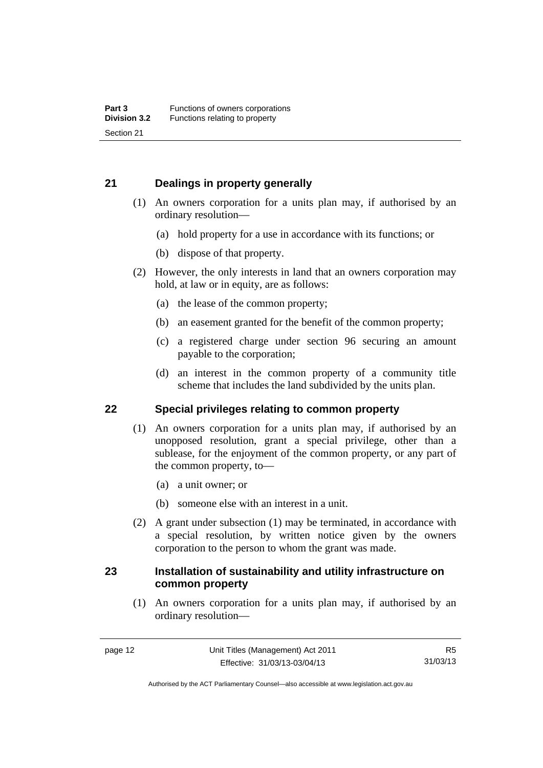#### <span id="page-23-0"></span>**21 Dealings in property generally**

- (1) An owners corporation for a units plan may, if authorised by an ordinary resolution—
	- (a) hold property for a use in accordance with its functions; or
	- (b) dispose of that property.
- (2) However, the only interests in land that an owners corporation may hold, at law or in equity, are as follows:
	- (a) the lease of the common property;
	- (b) an easement granted for the benefit of the common property;
	- (c) a registered charge under section 96 securing an amount payable to the corporation;
	- (d) an interest in the common property of a community title scheme that includes the land subdivided by the units plan.

#### <span id="page-23-1"></span>**22 Special privileges relating to common property**

- (1) An owners corporation for a units plan may, if authorised by an unopposed resolution, grant a special privilege, other than a sublease, for the enjoyment of the common property, or any part of the common property, to—
	- (a) a unit owner; or
	- (b) someone else with an interest in a unit.
- (2) A grant under subsection (1) may be terminated, in accordance with a special resolution, by written notice given by the owners corporation to the person to whom the grant was made.

#### <span id="page-23-2"></span>**23 Installation of sustainability and utility infrastructure on common property**

 (1) An owners corporation for a units plan may, if authorised by an ordinary resolution—

Authorised by the ACT Parliamentary Counsel—also accessible at www.legislation.act.gov.au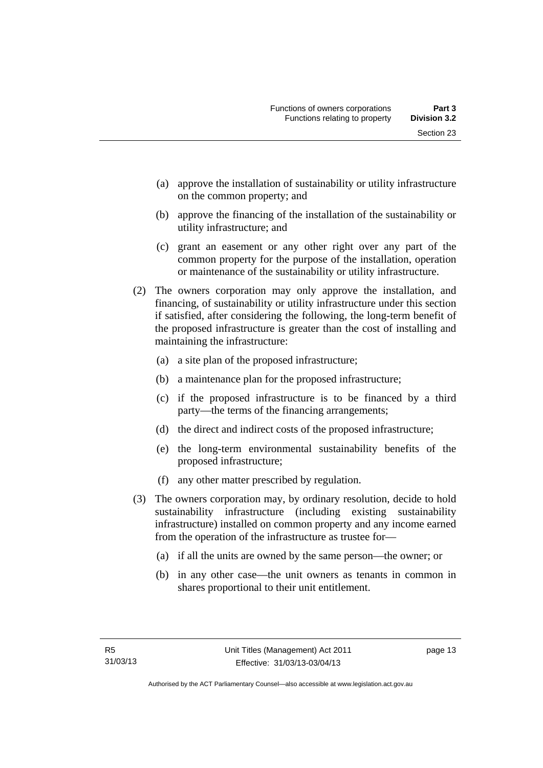- (a) approve the installation of sustainability or utility infrastructure on the common property; and
- (b) approve the financing of the installation of the sustainability or utility infrastructure; and
- (c) grant an easement or any other right over any part of the common property for the purpose of the installation, operation or maintenance of the sustainability or utility infrastructure.
- (2) The owners corporation may only approve the installation, and financing, of sustainability or utility infrastructure under this section if satisfied, after considering the following, the long-term benefit of the proposed infrastructure is greater than the cost of installing and maintaining the infrastructure:
	- (a) a site plan of the proposed infrastructure;
	- (b) a maintenance plan for the proposed infrastructure;
	- (c) if the proposed infrastructure is to be financed by a third party—the terms of the financing arrangements;
	- (d) the direct and indirect costs of the proposed infrastructure;
	- (e) the long-term environmental sustainability benefits of the proposed infrastructure;
	- (f) any other matter prescribed by regulation.
- (3) The owners corporation may, by ordinary resolution, decide to hold sustainability infrastructure (including existing sustainability infrastructure) installed on common property and any income earned from the operation of the infrastructure as trustee for—
	- (a) if all the units are owned by the same person—the owner; or
	- (b) in any other case—the unit owners as tenants in common in shares proportional to their unit entitlement.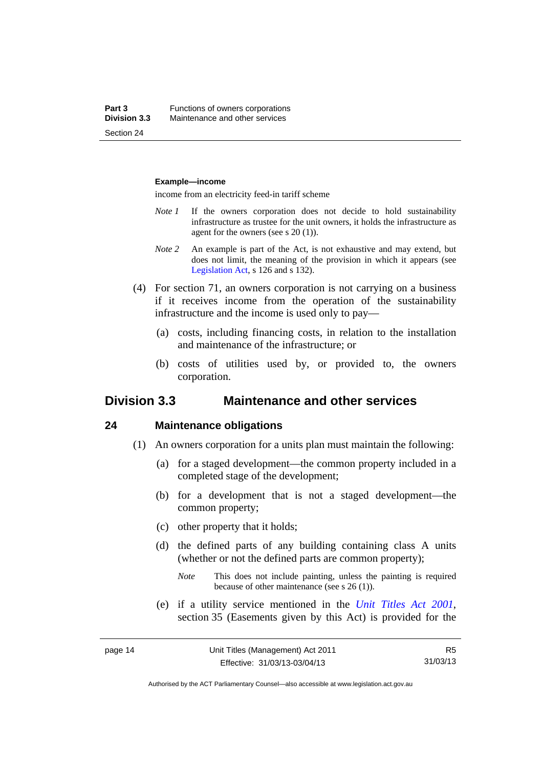#### **Example—income**

income from an electricity feed-in tariff scheme

- *Note 1* If the owners corporation does not decide to hold sustainability infrastructure as trustee for the unit owners, it holds the infrastructure as agent for the owners (see s 20 (1)).
- *Note 2* An example is part of the Act, is not exhaustive and may extend, but does not limit, the meaning of the provision in which it appears (see [Legislation Act,](http://www.legislation.act.gov.au/a/2001-14) s 126 and s 132).
- (4) For section 71, an owners corporation is not carrying on a business if it receives income from the operation of the sustainability infrastructure and the income is used only to pay—
	- (a) costs, including financing costs, in relation to the installation and maintenance of the infrastructure; or
	- (b) costs of utilities used by, or provided to, the owners corporation.

#### <span id="page-25-0"></span>**Division 3.3 Maintenance and other services**

#### <span id="page-25-1"></span>**24 Maintenance obligations**

- (1) An owners corporation for a units plan must maintain the following:
	- (a) for a staged development—the common property included in a completed stage of the development;
	- (b) for a development that is not a staged development—the common property;
	- (c) other property that it holds;
	- (d) the defined parts of any building containing class A units (whether or not the defined parts are common property);
		- *Note* This does not include painting, unless the painting is required because of other maintenance (see s 26 (1)).
	- (e) if a utility service mentioned in the *[Unit Titles Act 2001](http://www.legislation.act.gov.au/a/2001-16)*, section 35 (Easements given by this Act) is provided for the

R5 31/03/13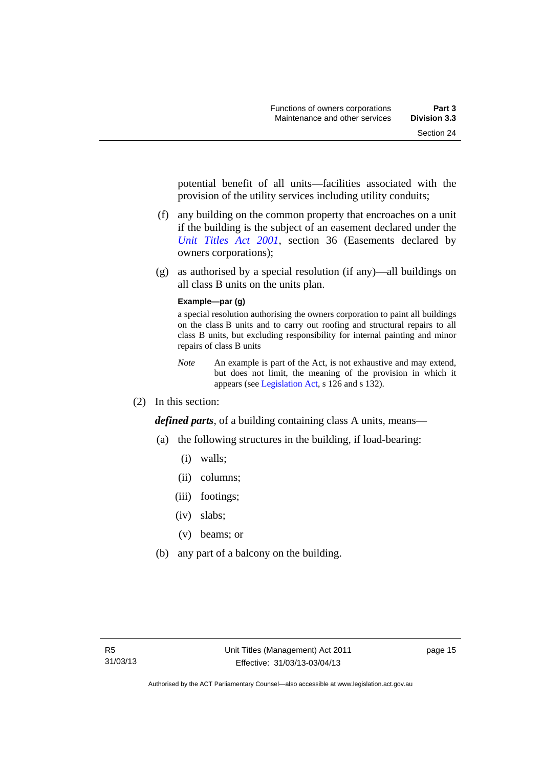potential benefit of all units—facilities associated with the provision of the utility services including utility conduits;

- (f) any building on the common property that encroaches on a unit if the building is the subject of an easement declared under the *[Unit Titles Act 2001](http://www.legislation.act.gov.au/a/2001-16)*, section 36 (Easements declared by owners corporations);
- (g) as authorised by a special resolution (if any)—all buildings on all class B units on the units plan.

#### **Example—par (g)**

a special resolution authorising the owners corporation to paint all buildings on the class B units and to carry out roofing and structural repairs to all class B units, but excluding responsibility for internal painting and minor repairs of class B units

- *Note* An example is part of the Act, is not exhaustive and may extend, but does not limit, the meaning of the provision in which it appears (see [Legislation Act,](http://www.legislation.act.gov.au/a/2001-14) s 126 and s 132).
- (2) In this section:

*defined parts*, of a building containing class A units, means—

- (a) the following structures in the building, if load-bearing:
	- (i) walls;
	- (ii) columns;
	- (iii) footings;
	- (iv) slabs;
	- (v) beams; or
- (b) any part of a balcony on the building.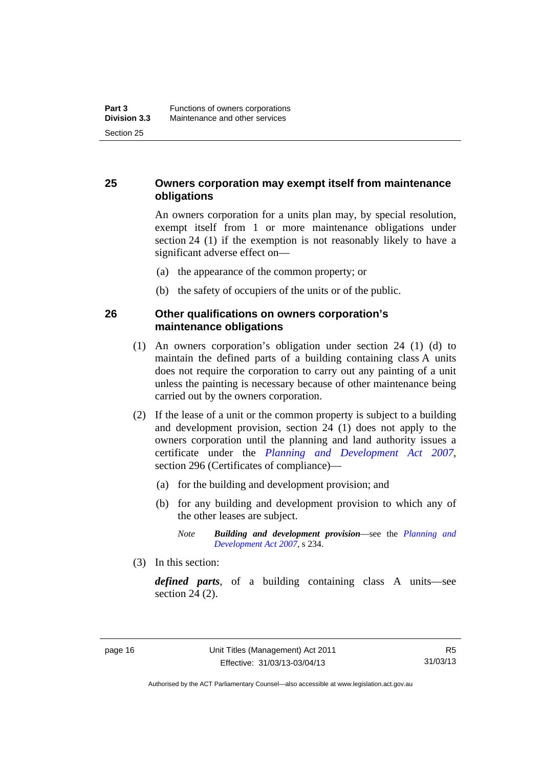#### <span id="page-27-0"></span>**25 Owners corporation may exempt itself from maintenance obligations**

An owners corporation for a units plan may, by special resolution, exempt itself from 1 or more maintenance obligations under section 24 (1) if the exemption is not reasonably likely to have a significant adverse effect on—

- (a) the appearance of the common property; or
- (b) the safety of occupiers of the units or of the public.

#### <span id="page-27-1"></span>**26 Other qualifications on owners corporation's maintenance obligations**

- (1) An owners corporation's obligation under section 24 (1) (d) to maintain the defined parts of a building containing class A units does not require the corporation to carry out any painting of a unit unless the painting is necessary because of other maintenance being carried out by the owners corporation.
- (2) If the lease of a unit or the common property is subject to a building and development provision, section 24 (1) does not apply to the owners corporation until the planning and land authority issues a certificate under the *[Planning and Development Act 2007](http://www.legislation.act.gov.au/a/2007-24)*, section 296 (Certificates of compliance)—
	- (a) for the building and development provision; and
	- (b) for any building and development provision to which any of the other leases are subject.

*Note Building and development provision*—see the *[Planning and](http://www.legislation.act.gov.au/a/2007-24)  [Development Act 2007](http://www.legislation.act.gov.au/a/2007-24)*, s 234.

(3) In this section:

*defined parts*, of a building containing class A units—see section 24 (2).

Authorised by the ACT Parliamentary Counsel—also accessible at www.legislation.act.gov.au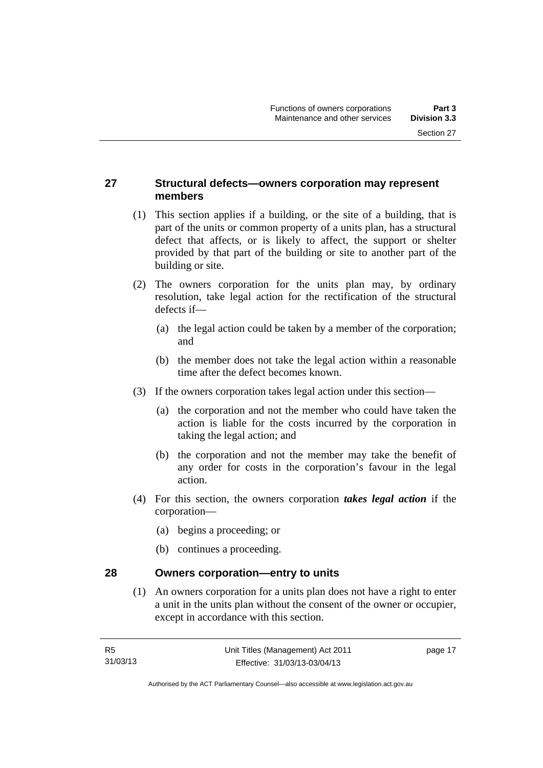#### <span id="page-28-0"></span>**27 Structural defects—owners corporation may represent members**

- (1) This section applies if a building, or the site of a building, that is part of the units or common property of a units plan, has a structural defect that affects, or is likely to affect, the support or shelter provided by that part of the building or site to another part of the building or site.
- (2) The owners corporation for the units plan may, by ordinary resolution, take legal action for the rectification of the structural defects if—
	- (a) the legal action could be taken by a member of the corporation; and
	- (b) the member does not take the legal action within a reasonable time after the defect becomes known.
- (3) If the owners corporation takes legal action under this section—
	- (a) the corporation and not the member who could have taken the action is liable for the costs incurred by the corporation in taking the legal action; and
	- (b) the corporation and not the member may take the benefit of any order for costs in the corporation's favour in the legal action.
- (4) For this section, the owners corporation *takes legal action* if the corporation—
	- (a) begins a proceeding; or
	- (b) continues a proceeding.

#### <span id="page-28-1"></span>**28 Owners corporation—entry to units**

(1) An owners corporation for a units plan does not have a right to enter a unit in the units plan without the consent of the owner or occupier, except in accordance with this section.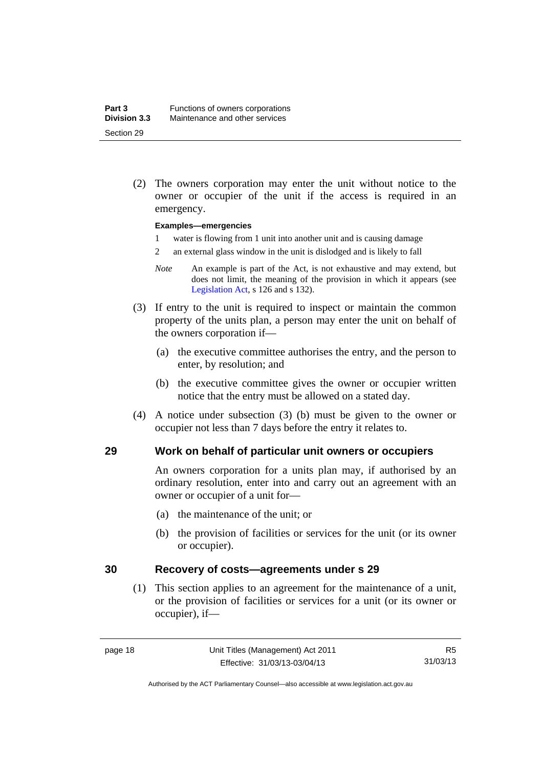(2) The owners corporation may enter the unit without notice to the owner or occupier of the unit if the access is required in an emergency.

#### **Examples—emergencies**

- 1 water is flowing from 1 unit into another unit and is causing damage
- 2 an external glass window in the unit is dislodged and is likely to fall
- *Note* An example is part of the Act, is not exhaustive and may extend, but does not limit, the meaning of the provision in which it appears (see [Legislation Act,](http://www.legislation.act.gov.au/a/2001-14) s 126 and s 132).
- (3) If entry to the unit is required to inspect or maintain the common property of the units plan, a person may enter the unit on behalf of the owners corporation if—
	- (a) the executive committee authorises the entry, and the person to enter, by resolution; and
	- (b) the executive committee gives the owner or occupier written notice that the entry must be allowed on a stated day.
- (4) A notice under subsection (3) (b) must be given to the owner or occupier not less than 7 days before the entry it relates to.

#### <span id="page-29-0"></span>**29 Work on behalf of particular unit owners or occupiers**

An owners corporation for a units plan may, if authorised by an ordinary resolution, enter into and carry out an agreement with an owner or occupier of a unit for—

- (a) the maintenance of the unit; or
- (b) the provision of facilities or services for the unit (or its owner or occupier).

#### <span id="page-29-1"></span>**30 Recovery of costs—agreements under s 29**

(1) This section applies to an agreement for the maintenance of a unit, or the provision of facilities or services for a unit (or its owner or occupier), if—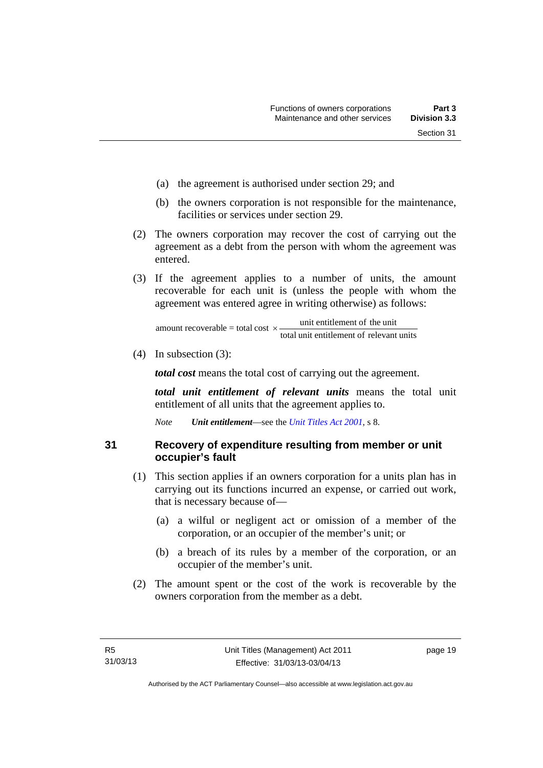- (a) the agreement is authorised under section 29; and
- (b) the owners corporation is not responsible for the maintenance, facilities or services under section 29.
- (2) The owners corporation may recover the cost of carrying out the agreement as a debt from the person with whom the agreement was entered.
- (3) If the agreement applies to a number of units, the amount recoverable for each unit is (unless the people with whom the agreement was entered agree in writing otherwise) as follows:

total unit entitlement of relevant units unit entitlement of the unit amount recoverable = total cost  $\times$ -

(4) In subsection (3):

*total cost* means the total cost of carrying out the agreement.

*total unit entitlement of relevant units* means the total unit entitlement of all units that the agreement applies to.

*Note Unit entitlement*—see the *[Unit Titles Act 2001](http://www.legislation.act.gov.au/a/2001-16)*, s 8.

<span id="page-30-0"></span>**31 Recovery of expenditure resulting from member or unit occupier's fault** 

- (1) This section applies if an owners corporation for a units plan has in carrying out its functions incurred an expense, or carried out work, that is necessary because of—
	- (a) a wilful or negligent act or omission of a member of the corporation, or an occupier of the member's unit; or
	- (b) a breach of its rules by a member of the corporation, or an occupier of the member's unit.
- (2) The amount spent or the cost of the work is recoverable by the owners corporation from the member as a debt.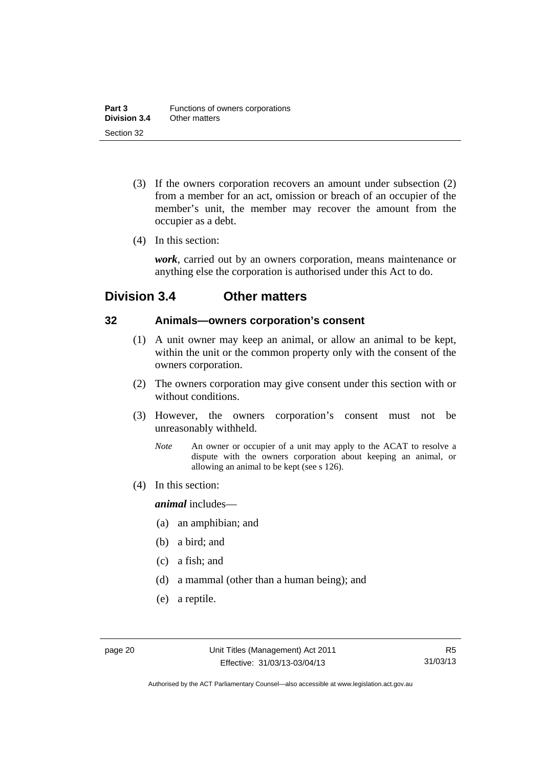- (3) If the owners corporation recovers an amount under subsection (2) from a member for an act, omission or breach of an occupier of the member's unit, the member may recover the amount from the occupier as a debt.
- (4) In this section:

*work*, carried out by an owners corporation, means maintenance or anything else the corporation is authorised under this Act to do.

### <span id="page-31-0"></span>**Division 3.4 Other matters**

#### <span id="page-31-1"></span>**32 Animals—owners corporation's consent**

- (1) A unit owner may keep an animal, or allow an animal to be kept, within the unit or the common property only with the consent of the owners corporation.
- (2) The owners corporation may give consent under this section with or without conditions.
- (3) However, the owners corporation's consent must not be unreasonably withheld.
	- *Note* An owner or occupier of a unit may apply to the ACAT to resolve a dispute with the owners corporation about keeping an animal, or allowing an animal to be kept (see s 126).
- (4) In this section:

*animal* includes—

- (a) an amphibian; and
- (b) a bird; and
- (c) a fish; and
- (d) a mammal (other than a human being); and
- (e) a reptile.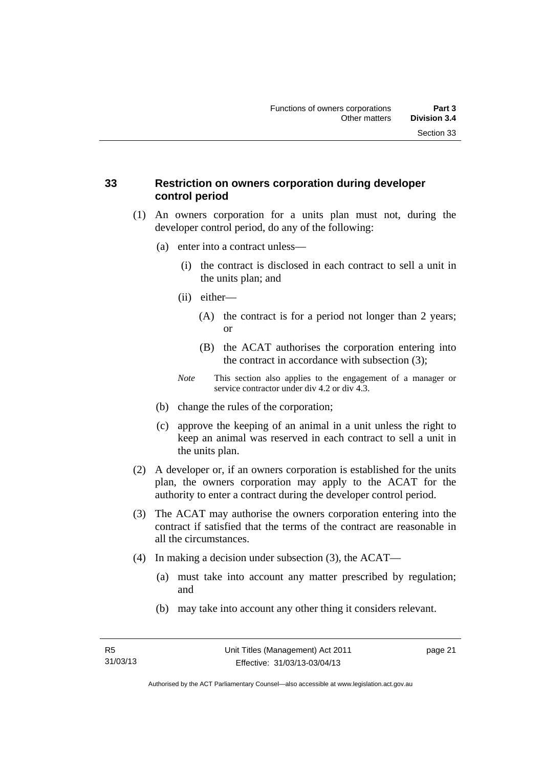#### <span id="page-32-0"></span>**33 Restriction on owners corporation during developer control period**

- (1) An owners corporation for a units plan must not, during the developer control period, do any of the following:
	- (a) enter into a contract unless—
		- (i) the contract is disclosed in each contract to sell a unit in the units plan; and
		- (ii) either—
			- (A) the contract is for a period not longer than 2 years; or
			- (B) the ACAT authorises the corporation entering into the contract in accordance with subsection (3);
		- *Note* This section also applies to the engagement of a manager or service contractor under div 4.2 or div 4.3.
	- (b) change the rules of the corporation;
	- (c) approve the keeping of an animal in a unit unless the right to keep an animal was reserved in each contract to sell a unit in the units plan.
- (2) A developer or, if an owners corporation is established for the units plan, the owners corporation may apply to the ACAT for the authority to enter a contract during the developer control period.
- (3) The ACAT may authorise the owners corporation entering into the contract if satisfied that the terms of the contract are reasonable in all the circumstances.
- (4) In making a decision under subsection (3), the ACAT—
	- (a) must take into account any matter prescribed by regulation; and
	- (b) may take into account any other thing it considers relevant.

page 21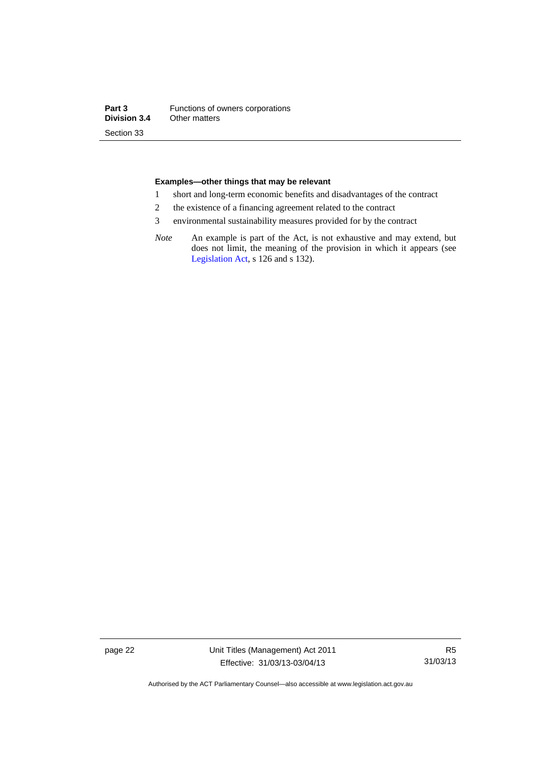#### **Examples—other things that may be relevant**

- 1 short and long-term economic benefits and disadvantages of the contract
- 2 the existence of a financing agreement related to the contract
- 3 environmental sustainability measures provided for by the contract
- *Note* An example is part of the Act, is not exhaustive and may extend, but does not limit, the meaning of the provision in which it appears (see [Legislation Act,](http://www.legislation.act.gov.au/a/2001-14) s 126 and s 132).

page 22 Unit Titles (Management) Act 2011 Effective: 31/03/13-03/04/13

R5 31/03/13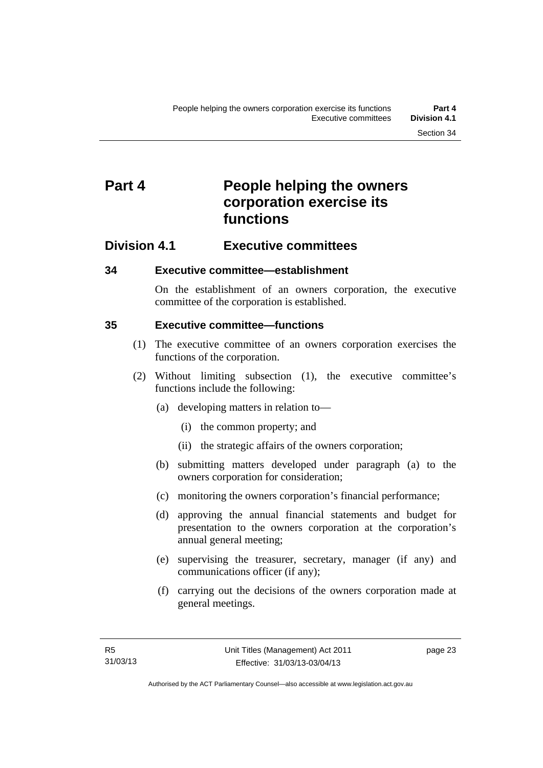## <span id="page-34-0"></span>**Part 4** People helping the owners **corporation exercise its functions**

### <span id="page-34-1"></span>**Division 4.1 Executive committees**

#### <span id="page-34-2"></span>**34 Executive committee—establishment**

On the establishment of an owners corporation, the executive committee of the corporation is established.

#### <span id="page-34-3"></span>**35 Executive committee—functions**

- (1) The executive committee of an owners corporation exercises the functions of the corporation.
- (2) Without limiting subsection (1), the executive committee's functions include the following:
	- (a) developing matters in relation to—
		- (i) the common property; and
		- (ii) the strategic affairs of the owners corporation;
	- (b) submitting matters developed under paragraph (a) to the owners corporation for consideration;
	- (c) monitoring the owners corporation's financial performance;
	- (d) approving the annual financial statements and budget for presentation to the owners corporation at the corporation's annual general meeting;
	- (e) supervising the treasurer, secretary, manager (if any) and communications officer (if any);
	- (f) carrying out the decisions of the owners corporation made at general meetings.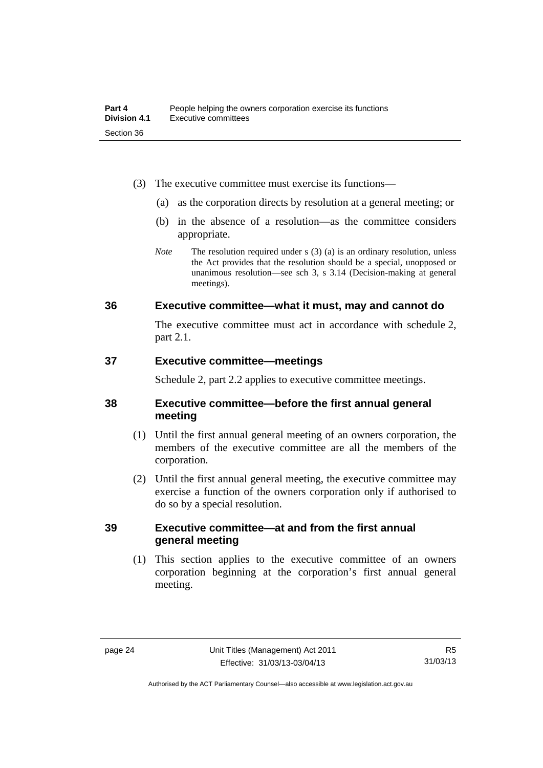- (3) The executive committee must exercise its functions—
	- (a) as the corporation directs by resolution at a general meeting; or
	- (b) in the absence of a resolution—as the committee considers appropriate.
	- *Note* The resolution required under s (3) (a) is an ordinary resolution, unless the Act provides that the resolution should be a special, unopposed or unanimous resolution—see sch 3, s 3.14 (Decision-making at general meetings).

#### <span id="page-35-0"></span>**36 Executive committee—what it must, may and cannot do**

The executive committee must act in accordance with schedule 2, part 2.1.

#### <span id="page-35-1"></span>**37 Executive committee—meetings**

Schedule 2, part 2.2 applies to executive committee meetings.

#### <span id="page-35-2"></span>**38 Executive committee—before the first annual general meeting**

- (1) Until the first annual general meeting of an owners corporation, the members of the executive committee are all the members of the corporation.
- (2) Until the first annual general meeting, the executive committee may exercise a function of the owners corporation only if authorised to do so by a special resolution.

#### <span id="page-35-3"></span>**39 Executive committee—at and from the first annual general meeting**

(1) This section applies to the executive committee of an owners corporation beginning at the corporation's first annual general meeting.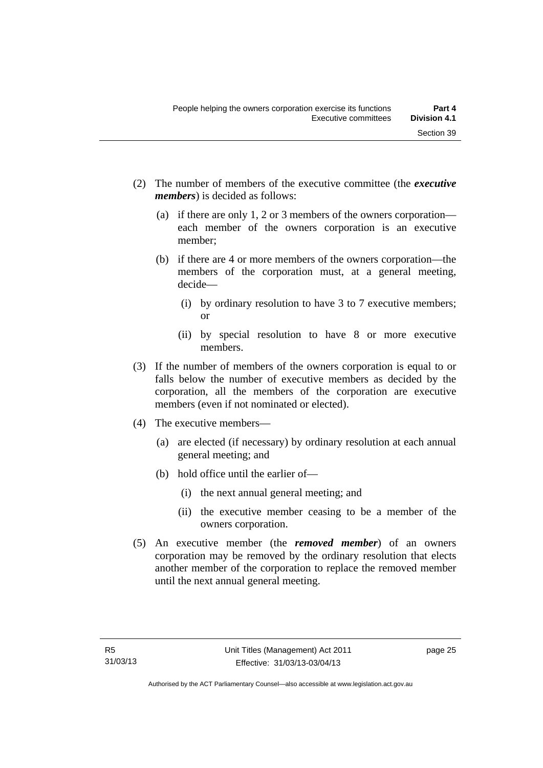- (2) The number of members of the executive committee (the *executive members*) is decided as follows:
	- (a) if there are only 1, 2 or 3 members of the owners corporation each member of the owners corporation is an executive member;
	- (b) if there are 4 or more members of the owners corporation—the members of the corporation must, at a general meeting, decide—
		- (i) by ordinary resolution to have 3 to 7 executive members; or
		- (ii) by special resolution to have 8 or more executive members.
- (3) If the number of members of the owners corporation is equal to or falls below the number of executive members as decided by the corporation, all the members of the corporation are executive members (even if not nominated or elected).
- (4) The executive members—
	- (a) are elected (if necessary) by ordinary resolution at each annual general meeting; and
	- (b) hold office until the earlier of—
		- (i) the next annual general meeting; and
		- (ii) the executive member ceasing to be a member of the owners corporation.
- (5) An executive member (the *removed member*) of an owners corporation may be removed by the ordinary resolution that elects another member of the corporation to replace the removed member until the next annual general meeting.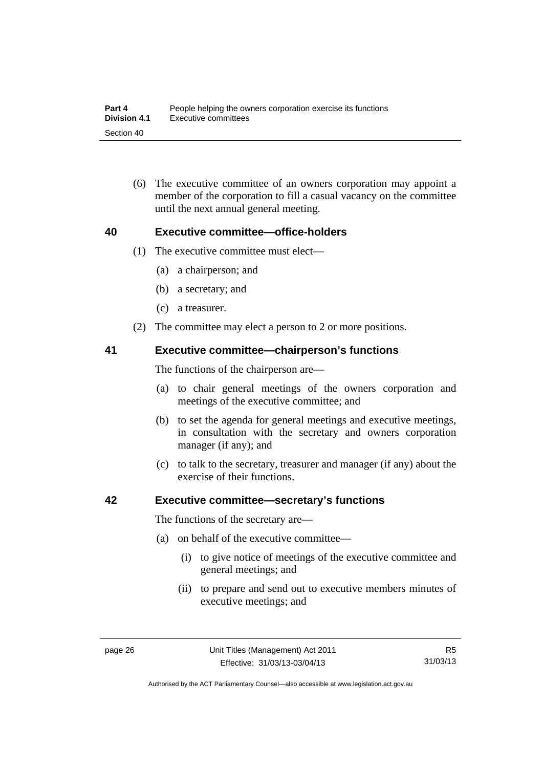(6) The executive committee of an owners corporation may appoint a member of the corporation to fill a casual vacancy on the committee until the next annual general meeting.

#### **40 Executive committee—office-holders**

- (1) The executive committee must elect—
	- (a) a chairperson; and
	- (b) a secretary; and
	- (c) a treasurer.
- (2) The committee may elect a person to 2 or more positions.

#### **41 Executive committee—chairperson's functions**

The functions of the chairperson are—

- (a) to chair general meetings of the owners corporation and meetings of the executive committee; and
- (b) to set the agenda for general meetings and executive meetings, in consultation with the secretary and owners corporation manager (if any); and
- (c) to talk to the secretary, treasurer and manager (if any) about the exercise of their functions.

#### **42 Executive committee—secretary's functions**

The functions of the secretary are—

- (a) on behalf of the executive committee—
	- (i) to give notice of meetings of the executive committee and general meetings; and
	- (ii) to prepare and send out to executive members minutes of executive meetings; and

Authorised by the ACT Parliamentary Counsel—also accessible at www.legislation.act.gov.au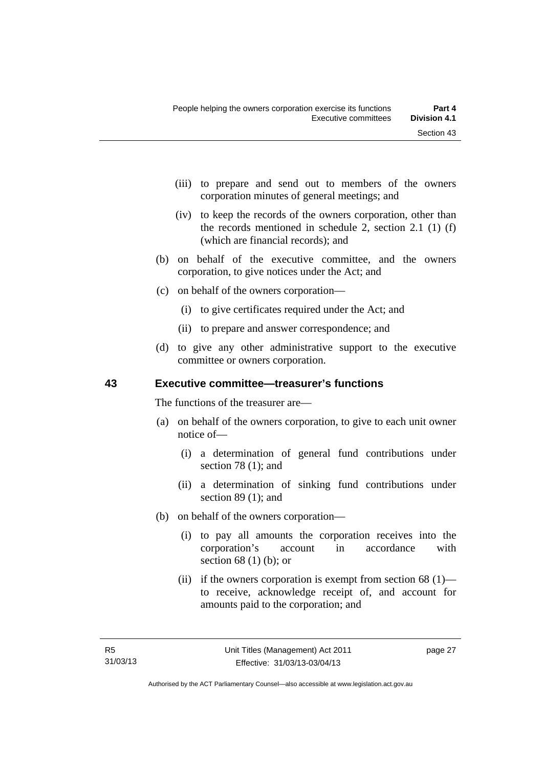- (iii) to prepare and send out to members of the owners corporation minutes of general meetings; and
- (iv) to keep the records of the owners corporation, other than the records mentioned in schedule 2, section 2.1 (1) (f) (which are financial records); and
- (b) on behalf of the executive committee, and the owners corporation, to give notices under the Act; and
- (c) on behalf of the owners corporation—
	- (i) to give certificates required under the Act; and
	- (ii) to prepare and answer correspondence; and
- (d) to give any other administrative support to the executive committee or owners corporation.

## **43 Executive committee—treasurer's functions**

The functions of the treasurer are—

- (a) on behalf of the owners corporation, to give to each unit owner notice of—
	- (i) a determination of general fund contributions under section 78 (1); and
	- (ii) a determination of sinking fund contributions under section 89 (1); and
- (b) on behalf of the owners corporation—
	- (i) to pay all amounts the corporation receives into the corporation's account in accordance with section 68 (1) (b); or
	- (ii) if the owners corporation is exempt from section  $68$  (1) to receive, acknowledge receipt of, and account for amounts paid to the corporation; and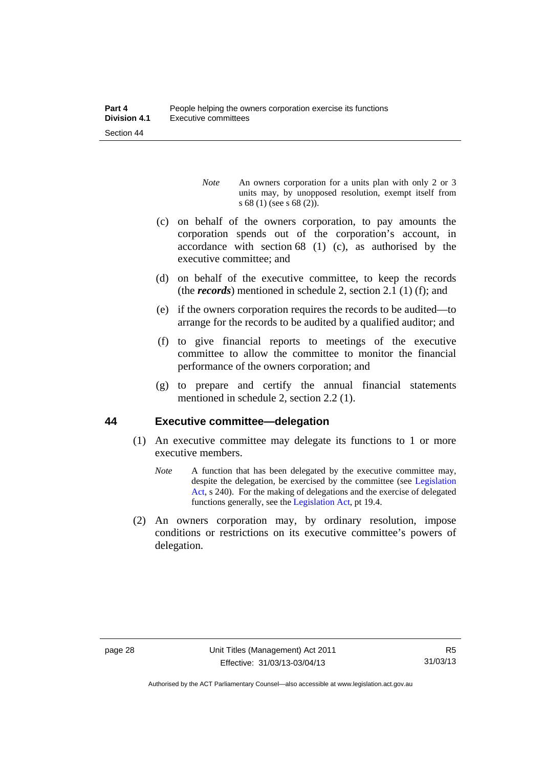- *Note* An owners corporation for a units plan with only 2 or 3 units may, by unopposed resolution, exempt itself from s 68 (1) (see s 68 (2)).
- (c) on behalf of the owners corporation, to pay amounts the corporation spends out of the corporation's account, in accordance with section 68 (1) (c), as authorised by the executive committee; and
- (d) on behalf of the executive committee, to keep the records (the *records*) mentioned in schedule 2, section 2.1 (1) (f); and
- (e) if the owners corporation requires the records to be audited—to arrange for the records to be audited by a qualified auditor; and
- (f) to give financial reports to meetings of the executive committee to allow the committee to monitor the financial performance of the owners corporation; and
- (g) to prepare and certify the annual financial statements mentioned in schedule 2, section 2.2 (1).

#### **44 Executive committee—delegation**

- (1) An executive committee may delegate its functions to 1 or more executive members.
	- *Note* A function that has been delegated by the executive committee may, despite the delegation, be exercised by the committee (see [Legislation](http://www.legislation.act.gov.au/a/2001-14)  [Act](http://www.legislation.act.gov.au/a/2001-14), s 240). For the making of delegations and the exercise of delegated functions generally, see the [Legislation Act,](http://www.legislation.act.gov.au/a/2001-14) pt 19.4.
- (2) An owners corporation may, by ordinary resolution, impose conditions or restrictions on its executive committee's powers of delegation.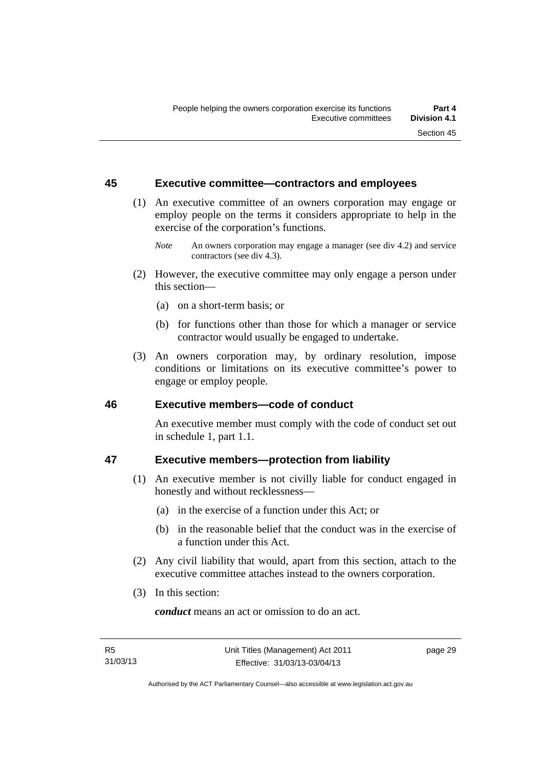#### **45 Executive committee—contractors and employees**

- (1) An executive committee of an owners corporation may engage or employ people on the terms it considers appropriate to help in the exercise of the corporation's functions.
	- *Note* An owners corporation may engage a manager (see div 4.2) and service contractors (see div 4.3).
- (2) However, the executive committee may only engage a person under this section—
	- (a) on a short-term basis; or
	- (b) for functions other than those for which a manager or service contractor would usually be engaged to undertake.
- (3) An owners corporation may, by ordinary resolution, impose conditions or limitations on its executive committee's power to engage or employ people.

#### **46 Executive members—code of conduct**

An executive member must comply with the code of conduct set out in schedule 1, part 1.1.

# **47 Executive members—protection from liability**

- (1) An executive member is not civilly liable for conduct engaged in honestly and without recklessness—
	- (a) in the exercise of a function under this Act; or
	- (b) in the reasonable belief that the conduct was in the exercise of a function under this Act.
- (2) Any civil liability that would, apart from this section, attach to the executive committee attaches instead to the owners corporation.
- (3) In this section:

*conduct* means an act or omission to do an act.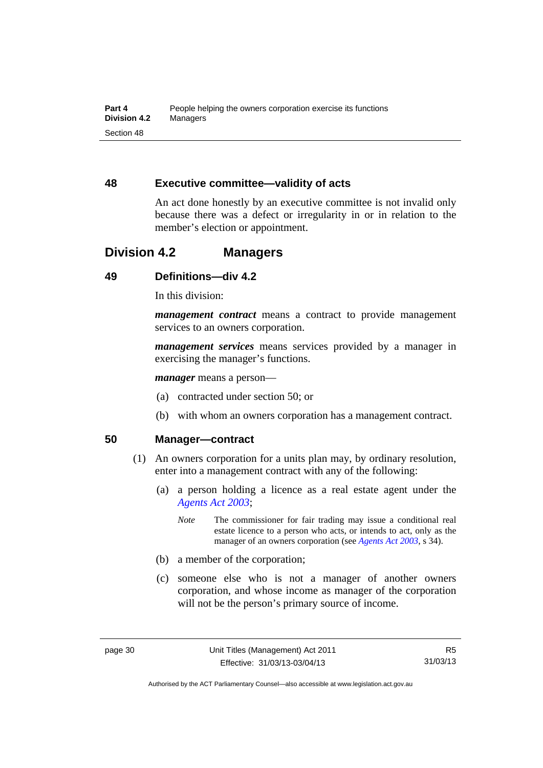## **48 Executive committee—validity of acts**

An act done honestly by an executive committee is not invalid only because there was a defect or irregularity in or in relation to the member's election or appointment.

# **Division 4.2 Managers**

# **49 Definitions—div 4.2**

In this division:

*management contract* means a contract to provide management services to an owners corporation.

*management services* means services provided by a manager in exercising the manager's functions.

*manager* means a person—

- (a) contracted under section 50; or
- (b) with whom an owners corporation has a management contract.

## **50 Manager—contract**

- (1) An owners corporation for a units plan may, by ordinary resolution, enter into a management contract with any of the following:
	- (a) a person holding a licence as a real estate agent under the *[Agents Act 2003](http://www.legislation.act.gov.au/a/2003-20)*;
		- *Note* The commissioner for fair trading may issue a conditional real estate licence to a person who acts, or intends to act, only as the manager of an owners corporation (see *[Agents Act 2003](http://www.legislation.act.gov.au/a/2003-20)*, s 34).
	- (b) a member of the corporation;
	- (c) someone else who is not a manager of another owners corporation, and whose income as manager of the corporation will not be the person's primary source of income.

Authorised by the ACT Parliamentary Counsel—also accessible at www.legislation.act.gov.au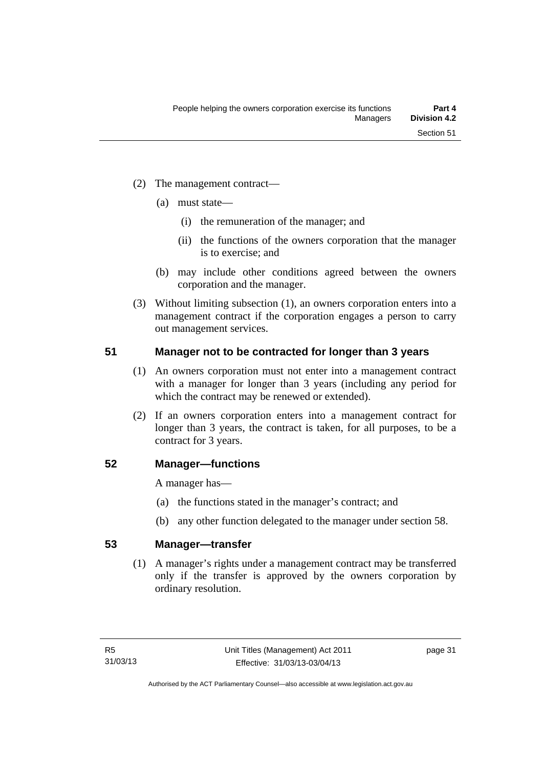- (2) The management contract—
	- (a) must state—
		- (i) the remuneration of the manager; and
		- (ii) the functions of the owners corporation that the manager is to exercise; and
	- (b) may include other conditions agreed between the owners corporation and the manager.
- (3) Without limiting subsection (1), an owners corporation enters into a management contract if the corporation engages a person to carry out management services.

## **51 Manager not to be contracted for longer than 3 years**

- (1) An owners corporation must not enter into a management contract with a manager for longer than 3 years (including any period for which the contract may be renewed or extended).
- (2) If an owners corporation enters into a management contract for longer than 3 years, the contract is taken, for all purposes, to be a contract for 3 years.

#### **52 Manager—functions**

A manager has—

- (a) the functions stated in the manager's contract; and
- (b) any other function delegated to the manager under section 58.

## **53 Manager—transfer**

(1) A manager's rights under a management contract may be transferred only if the transfer is approved by the owners corporation by ordinary resolution.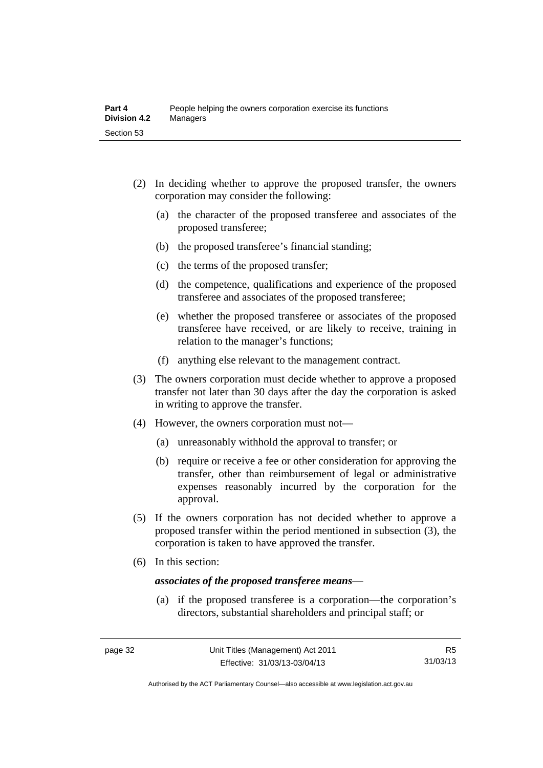- (2) In deciding whether to approve the proposed transfer, the owners corporation may consider the following:
	- (a) the character of the proposed transferee and associates of the proposed transferee;
	- (b) the proposed transferee's financial standing;
	- (c) the terms of the proposed transfer;
	- (d) the competence, qualifications and experience of the proposed transferee and associates of the proposed transferee;
	- (e) whether the proposed transferee or associates of the proposed transferee have received, or are likely to receive, training in relation to the manager's functions;
	- (f) anything else relevant to the management contract.
- (3) The owners corporation must decide whether to approve a proposed transfer not later than 30 days after the day the corporation is asked in writing to approve the transfer.
- (4) However, the owners corporation must not—
	- (a) unreasonably withhold the approval to transfer; or
	- (b) require or receive a fee or other consideration for approving the transfer, other than reimbursement of legal or administrative expenses reasonably incurred by the corporation for the approval.
- (5) If the owners corporation has not decided whether to approve a proposed transfer within the period mentioned in subsection (3), the corporation is taken to have approved the transfer.
- (6) In this section:

#### *associates of the proposed transferee means*—

 (a) if the proposed transferee is a corporation—the corporation's directors, substantial shareholders and principal staff; or

Authorised by the ACT Parliamentary Counsel—also accessible at www.legislation.act.gov.au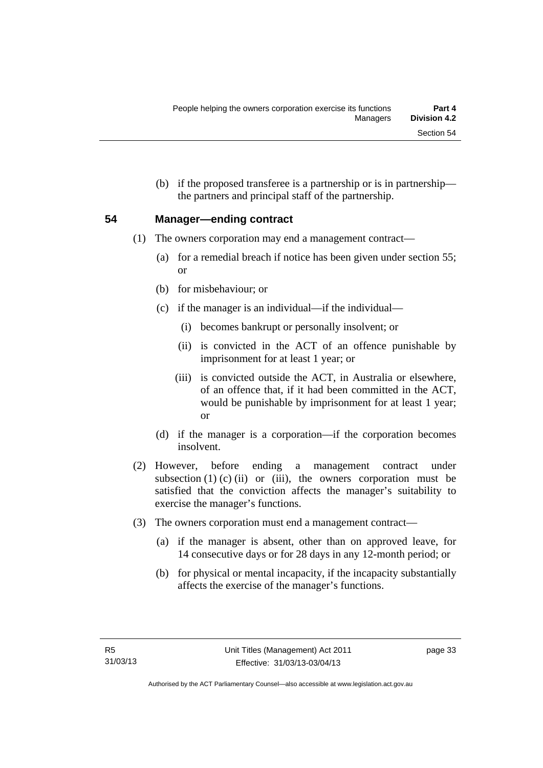(b) if the proposed transferee is a partnership or is in partnership the partners and principal staff of the partnership.

## **54 Manager—ending contract**

- (1) The owners corporation may end a management contract—
	- (a) for a remedial breach if notice has been given under section 55; or
	- (b) for misbehaviour; or
	- (c) if the manager is an individual—if the individual—
		- (i) becomes bankrupt or personally insolvent; or
		- (ii) is convicted in the ACT of an offence punishable by imprisonment for at least 1 year; or
		- (iii) is convicted outside the ACT, in Australia or elsewhere, of an offence that, if it had been committed in the ACT, would be punishable by imprisonment for at least 1 year; or
	- (d) if the manager is a corporation—if the corporation becomes insolvent.
- (2) However, before ending a management contract under subsection  $(1)$   $(c)$   $(ii)$  or  $(iii)$ , the owners corporation must be satisfied that the conviction affects the manager's suitability to exercise the manager's functions.
- (3) The owners corporation must end a management contract—
	- (a) if the manager is absent, other than on approved leave, for 14 consecutive days or for 28 days in any 12-month period; or
	- (b) for physical or mental incapacity, if the incapacity substantially affects the exercise of the manager's functions.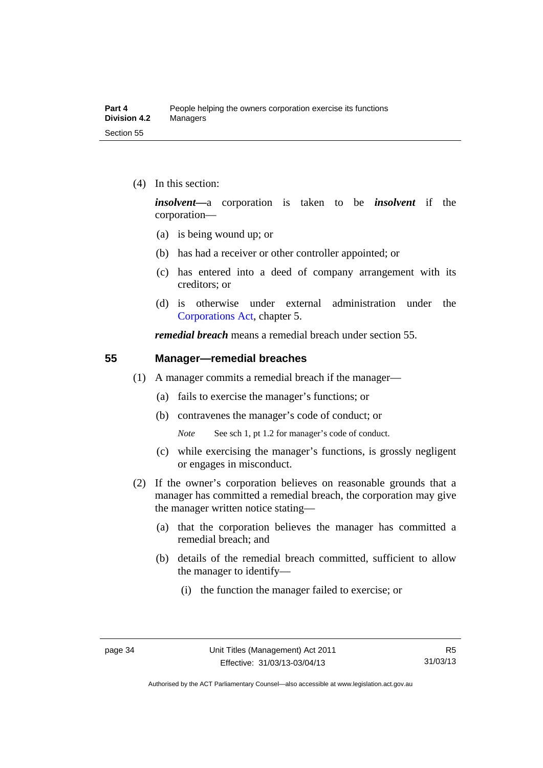(4) In this section:

*insolvent—*a corporation is taken to be *insolvent* if the corporation—

- (a) is being wound up; or
- (b) has had a receiver or other controller appointed; or
- (c) has entered into a deed of company arrangement with its creditors; or
- (d) is otherwise under external administration under the [Corporations Act,](http://www.comlaw.gov.au/Series/C2004A00818) chapter 5.

*remedial breach* means a remedial breach under section 55.

#### **55 Manager—remedial breaches**

- (1) A manager commits a remedial breach if the manager—
	- (a) fails to exercise the manager's functions; or
	- (b) contravenes the manager's code of conduct; or

*Note* See sch 1, pt 1.2 for manager's code of conduct.

- (c) while exercising the manager's functions, is grossly negligent or engages in misconduct.
- (2) If the owner's corporation believes on reasonable grounds that a manager has committed a remedial breach, the corporation may give the manager written notice stating—
	- (a) that the corporation believes the manager has committed a remedial breach; and
	- (b) details of the remedial breach committed, sufficient to allow the manager to identify—
		- (i) the function the manager failed to exercise; or

Authorised by the ACT Parliamentary Counsel—also accessible at www.legislation.act.gov.au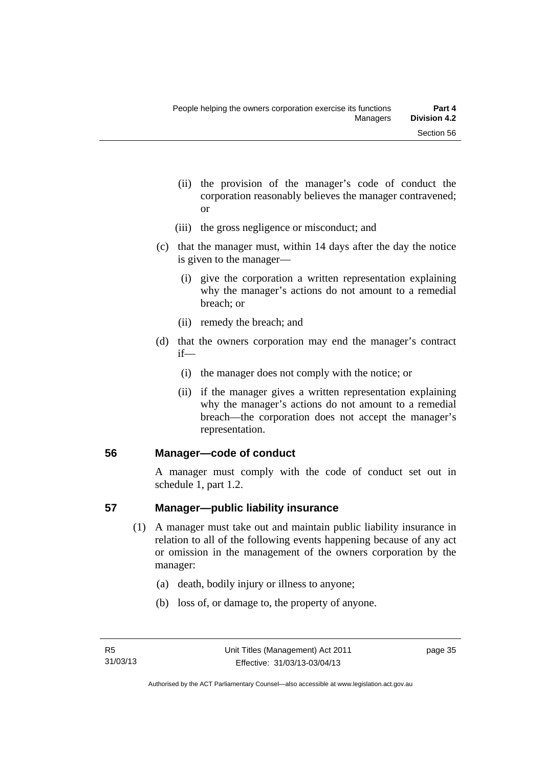- (ii) the provision of the manager's code of conduct the corporation reasonably believes the manager contravened; or
- (iii) the gross negligence or misconduct; and
- (c) that the manager must, within 14 days after the day the notice is given to the manager—
	- (i) give the corporation a written representation explaining why the manager's actions do not amount to a remedial breach; or
	- (ii) remedy the breach; and
- (d) that the owners corporation may end the manager's contract if—
	- (i) the manager does not comply with the notice; or
	- (ii) if the manager gives a written representation explaining why the manager's actions do not amount to a remedial breach—the corporation does not accept the manager's representation.

#### **56 Manager—code of conduct**

A manager must comply with the code of conduct set out in schedule 1, part 1.2.

#### **57 Manager—public liability insurance**

- (1) A manager must take out and maintain public liability insurance in relation to all of the following events happening because of any act or omission in the management of the owners corporation by the manager:
	- (a) death, bodily injury or illness to anyone;
	- (b) loss of, or damage to, the property of anyone.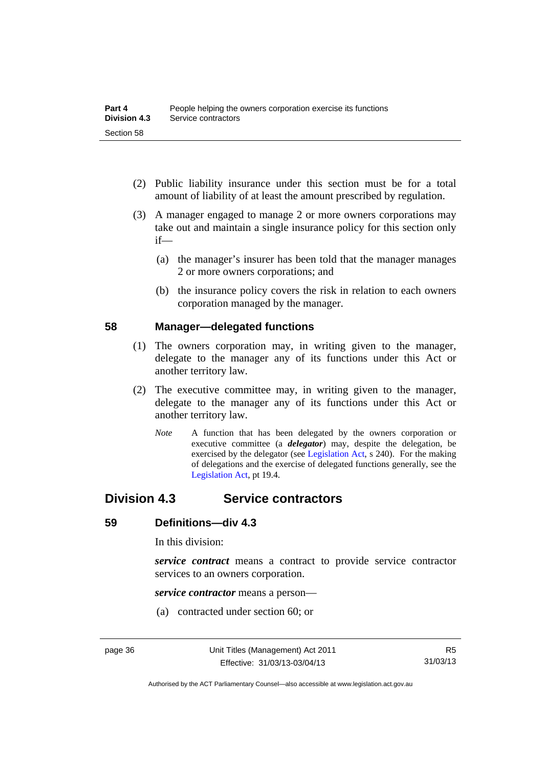- (2) Public liability insurance under this section must be for a total amount of liability of at least the amount prescribed by regulation.
- (3) A manager engaged to manage 2 or more owners corporations may take out and maintain a single insurance policy for this section only if—
	- (a) the manager's insurer has been told that the manager manages 2 or more owners corporations; and
	- (b) the insurance policy covers the risk in relation to each owners corporation managed by the manager.

#### **58 Manager—delegated functions**

- (1) The owners corporation may, in writing given to the manager, delegate to the manager any of its functions under this Act or another territory law.
- (2) The executive committee may, in writing given to the manager, delegate to the manager any of its functions under this Act or another territory law.
	- *Note* A function that has been delegated by the owners corporation or executive committee (a *delegator*) may, despite the delegation, be exercised by the delegator (see [Legislation Act,](http://www.legislation.act.gov.au/a/2001-14) s 240). For the making of delegations and the exercise of delegated functions generally, see the [Legislation Act,](http://www.legislation.act.gov.au/a/2001-14) pt 19.4.

# **Division 4.3 Service contractors**

#### **59 Definitions—div 4.3**

In this division:

*service contract* means a contract to provide service contractor services to an owners corporation.

*service contractor* means a person—

(a) contracted under section 60; or

Authorised by the ACT Parliamentary Counsel—also accessible at www.legislation.act.gov.au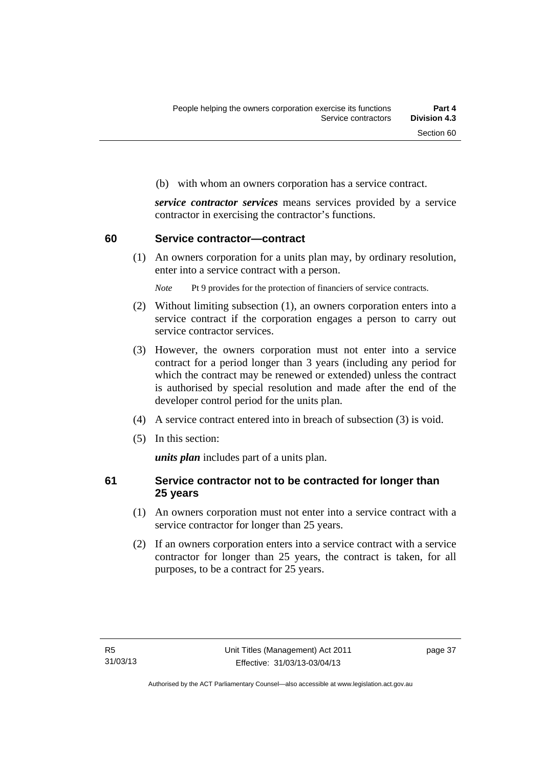(b) with whom an owners corporation has a service contract.

*service contractor services* means services provided by a service contractor in exercising the contractor's functions.

#### **60 Service contractor—contract**

(1) An owners corporation for a units plan may, by ordinary resolution, enter into a service contract with a person.

*Note* Pt 9 provides for the protection of financiers of service contracts.

- (2) Without limiting subsection (1), an owners corporation enters into a service contract if the corporation engages a person to carry out service contractor services.
- (3) However, the owners corporation must not enter into a service contract for a period longer than 3 years (including any period for which the contract may be renewed or extended) unless the contract is authorised by special resolution and made after the end of the developer control period for the units plan.
- (4) A service contract entered into in breach of subsection (3) is void.
- (5) In this section:

*units plan* includes part of a units plan.

#### **61 Service contractor not to be contracted for longer than 25 years**

- (1) An owners corporation must not enter into a service contract with a service contractor for longer than 25 years.
- (2) If an owners corporation enters into a service contract with a service contractor for longer than 25 years, the contract is taken, for all purposes, to be a contract for 25 years.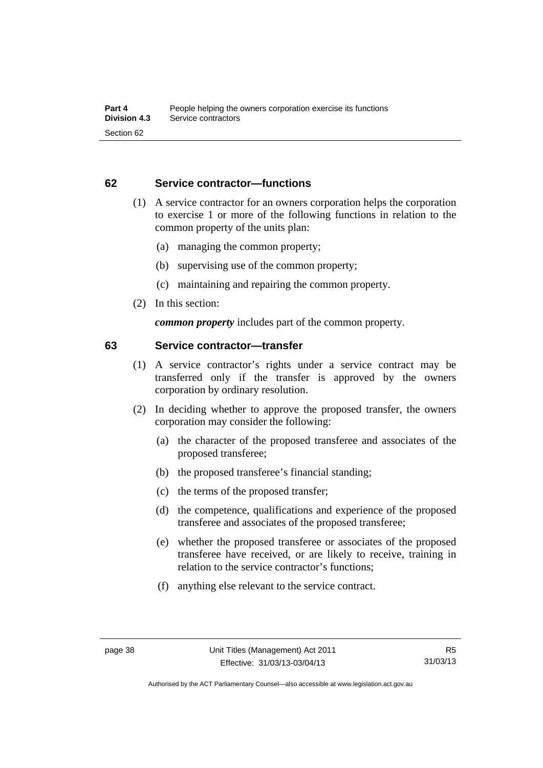#### **62 Service contractor—functions**

- (1) A service contractor for an owners corporation helps the corporation to exercise 1 or more of the following functions in relation to the common property of the units plan:
	- (a) managing the common property;
	- (b) supervising use of the common property;
	- (c) maintaining and repairing the common property.
- (2) In this section:

*common property* includes part of the common property.

#### **63 Service contractor—transfer**

- (1) A service contractor's rights under a service contract may be transferred only if the transfer is approved by the owners corporation by ordinary resolution.
- (2) In deciding whether to approve the proposed transfer, the owners corporation may consider the following:
	- (a) the character of the proposed transferee and associates of the proposed transferee;
	- (b) the proposed transferee's financial standing;
	- (c) the terms of the proposed transfer;
	- (d) the competence, qualifications and experience of the proposed transferee and associates of the proposed transferee;
	- (e) whether the proposed transferee or associates of the proposed transferee have received, or are likely to receive, training in relation to the service contractor's functions;
	- (f) anything else relevant to the service contract.

Authorised by the ACT Parliamentary Counsel—also accessible at www.legislation.act.gov.au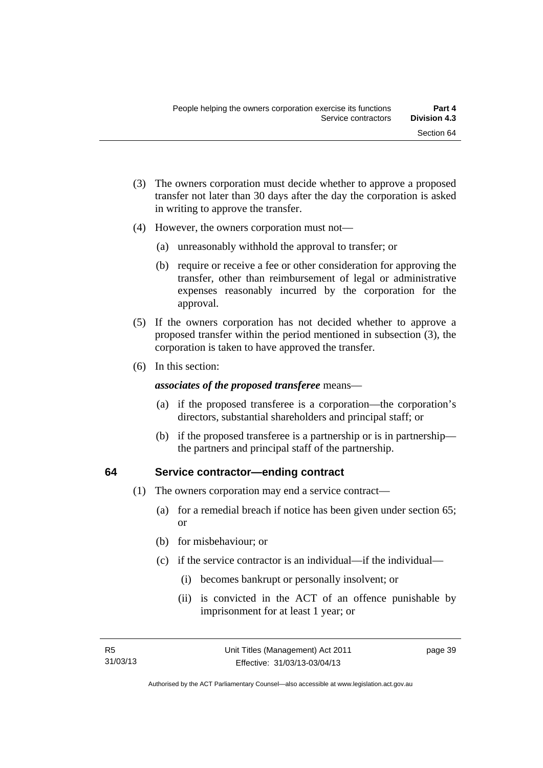- (3) The owners corporation must decide whether to approve a proposed transfer not later than 30 days after the day the corporation is asked in writing to approve the transfer.
- (4) However, the owners corporation must not—
	- (a) unreasonably withhold the approval to transfer; or
	- (b) require or receive a fee or other consideration for approving the transfer, other than reimbursement of legal or administrative expenses reasonably incurred by the corporation for the approval.
- (5) If the owners corporation has not decided whether to approve a proposed transfer within the period mentioned in subsection (3), the corporation is taken to have approved the transfer.
- (6) In this section:

#### *associates of the proposed transferee* means—

- (a) if the proposed transferee is a corporation—the corporation's directors, substantial shareholders and principal staff; or
- (b) if the proposed transferee is a partnership or is in partnership the partners and principal staff of the partnership.

#### **64 Service contractor—ending contract**

- (1) The owners corporation may end a service contract—
	- (a) for a remedial breach if notice has been given under section 65; or
	- (b) for misbehaviour; or
	- (c) if the service contractor is an individual—if the individual—
		- (i) becomes bankrupt or personally insolvent; or
		- (ii) is convicted in the ACT of an offence punishable by imprisonment for at least 1 year; or

page 39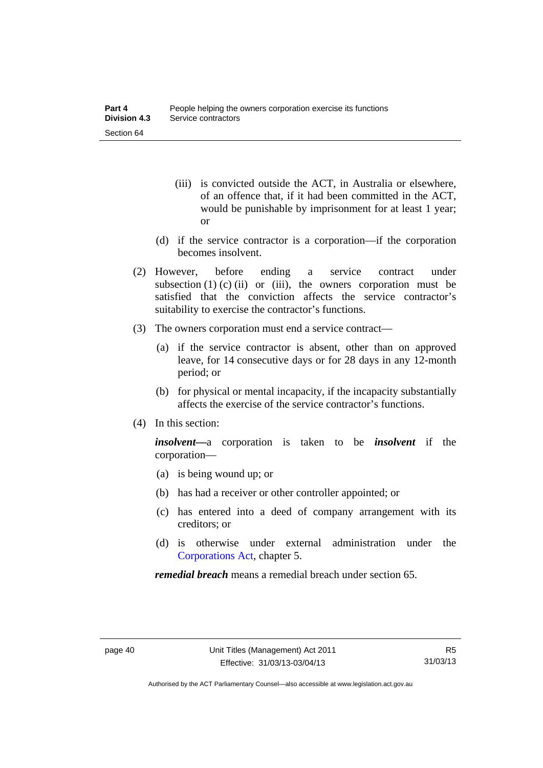- (iii) is convicted outside the ACT, in Australia or elsewhere, of an offence that, if it had been committed in the ACT, would be punishable by imprisonment for at least 1 year; or
- (d) if the service contractor is a corporation—if the corporation becomes insolvent.
- (2) However, before ending a service contract under subsection  $(1)$  (c)  $(ii)$  or  $(iii)$ , the owners corporation must be satisfied that the conviction affects the service contractor's suitability to exercise the contractor's functions.
- (3) The owners corporation must end a service contract—
	- (a) if the service contractor is absent, other than on approved leave, for 14 consecutive days or for 28 days in any 12-month period; or
	- (b) for physical or mental incapacity, if the incapacity substantially affects the exercise of the service contractor's functions.
- (4) In this section:

*insolvent—*a corporation is taken to be *insolvent* if the corporation—

- (a) is being wound up; or
- (b) has had a receiver or other controller appointed; or
- (c) has entered into a deed of company arrangement with its creditors; or
- (d) is otherwise under external administration under the [Corporations Act,](http://www.comlaw.gov.au/Series/C2004A00818) chapter 5.

*remedial breach* means a remedial breach under section 65.

Authorised by the ACT Parliamentary Counsel—also accessible at www.legislation.act.gov.au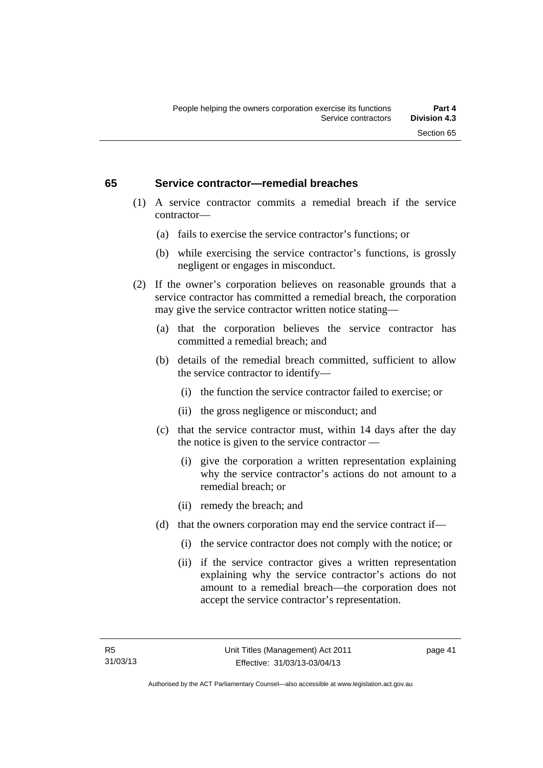#### **65 Service contractor—remedial breaches**

- (1) A service contractor commits a remedial breach if the service contractor—
	- (a) fails to exercise the service contractor's functions; or
	- (b) while exercising the service contractor's functions, is grossly negligent or engages in misconduct.
- (2) If the owner's corporation believes on reasonable grounds that a service contractor has committed a remedial breach, the corporation may give the service contractor written notice stating—
	- (a) that the corporation believes the service contractor has committed a remedial breach; and
	- (b) details of the remedial breach committed, sufficient to allow the service contractor to identify—
		- (i) the function the service contractor failed to exercise; or
		- (ii) the gross negligence or misconduct; and
	- (c) that the service contractor must, within 14 days after the day the notice is given to the service contractor —
		- (i) give the corporation a written representation explaining why the service contractor's actions do not amount to a remedial breach; or
		- (ii) remedy the breach; and
	- (d) that the owners corporation may end the service contract if—
		- (i) the service contractor does not comply with the notice; or
		- (ii) if the service contractor gives a written representation explaining why the service contractor's actions do not amount to a remedial breach—the corporation does not accept the service contractor's representation.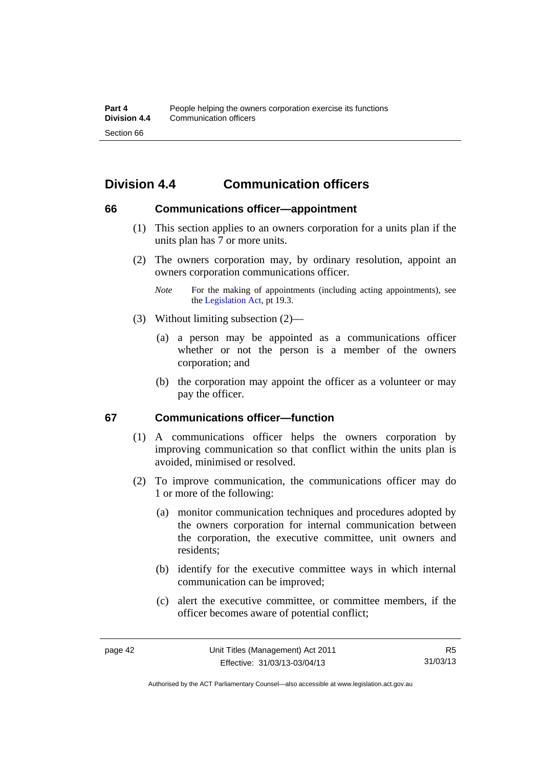# **Division 4.4 Communication officers**

#### **66 Communications officer—appointment**

- (1) This section applies to an owners corporation for a units plan if the units plan has 7 or more units.
- (2) The owners corporation may, by ordinary resolution, appoint an owners corporation communications officer.
	- *Note* For the making of appointments (including acting appointments), see the [Legislation Act,](http://www.legislation.act.gov.au/a/2001-14) pt 19.3.
- (3) Without limiting subsection (2)—
	- (a) a person may be appointed as a communications officer whether or not the person is a member of the owners corporation; and
	- (b) the corporation may appoint the officer as a volunteer or may pay the officer.

#### **67 Communications officer—function**

- (1) A communications officer helps the owners corporation by improving communication so that conflict within the units plan is avoided, minimised or resolved.
- (2) To improve communication, the communications officer may do 1 or more of the following:
	- (a) monitor communication techniques and procedures adopted by the owners corporation for internal communication between the corporation, the executive committee, unit owners and residents;
	- (b) identify for the executive committee ways in which internal communication can be improved;
	- (c) alert the executive committee, or committee members, if the officer becomes aware of potential conflict;

Authorised by the ACT Parliamentary Counsel—also accessible at www.legislation.act.gov.au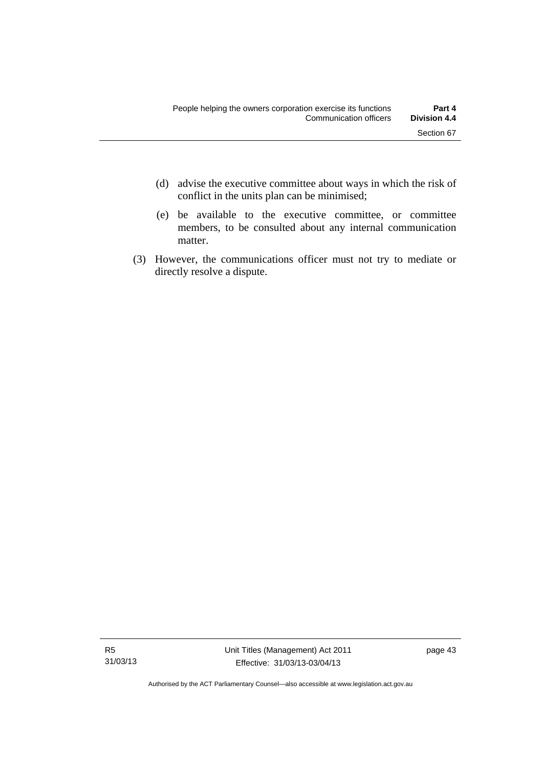- (d) advise the executive committee about ways in which the risk of conflict in the units plan can be minimised;
- (e) be available to the executive committee, or committee members, to be consulted about any internal communication matter.
- (3) However, the communications officer must not try to mediate or directly resolve a dispute.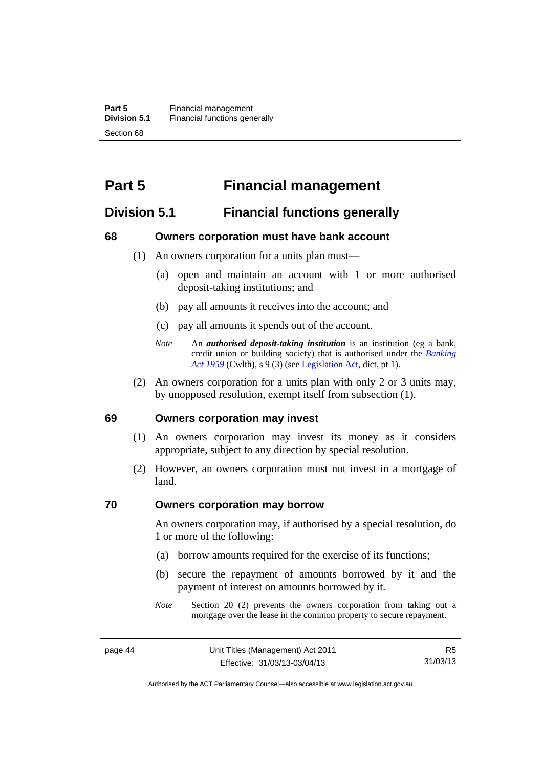# **Part 5 Financial management**

# **Division 5.1 Financial functions generally**

#### **68 Owners corporation must have bank account**

- (1) An owners corporation for a units plan must—
	- (a) open and maintain an account with 1 or more authorised deposit-taking institutions; and
	- (b) pay all amounts it receives into the account; and
	- (c) pay all amounts it spends out of the account.
	- *Note* An *authorised deposit-taking institution* is an institution (eg a bank, credit union or building society) that is authorised under the *[Banking](http://www.comlaw.gov.au/Details/C2012C00911)  [Act 1959](http://www.comlaw.gov.au/Details/C2012C00911)* (Cwlth), s 9 (3) (see [Legislation Act,](http://www.legislation.act.gov.au/a/2001-14) dict, pt 1).
- (2) An owners corporation for a units plan with only 2 or 3 units may, by unopposed resolution, exempt itself from subsection (1).

#### **69 Owners corporation may invest**

- (1) An owners corporation may invest its money as it considers appropriate, subject to any direction by special resolution.
- (2) However, an owners corporation must not invest in a mortgage of land.

#### **70 Owners corporation may borrow**

An owners corporation may, if authorised by a special resolution, do 1 or more of the following:

- (a) borrow amounts required for the exercise of its functions;
- (b) secure the repayment of amounts borrowed by it and the payment of interest on amounts borrowed by it.
- *Note* Section 20 (2) prevents the owners corporation from taking out a mortgage over the lease in the common property to secure repayment.

Authorised by the ACT Parliamentary Counsel—also accessible at www.legislation.act.gov.au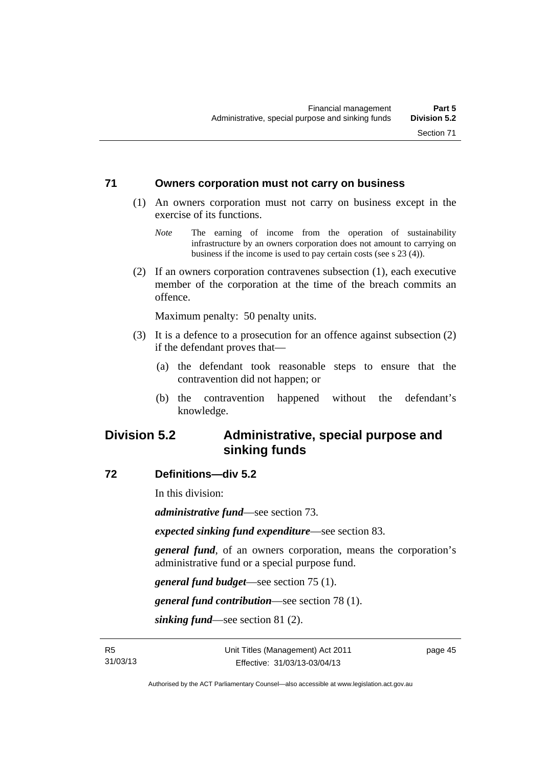#### **71 Owners corporation must not carry on business**

- (1) An owners corporation must not carry on business except in the exercise of its functions.
	- *Note* The earning of income from the operation of sustainability infrastructure by an owners corporation does not amount to carrying on business if the income is used to pay certain costs (see s 23 (4)).
- (2) If an owners corporation contravenes subsection (1), each executive member of the corporation at the time of the breach commits an offence.

Maximum penalty: 50 penalty units.

- (3) It is a defence to a prosecution for an offence against subsection (2) if the defendant proves that—
	- (a) the defendant took reasonable steps to ensure that the contravention did not happen; or
	- (b) the contravention happened without the defendant's knowledge.

# **Division 5.2 Administrative, special purpose and sinking funds**

#### **72 Definitions—div 5.2**

In this division:

*administrative fund*—see section 73.

*expected sinking fund expenditure*—see section 83.

*general fund*, of an owners corporation, means the corporation's administrative fund or a special purpose fund.

*general fund budget*—see section 75 (1).

*general fund contribution*—see section 78 (1).

*sinking fund*—see section 81 (2).

page 45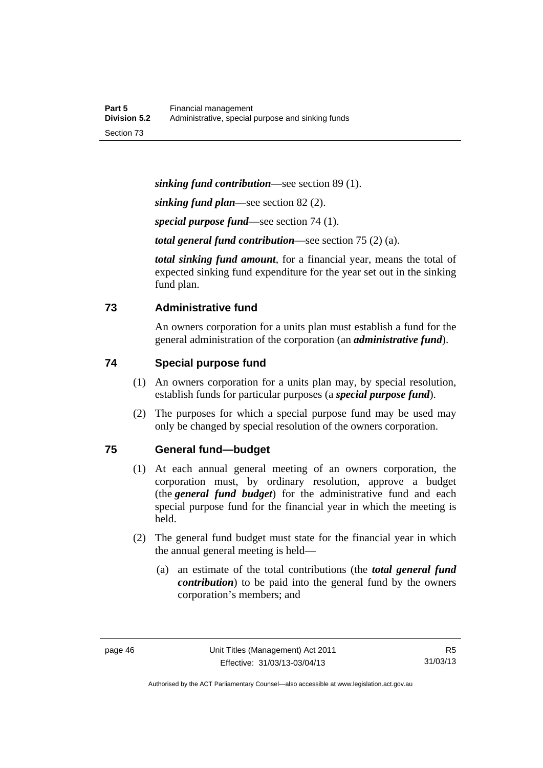*sinking fund contribution*—see section 89 (1).

*sinking fund plan*—see section 82 (2).

*special purpose fund*—see section 74 (1).

*total general fund contribution*—see section 75 (2) (a).

*total sinking fund amount*, for a financial year, means the total of expected sinking fund expenditure for the year set out in the sinking fund plan.

## **73 Administrative fund**

An owners corporation for a units plan must establish a fund for the general administration of the corporation (an *administrative fund*).

## **74 Special purpose fund**

- (1) An owners corporation for a units plan may, by special resolution, establish funds for particular purposes (a *special purpose fund*).
- (2) The purposes for which a special purpose fund may be used may only be changed by special resolution of the owners corporation.

#### **75 General fund—budget**

- (1) At each annual general meeting of an owners corporation, the corporation must, by ordinary resolution, approve a budget (the *general fund budget*) for the administrative fund and each special purpose fund for the financial year in which the meeting is held.
- (2) The general fund budget must state for the financial year in which the annual general meeting is held—
	- (a) an estimate of the total contributions (the *total general fund contribution*) to be paid into the general fund by the owners corporation's members; and

Authorised by the ACT Parliamentary Counsel—also accessible at www.legislation.act.gov.au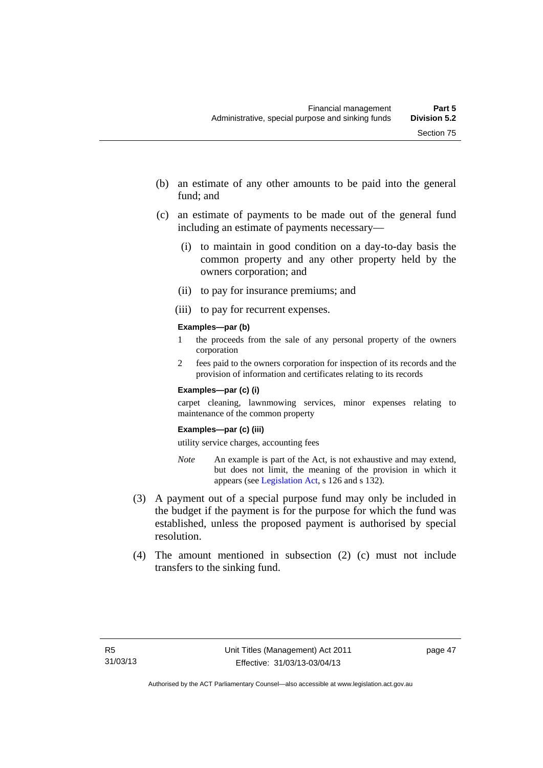- (b) an estimate of any other amounts to be paid into the general fund; and
- (c) an estimate of payments to be made out of the general fund including an estimate of payments necessary—
	- (i) to maintain in good condition on a day-to-day basis the common property and any other property held by the owners corporation; and
	- (ii) to pay for insurance premiums; and
	- (iii) to pay for recurrent expenses.

#### **Examples—par (b)**

- 1 the proceeds from the sale of any personal property of the owners corporation
- 2 fees paid to the owners corporation for inspection of its records and the provision of information and certificates relating to its records

#### **Examples—par (c) (i)**

carpet cleaning, lawnmowing services, minor expenses relating to maintenance of the common property

#### **Examples—par (c) (iii)**

utility service charges, accounting fees

- *Note* An example is part of the Act, is not exhaustive and may extend, but does not limit, the meaning of the provision in which it appears (see [Legislation Act,](http://www.legislation.act.gov.au/a/2001-14) s 126 and s 132).
- (3) A payment out of a special purpose fund may only be included in the budget if the payment is for the purpose for which the fund was established, unless the proposed payment is authorised by special resolution.
- (4) The amount mentioned in subsection (2) (c) must not include transfers to the sinking fund.

page 47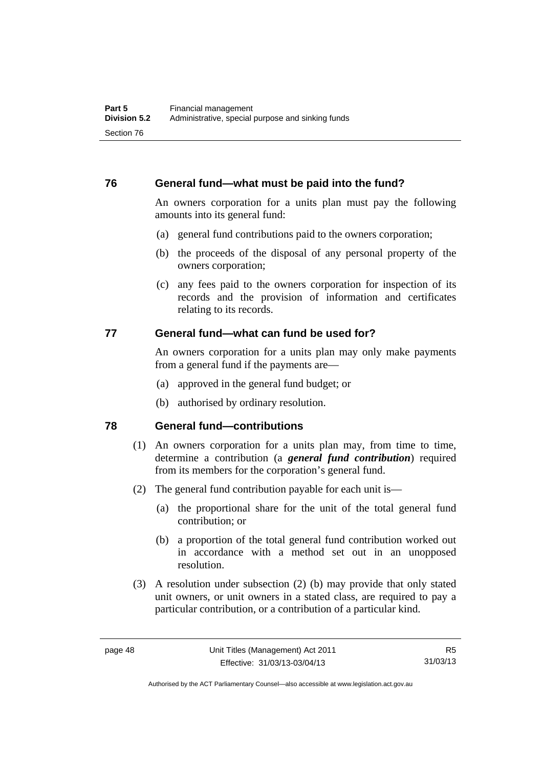## **76 General fund—what must be paid into the fund?**

An owners corporation for a units plan must pay the following amounts into its general fund:

- (a) general fund contributions paid to the owners corporation;
- (b) the proceeds of the disposal of any personal property of the owners corporation;
- (c) any fees paid to the owners corporation for inspection of its records and the provision of information and certificates relating to its records.

#### **77 General fund—what can fund be used for?**

An owners corporation for a units plan may only make payments from a general fund if the payments are—

- (a) approved in the general fund budget; or
- (b) authorised by ordinary resolution.

#### **78 General fund—contributions**

- (1) An owners corporation for a units plan may, from time to time, determine a contribution (a *general fund contribution*) required from its members for the corporation's general fund.
- (2) The general fund contribution payable for each unit is—
	- (a) the proportional share for the unit of the total general fund contribution; or
	- (b) a proportion of the total general fund contribution worked out in accordance with a method set out in an unopposed resolution.
- (3) A resolution under subsection (2) (b) may provide that only stated unit owners, or unit owners in a stated class, are required to pay a particular contribution, or a contribution of a particular kind.

Authorised by the ACT Parliamentary Counsel—also accessible at www.legislation.act.gov.au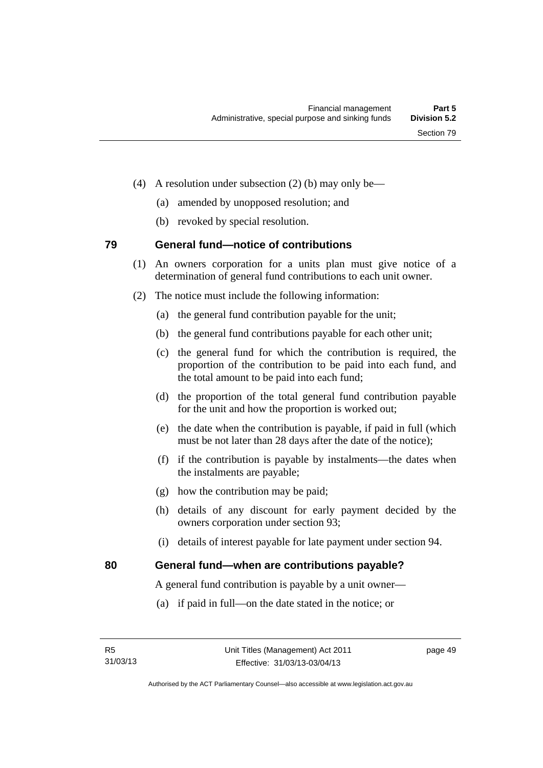- (4) A resolution under subsection (2) (b) may only be—
	- (a) amended by unopposed resolution; and
	- (b) revoked by special resolution.

# **79 General fund—notice of contributions**

- (1) An owners corporation for a units plan must give notice of a determination of general fund contributions to each unit owner.
- (2) The notice must include the following information:
	- (a) the general fund contribution payable for the unit;
	- (b) the general fund contributions payable for each other unit;
	- (c) the general fund for which the contribution is required, the proportion of the contribution to be paid into each fund, and the total amount to be paid into each fund;
	- (d) the proportion of the total general fund contribution payable for the unit and how the proportion is worked out;
	- (e) the date when the contribution is payable, if paid in full (which must be not later than 28 days after the date of the notice);
	- (f) if the contribution is payable by instalments—the dates when the instalments are payable;
	- (g) how the contribution may be paid;
	- (h) details of any discount for early payment decided by the owners corporation under section 93;
	- (i) details of interest payable for late payment under section 94.

# **80 General fund—when are contributions payable?**

A general fund contribution is payable by a unit owner—

(a) if paid in full—on the date stated in the notice; or

page 49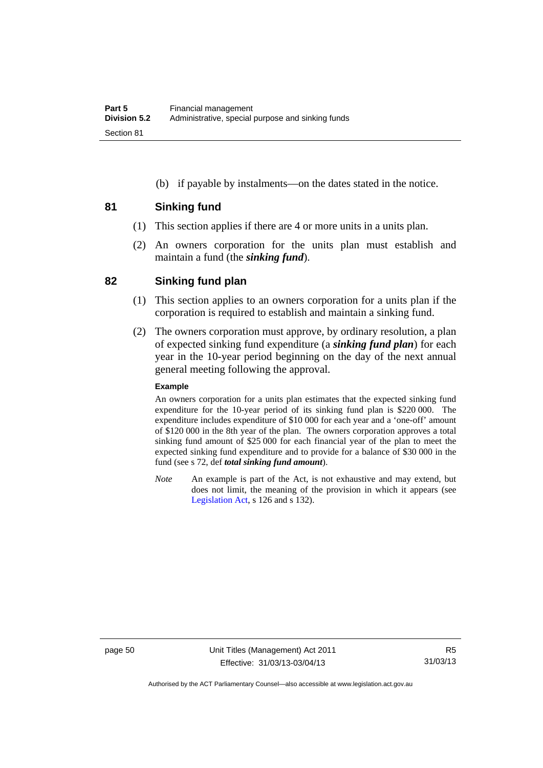(b) if payable by instalments—on the dates stated in the notice.

## **81 Sinking fund**

- (1) This section applies if there are 4 or more units in a units plan.
- (2) An owners corporation for the units plan must establish and maintain a fund (the *sinking fund*).

# **82 Sinking fund plan**

- (1) This section applies to an owners corporation for a units plan if the corporation is required to establish and maintain a sinking fund.
- (2) The owners corporation must approve, by ordinary resolution, a plan of expected sinking fund expenditure (a *sinking fund plan*) for each year in the 10-year period beginning on the day of the next annual general meeting following the approval.

#### **Example**

An owners corporation for a units plan estimates that the expected sinking fund expenditure for the 10-year period of its sinking fund plan is \$220 000. The expenditure includes expenditure of \$10 000 for each year and a 'one-off' amount of \$120 000 in the 8th year of the plan. The owners corporation approves a total sinking fund amount of \$25 000 for each financial year of the plan to meet the expected sinking fund expenditure and to provide for a balance of \$30 000 in the fund (see s 72, def *total sinking fund amount*).

*Note* An example is part of the Act, is not exhaustive and may extend, but does not limit, the meaning of the provision in which it appears (see [Legislation Act,](http://www.legislation.act.gov.au/a/2001-14) s 126 and s 132).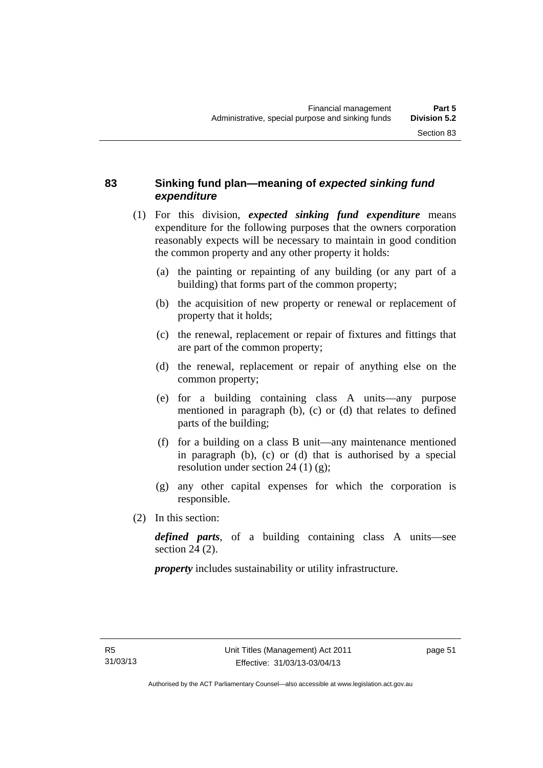# **83 Sinking fund plan—meaning of** *expected sinking fund expenditure*

- (1) For this division, *expected sinking fund expenditure* means expenditure for the following purposes that the owners corporation reasonably expects will be necessary to maintain in good condition the common property and any other property it holds:
	- (a) the painting or repainting of any building (or any part of a building) that forms part of the common property;
	- (b) the acquisition of new property or renewal or replacement of property that it holds;
	- (c) the renewal, replacement or repair of fixtures and fittings that are part of the common property;
	- (d) the renewal, replacement or repair of anything else on the common property;
	- (e) for a building containing class A units—any purpose mentioned in paragraph (b), (c) or (d) that relates to defined parts of the building;
	- (f) for a building on a class B unit—any maintenance mentioned in paragraph (b), (c) or (d) that is authorised by a special resolution under section 24 (1) (g);
	- (g) any other capital expenses for which the corporation is responsible.
- (2) In this section:

*defined parts*, of a building containing class A units—see section 24 (2).

*property* includes sustainability or utility infrastructure.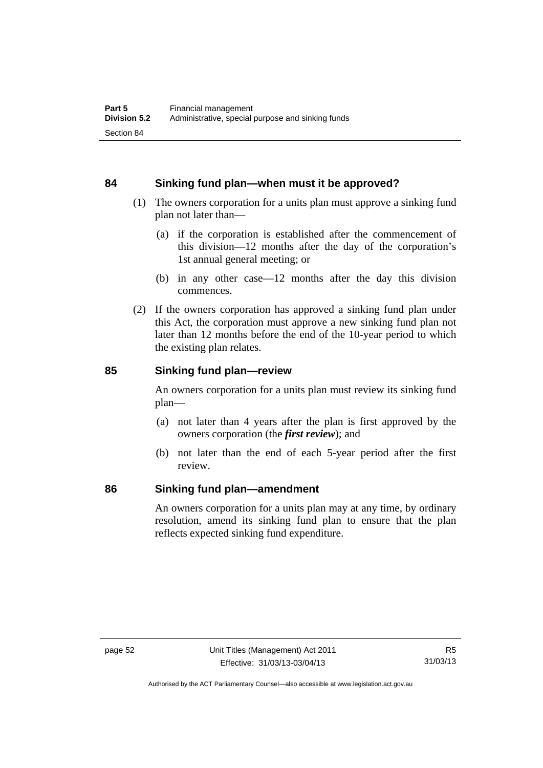## **84 Sinking fund plan—when must it be approved?**

- (1) The owners corporation for a units plan must approve a sinking fund plan not later than—
	- (a) if the corporation is established after the commencement of this division—12 months after the day of the corporation's 1st annual general meeting; or
	- (b) in any other case—12 months after the day this division commences.
- (2) If the owners corporation has approved a sinking fund plan under this Act, the corporation must approve a new sinking fund plan not later than 12 months before the end of the 10-year period to which the existing plan relates.

## **85 Sinking fund plan—review**

An owners corporation for a units plan must review its sinking fund plan—

- (a) not later than 4 years after the plan is first approved by the owners corporation (the *first review*); and
- (b) not later than the end of each 5-year period after the first review.

#### **86 Sinking fund plan—amendment**

An owners corporation for a units plan may at any time, by ordinary resolution, amend its sinking fund plan to ensure that the plan reflects expected sinking fund expenditure.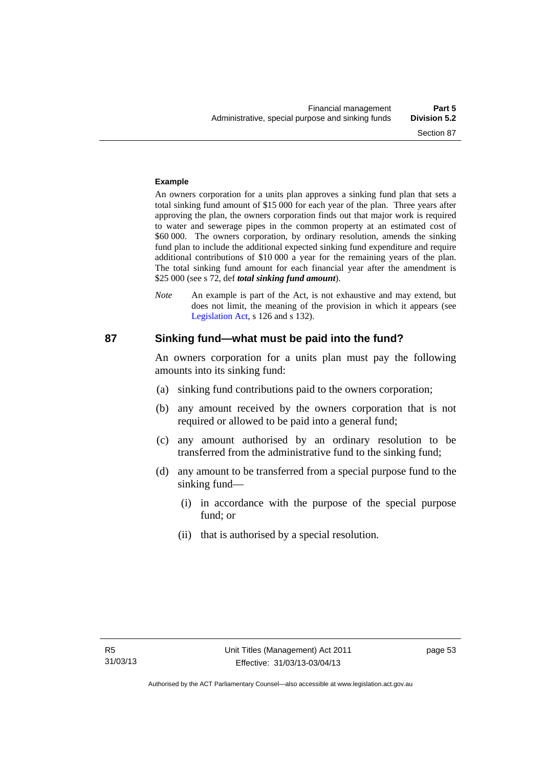# **Example**

An owners corporation for a units plan approves a sinking fund plan that sets a total sinking fund amount of \$15 000 for each year of the plan. Three years after approving the plan, the owners corporation finds out that major work is required to water and sewerage pipes in the common property at an estimated cost of \$60 000. The owners corporation, by ordinary resolution, amends the sinking fund plan to include the additional expected sinking fund expenditure and require additional contributions of \$10 000 a year for the remaining years of the plan. The total sinking fund amount for each financial year after the amendment is \$25 000 (see s 72, def *total sinking fund amount*).

*Note* An example is part of the Act, is not exhaustive and may extend, but does not limit, the meaning of the provision in which it appears (see [Legislation Act,](http://www.legislation.act.gov.au/a/2001-14) s 126 and s 132).

#### **87 Sinking fund—what must be paid into the fund?**

An owners corporation for a units plan must pay the following amounts into its sinking fund:

- (a) sinking fund contributions paid to the owners corporation;
- (b) any amount received by the owners corporation that is not required or allowed to be paid into a general fund;
- (c) any amount authorised by an ordinary resolution to be transferred from the administrative fund to the sinking fund;
- (d) any amount to be transferred from a special purpose fund to the sinking fund—
	- (i) in accordance with the purpose of the special purpose fund; or
	- (ii) that is authorised by a special resolution.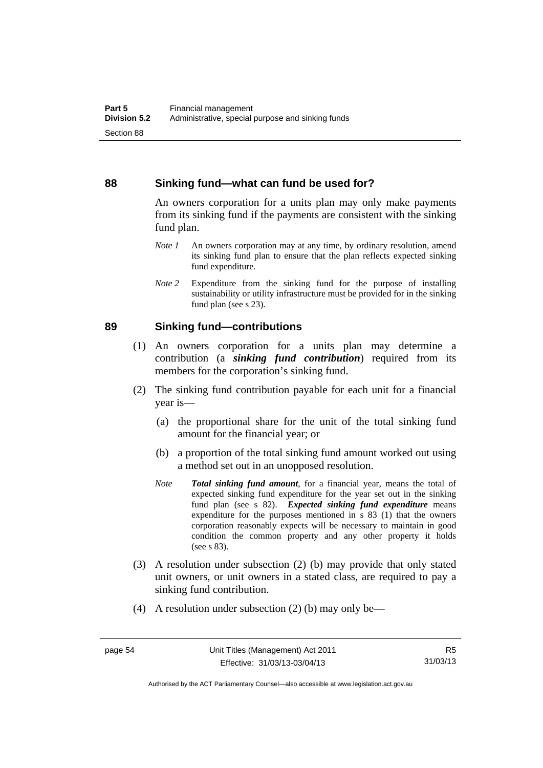#### **88 Sinking fund—what can fund be used for?**

An owners corporation for a units plan may only make payments from its sinking fund if the payments are consistent with the sinking fund plan.

- *Note 1* An owners corporation may at any time, by ordinary resolution, amend its sinking fund plan to ensure that the plan reflects expected sinking fund expenditure.
- *Note 2* Expenditure from the sinking fund for the purpose of installing sustainability or utility infrastructure must be provided for in the sinking fund plan (see s 23).

#### **89 Sinking fund—contributions**

- (1) An owners corporation for a units plan may determine a contribution (a *sinking fund contribution*) required from its members for the corporation's sinking fund.
- (2) The sinking fund contribution payable for each unit for a financial year is—
	- (a) the proportional share for the unit of the total sinking fund amount for the financial year; or
	- (b) a proportion of the total sinking fund amount worked out using a method set out in an unopposed resolution.
	- *Note Total sinking fund amount*, for a financial year, means the total of expected sinking fund expenditure for the year set out in the sinking fund plan (see s 82). *Expected sinking fund expenditure* means expenditure for the purposes mentioned in s 83 (1) that the owners corporation reasonably expects will be necessary to maintain in good condition the common property and any other property it holds (see s 83).
- (3) A resolution under subsection (2) (b) may provide that only stated unit owners, or unit owners in a stated class, are required to pay a sinking fund contribution.
- (4) A resolution under subsection (2) (b) may only be—

Authorised by the ACT Parliamentary Counsel—also accessible at www.legislation.act.gov.au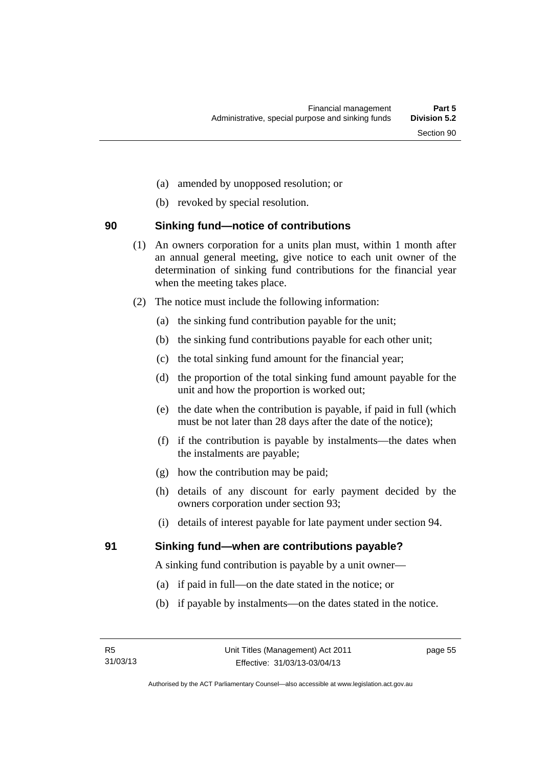- (a) amended by unopposed resolution; or
- (b) revoked by special resolution.

# **90 Sinking fund—notice of contributions**

- (1) An owners corporation for a units plan must, within 1 month after an annual general meeting, give notice to each unit owner of the determination of sinking fund contributions for the financial year when the meeting takes place.
- (2) The notice must include the following information:
	- (a) the sinking fund contribution payable for the unit;
	- (b) the sinking fund contributions payable for each other unit;
	- (c) the total sinking fund amount for the financial year;
	- (d) the proportion of the total sinking fund amount payable for the unit and how the proportion is worked out;
	- (e) the date when the contribution is payable, if paid in full (which must be not later than 28 days after the date of the notice);
	- (f) if the contribution is payable by instalments—the dates when the instalments are payable;
	- (g) how the contribution may be paid;
	- (h) details of any discount for early payment decided by the owners corporation under section 93;
	- (i) details of interest payable for late payment under section 94.

# **91 Sinking fund—when are contributions payable?**

A sinking fund contribution is payable by a unit owner—

- (a) if paid in full—on the date stated in the notice; or
- (b) if payable by instalments—on the dates stated in the notice.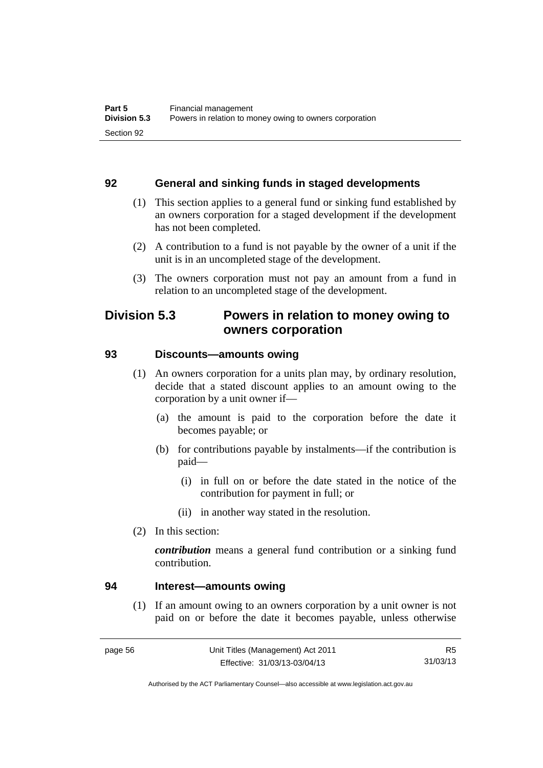#### **92 General and sinking funds in staged developments**

- (1) This section applies to a general fund or sinking fund established by an owners corporation for a staged development if the development has not been completed.
- (2) A contribution to a fund is not payable by the owner of a unit if the unit is in an uncompleted stage of the development.
- (3) The owners corporation must not pay an amount from a fund in relation to an uncompleted stage of the development.

# **Division 5.3 Powers in relation to money owing to owners corporation**

#### **93 Discounts—amounts owing**

- (1) An owners corporation for a units plan may, by ordinary resolution, decide that a stated discount applies to an amount owing to the corporation by a unit owner if—
	- (a) the amount is paid to the corporation before the date it becomes payable; or
	- (b) for contributions payable by instalments—if the contribution is paid—
		- (i) in full on or before the date stated in the notice of the contribution for payment in full; or
		- (ii) in another way stated in the resolution.
- (2) In this section:

*contribution* means a general fund contribution or a sinking fund contribution.

#### **94 Interest—amounts owing**

(1) If an amount owing to an owners corporation by a unit owner is not paid on or before the date it becomes payable, unless otherwise

Authorised by the ACT Parliamentary Counsel—also accessible at www.legislation.act.gov.au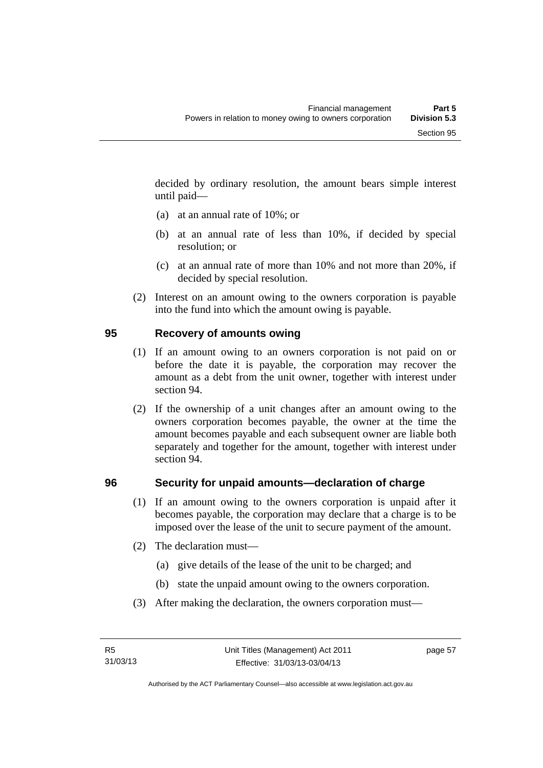decided by ordinary resolution, the amount bears simple interest until paid—

- (a) at an annual rate of 10%; or
- (b) at an annual rate of less than 10%, if decided by special resolution; or
- (c) at an annual rate of more than 10% and not more than 20%, if decided by special resolution.
- (2) Interest on an amount owing to the owners corporation is payable into the fund into which the amount owing is payable.

## **95 Recovery of amounts owing**

- (1) If an amount owing to an owners corporation is not paid on or before the date it is payable, the corporation may recover the amount as a debt from the unit owner, together with interest under section 94.
- (2) If the ownership of a unit changes after an amount owing to the owners corporation becomes payable, the owner at the time the amount becomes payable and each subsequent owner are liable both separately and together for the amount, together with interest under section 94.

#### **96 Security for unpaid amounts—declaration of charge**

- (1) If an amount owing to the owners corporation is unpaid after it becomes payable, the corporation may declare that a charge is to be imposed over the lease of the unit to secure payment of the amount.
- (2) The declaration must—
	- (a) give details of the lease of the unit to be charged; and
	- (b) state the unpaid amount owing to the owners corporation.
- (3) After making the declaration, the owners corporation must—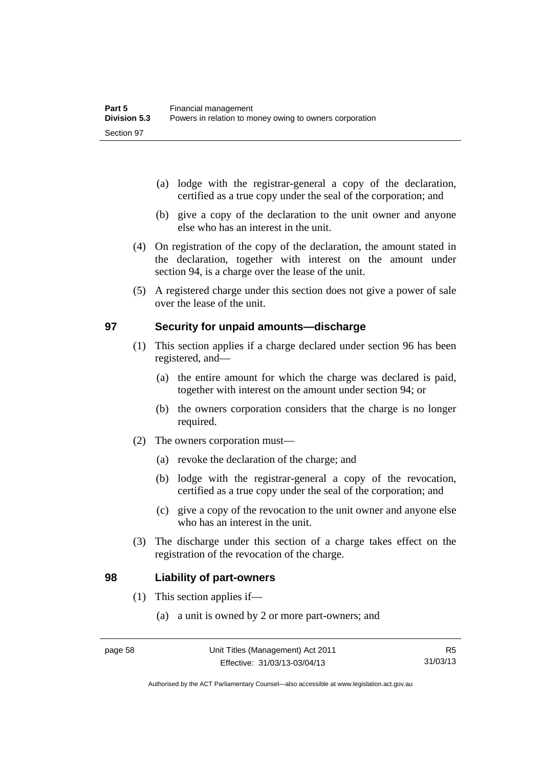- (a) lodge with the registrar-general a copy of the declaration, certified as a true copy under the seal of the corporation; and
- (b) give a copy of the declaration to the unit owner and anyone else who has an interest in the unit.
- (4) On registration of the copy of the declaration, the amount stated in the declaration, together with interest on the amount under section 94, is a charge over the lease of the unit.
- (5) A registered charge under this section does not give a power of sale over the lease of the unit.

#### **97 Security for unpaid amounts—discharge**

- (1) This section applies if a charge declared under section 96 has been registered, and—
	- (a) the entire amount for which the charge was declared is paid, together with interest on the amount under section 94; or
	- (b) the owners corporation considers that the charge is no longer required.
- (2) The owners corporation must—
	- (a) revoke the declaration of the charge; and
	- (b) lodge with the registrar-general a copy of the revocation, certified as a true copy under the seal of the corporation; and
	- (c) give a copy of the revocation to the unit owner and anyone else who has an interest in the unit.
- (3) The discharge under this section of a charge takes effect on the registration of the revocation of the charge.

#### **98 Liability of part-owners**

- (1) This section applies if—
	- (a) a unit is owned by 2 or more part-owners; and

Authorised by the ACT Parliamentary Counsel—also accessible at www.legislation.act.gov.au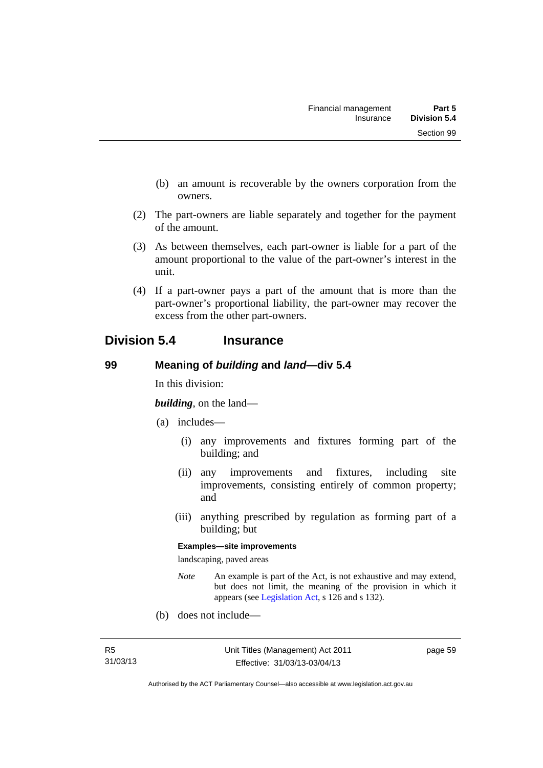- (b) an amount is recoverable by the owners corporation from the owners.
- (2) The part-owners are liable separately and together for the payment of the amount.
- (3) As between themselves, each part-owner is liable for a part of the amount proportional to the value of the part-owner's interest in the unit.
- (4) If a part-owner pays a part of the amount that is more than the part-owner's proportional liability, the part-owner may recover the excess from the other part-owners.

# **Division 5.4 Insurance**

## **99 Meaning of** *building* **and** *land***—div 5.4**

In this division:

*building*, on the land—

- (a) includes—
	- (i) any improvements and fixtures forming part of the building; and
	- (ii) any improvements and fixtures, including site improvements, consisting entirely of common property; and
	- (iii) anything prescribed by regulation as forming part of a building; but

#### **Examples—site improvements**

landscaping, paved areas

- *Note* An example is part of the Act, is not exhaustive and may extend, but does not limit, the meaning of the provision in which it appears (see [Legislation Act,](http://www.legislation.act.gov.au/a/2001-14) s 126 and s 132).
- (b) does not include—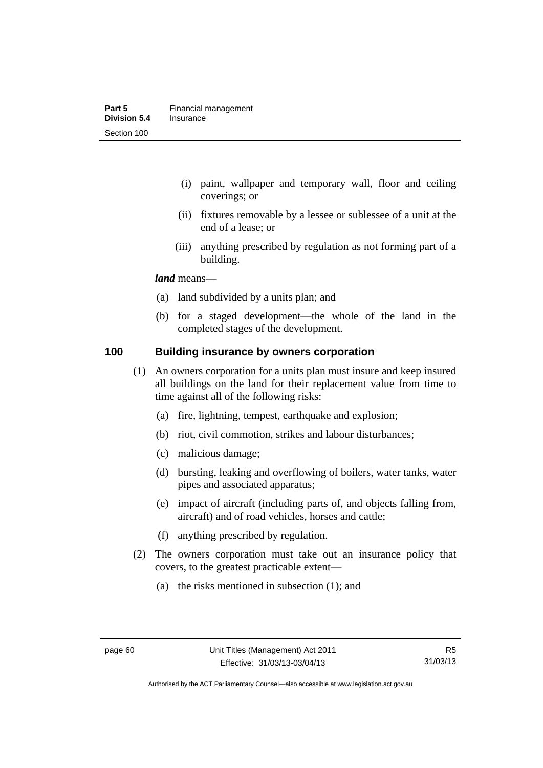- (i) paint, wallpaper and temporary wall, floor and ceiling coverings; or
- (ii) fixtures removable by a lessee or sublessee of a unit at the end of a lease; or
- (iii) anything prescribed by regulation as not forming part of a building.

#### *land* means—

- (a) land subdivided by a units plan; and
- (b) for a staged development—the whole of the land in the completed stages of the development.

#### **100 Building insurance by owners corporation**

- (1) An owners corporation for a units plan must insure and keep insured all buildings on the land for their replacement value from time to time against all of the following risks:
	- (a) fire, lightning, tempest, earthquake and explosion;
	- (b) riot, civil commotion, strikes and labour disturbances;
	- (c) malicious damage;
	- (d) bursting, leaking and overflowing of boilers, water tanks, water pipes and associated apparatus;
	- (e) impact of aircraft (including parts of, and objects falling from, aircraft) and of road vehicles, horses and cattle;
	- (f) anything prescribed by regulation.
- (2) The owners corporation must take out an insurance policy that covers, to the greatest practicable extent—
	- (a) the risks mentioned in subsection (1); and

Authorised by the ACT Parliamentary Counsel—also accessible at www.legislation.act.gov.au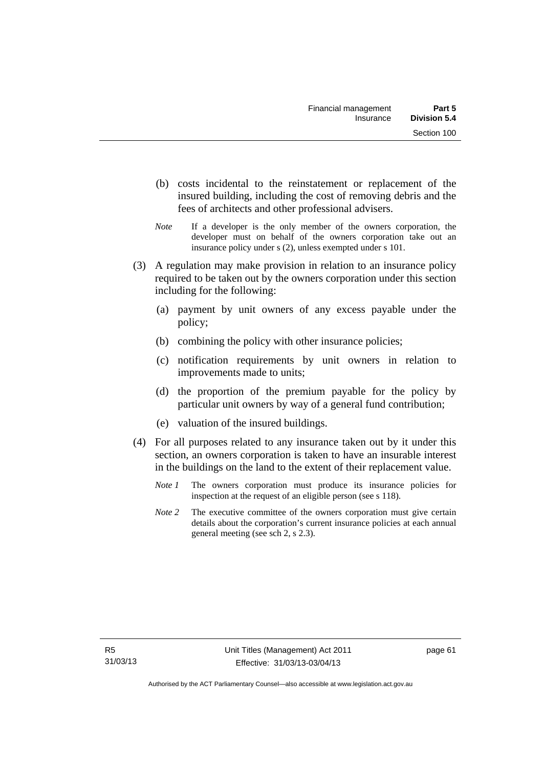- (b) costs incidental to the reinstatement or replacement of the insured building, including the cost of removing debris and the fees of architects and other professional advisers.
- *Note* If a developer is the only member of the owners corporation, the developer must on behalf of the owners corporation take out an insurance policy under s (2), unless exempted under s 101.
- (3) A regulation may make provision in relation to an insurance policy required to be taken out by the owners corporation under this section including for the following:
	- (a) payment by unit owners of any excess payable under the policy;
	- (b) combining the policy with other insurance policies;
	- (c) notification requirements by unit owners in relation to improvements made to units;
	- (d) the proportion of the premium payable for the policy by particular unit owners by way of a general fund contribution;
	- (e) valuation of the insured buildings.
- (4) For all purposes related to any insurance taken out by it under this section, an owners corporation is taken to have an insurable interest in the buildings on the land to the extent of their replacement value.
	- *Note 1* The owners corporation must produce its insurance policies for inspection at the request of an eligible person (see s 118).
	- *Note 2* The executive committee of the owners corporation must give certain details about the corporation's current insurance policies at each annual general meeting (see sch 2, s 2.3).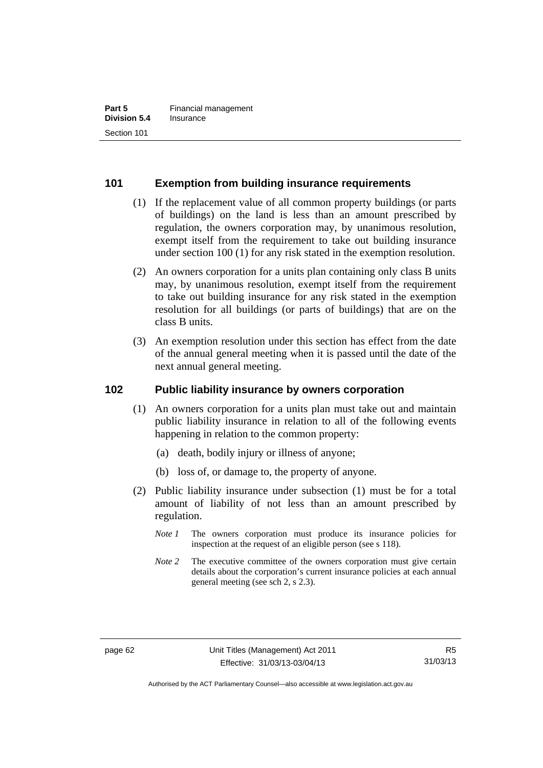## **101 Exemption from building insurance requirements**

- (1) If the replacement value of all common property buildings (or parts of buildings) on the land is less than an amount prescribed by regulation, the owners corporation may, by unanimous resolution, exempt itself from the requirement to take out building insurance under section 100 (1) for any risk stated in the exemption resolution.
- (2) An owners corporation for a units plan containing only class B units may, by unanimous resolution, exempt itself from the requirement to take out building insurance for any risk stated in the exemption resolution for all buildings (or parts of buildings) that are on the class B units.
- (3) An exemption resolution under this section has effect from the date of the annual general meeting when it is passed until the date of the next annual general meeting.

## **102 Public liability insurance by owners corporation**

- (1) An owners corporation for a units plan must take out and maintain public liability insurance in relation to all of the following events happening in relation to the common property:
	- (a) death, bodily injury or illness of anyone;
	- (b) loss of, or damage to, the property of anyone.
- (2) Public liability insurance under subsection (1) must be for a total amount of liability of not less than an amount prescribed by regulation.
	- *Note 1* The owners corporation must produce its insurance policies for inspection at the request of an eligible person (see s 118).
	- *Note* 2 The executive committee of the owners corporation must give certain details about the corporation's current insurance policies at each annual general meeting (see sch 2, s 2.3).

Authorised by the ACT Parliamentary Counsel—also accessible at www.legislation.act.gov.au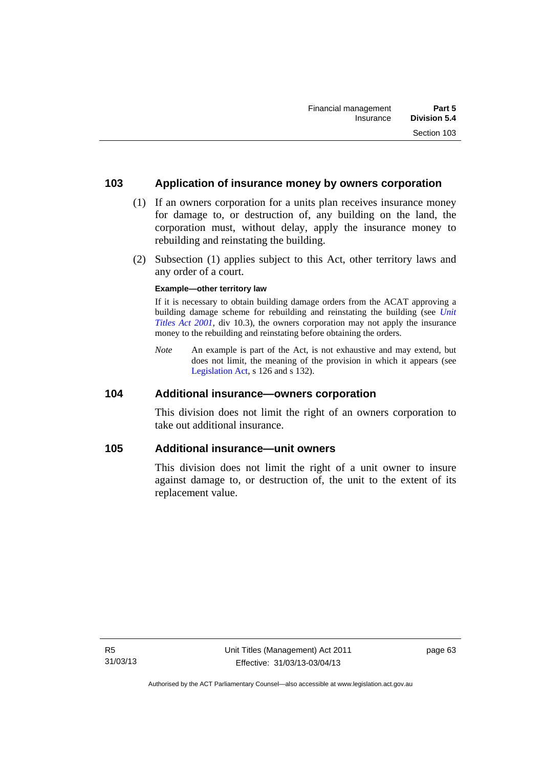#### **103 Application of insurance money by owners corporation**

- (1) If an owners corporation for a units plan receives insurance money for damage to, or destruction of, any building on the land, the corporation must, without delay, apply the insurance money to rebuilding and reinstating the building.
- (2) Subsection (1) applies subject to this Act, other territory laws and any order of a court.

#### **Example—other territory law**

If it is necessary to obtain building damage orders from the ACAT approving a building damage scheme for rebuilding and reinstating the building (see *[Unit](http://www.legislation.act.gov.au/a/2001-16)  [Titles Act 2001](http://www.legislation.act.gov.au/a/2001-16)*, div 10.3), the owners corporation may not apply the insurance money to the rebuilding and reinstating before obtaining the orders.

*Note* An example is part of the Act, is not exhaustive and may extend, but does not limit, the meaning of the provision in which it appears (see [Legislation Act,](http://www.legislation.act.gov.au/a/2001-14) s 126 and s 132).

#### **104 Additional insurance—owners corporation**

This division does not limit the right of an owners corporation to take out additional insurance.

#### **105 Additional insurance—unit owners**

This division does not limit the right of a unit owner to insure against damage to, or destruction of, the unit to the extent of its replacement value.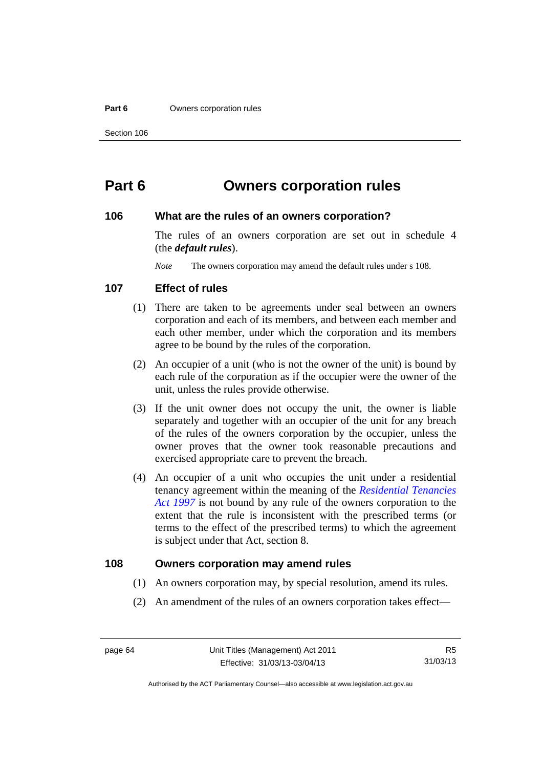#### **Part 6 Owners corporation rules**

# **Part 6 Owners corporation rules**

#### **106 What are the rules of an owners corporation?**

The rules of an owners corporation are set out in schedule 4 (the *default rules*).

*Note* The owners corporation may amend the default rules under s 108.

#### **107 Effect of rules**

- (1) There are taken to be agreements under seal between an owners corporation and each of its members, and between each member and each other member, under which the corporation and its members agree to be bound by the rules of the corporation.
- (2) An occupier of a unit (who is not the owner of the unit) is bound by each rule of the corporation as if the occupier were the owner of the unit, unless the rules provide otherwise.
- (3) If the unit owner does not occupy the unit, the owner is liable separately and together with an occupier of the unit for any breach of the rules of the owners corporation by the occupier, unless the owner proves that the owner took reasonable precautions and exercised appropriate care to prevent the breach.
- (4) An occupier of a unit who occupies the unit under a residential tenancy agreement within the meaning of the *[Residential Tenancies](http://www.legislation.act.gov.au/a/1997-84)  [Act 1997](http://www.legislation.act.gov.au/a/1997-84)* is not bound by any rule of the owners corporation to the extent that the rule is inconsistent with the prescribed terms (or terms to the effect of the prescribed terms) to which the agreement is subject under that Act, section 8.

#### **108 Owners corporation may amend rules**

- (1) An owners corporation may, by special resolution, amend its rules.
- (2) An amendment of the rules of an owners corporation takes effect—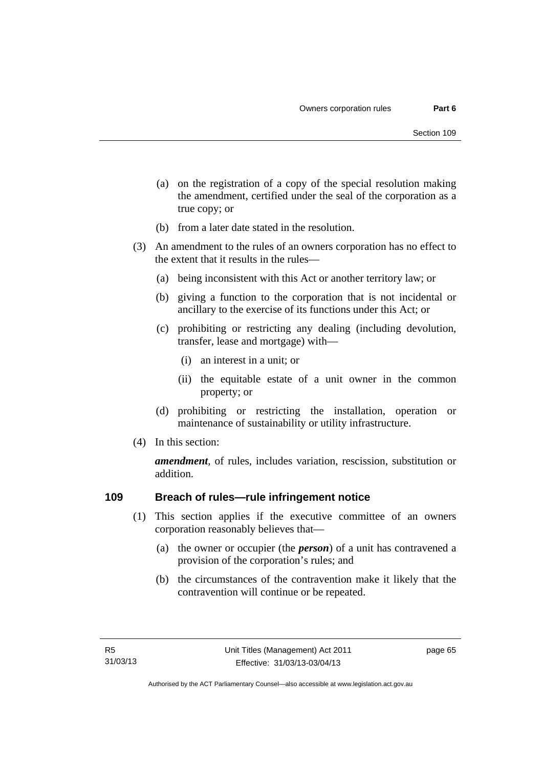- (a) on the registration of a copy of the special resolution making the amendment, certified under the seal of the corporation as a true copy; or
- (b) from a later date stated in the resolution.
- (3) An amendment to the rules of an owners corporation has no effect to the extent that it results in the rules—
	- (a) being inconsistent with this Act or another territory law; or
	- (b) giving a function to the corporation that is not incidental or ancillary to the exercise of its functions under this Act; or
	- (c) prohibiting or restricting any dealing (including devolution, transfer, lease and mortgage) with—
		- (i) an interest in a unit; or
		- (ii) the equitable estate of a unit owner in the common property; or
	- (d) prohibiting or restricting the installation, operation or maintenance of sustainability or utility infrastructure.
- (4) In this section:

*amendment*, of rules, includes variation, rescission, substitution or addition.

## **109 Breach of rules—rule infringement notice**

- (1) This section applies if the executive committee of an owners corporation reasonably believes that—
	- (a) the owner or occupier (the *person*) of a unit has contravened a provision of the corporation's rules; and
	- (b) the circumstances of the contravention make it likely that the contravention will continue or be repeated.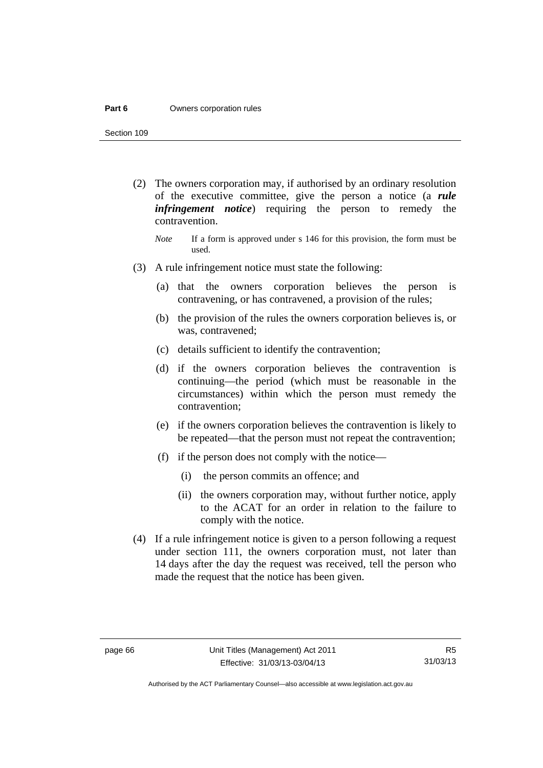#### **Part 6 Owners corporation rules**

Section 109

- (2) The owners corporation may, if authorised by an ordinary resolution of the executive committee, give the person a notice (a *rule infringement notice*) requiring the person to remedy the contravention.
	- *Note* If a form is approved under s 146 for this provision, the form must be used.
- (3) A rule infringement notice must state the following:
	- (a) that the owners corporation believes the person is contravening, or has contravened, a provision of the rules;
	- (b) the provision of the rules the owners corporation believes is, or was, contravened;
	- (c) details sufficient to identify the contravention;
	- (d) if the owners corporation believes the contravention is continuing—the period (which must be reasonable in the circumstances) within which the person must remedy the contravention;
	- (e) if the owners corporation believes the contravention is likely to be repeated—that the person must not repeat the contravention;
	- (f) if the person does not comply with the notice—
		- (i) the person commits an offence; and
		- (ii) the owners corporation may, without further notice, apply to the ACAT for an order in relation to the failure to comply with the notice.
- (4) If a rule infringement notice is given to a person following a request under section 111, the owners corporation must, not later than 14 days after the day the request was received, tell the person who made the request that the notice has been given.

Authorised by the ACT Parliamentary Counsel—also accessible at www.legislation.act.gov.au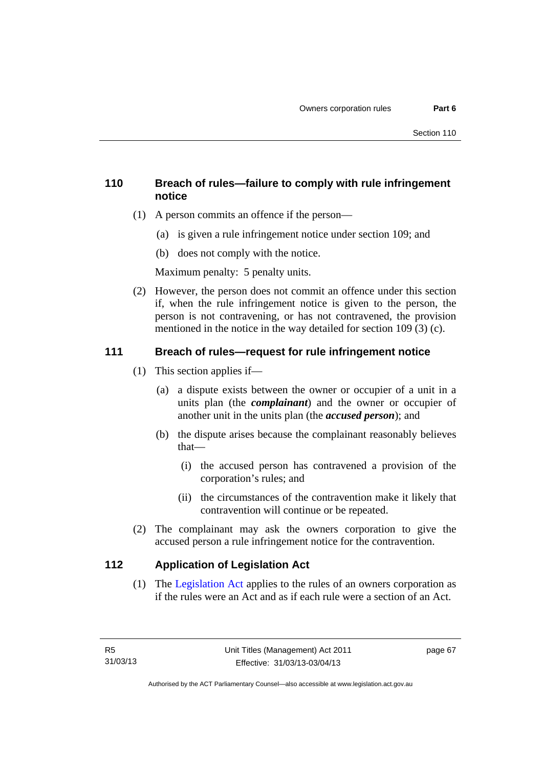## **110 Breach of rules—failure to comply with rule infringement notice**

- (1) A person commits an offence if the person—
	- (a) is given a rule infringement notice under section 109; and
	- (b) does not comply with the notice.

Maximum penalty: 5 penalty units.

 (2) However, the person does not commit an offence under this section if, when the rule infringement notice is given to the person, the person is not contravening, or has not contravened, the provision mentioned in the notice in the way detailed for section 109 (3) (c).

## **111 Breach of rules—request for rule infringement notice**

- (1) This section applies if—
	- (a) a dispute exists between the owner or occupier of a unit in a units plan (the *complainant*) and the owner or occupier of another unit in the units plan (the *accused person*); and
	- (b) the dispute arises because the complainant reasonably believes that—
		- (i) the accused person has contravened a provision of the corporation's rules; and
		- (ii) the circumstances of the contravention make it likely that contravention will continue or be repeated.
- (2) The complainant may ask the owners corporation to give the accused person a rule infringement notice for the contravention.

## **112 Application of Legislation Act**

 (1) The [Legislation Act](http://www.legislation.act.gov.au/a/2001-14) applies to the rules of an owners corporation as if the rules were an Act and as if each rule were a section of an Act.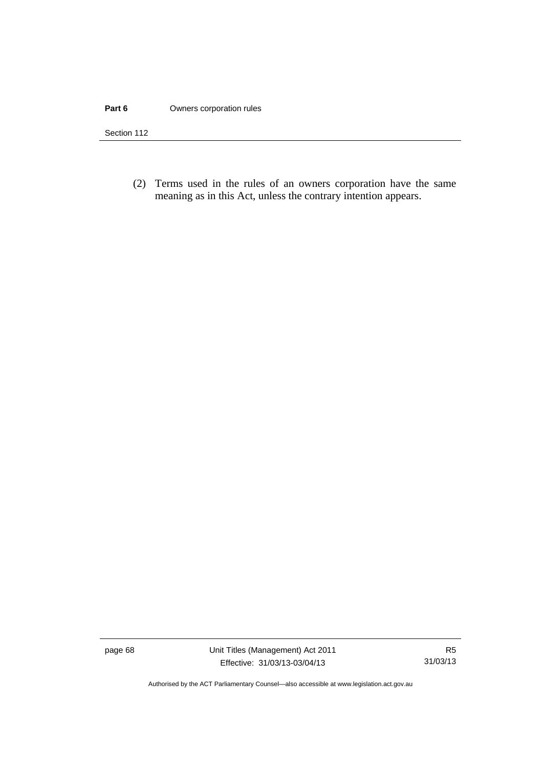#### **Part 6 Owners corporation rules**

Section 112

 (2) Terms used in the rules of an owners corporation have the same meaning as in this Act, unless the contrary intention appears.

page 68 Unit Titles (Management) Act 2011 Effective: 31/03/13-03/04/13

Authorised by the ACT Parliamentary Counsel—also accessible at www.legislation.act.gov.au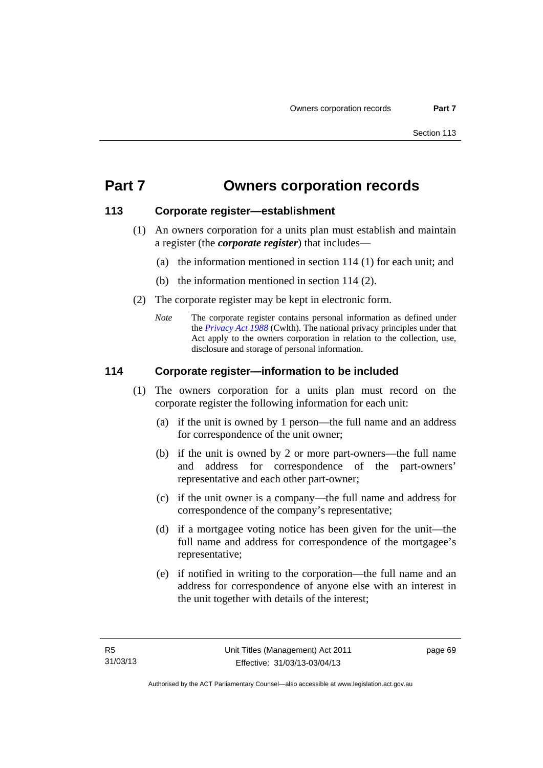# **Part 7 Owners corporation records**

## **113 Corporate register—establishment**

- (1) An owners corporation for a units plan must establish and maintain a register (the *corporate register*) that includes—
	- (a) the information mentioned in section 114 (1) for each unit; and
	- (b) the information mentioned in section 114 (2).
- (2) The corporate register may be kept in electronic form.
	- *Note* The corporate register contains personal information as defined under the *[Privacy Act 1988](http://www.comlaw.gov.au/Current/C2004A03712)* (Cwlth). The national privacy principles under that Act apply to the owners corporation in relation to the collection, use, disclosure and storage of personal information.

## **114 Corporate register—information to be included**

- (1) The owners corporation for a units plan must record on the corporate register the following information for each unit:
	- (a) if the unit is owned by 1 person—the full name and an address for correspondence of the unit owner;
	- (b) if the unit is owned by 2 or more part-owners—the full name and address for correspondence of the part-owners' representative and each other part-owner;
	- (c) if the unit owner is a company—the full name and address for correspondence of the company's representative;
	- (d) if a mortgagee voting notice has been given for the unit—the full name and address for correspondence of the mortgagee's representative;
	- (e) if notified in writing to the corporation—the full name and an address for correspondence of anyone else with an interest in the unit together with details of the interest;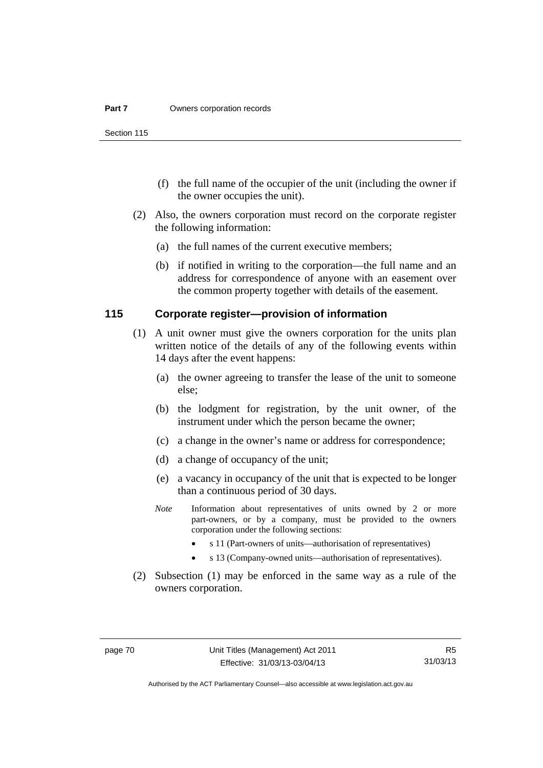Section 115

- (f) the full name of the occupier of the unit (including the owner if the owner occupies the unit).
- (2) Also, the owners corporation must record on the corporate register the following information:
	- (a) the full names of the current executive members;
	- (b) if notified in writing to the corporation—the full name and an address for correspondence of anyone with an easement over the common property together with details of the easement.

#### **115 Corporate register—provision of information**

- (1) A unit owner must give the owners corporation for the units plan written notice of the details of any of the following events within 14 days after the event happens:
	- (a) the owner agreeing to transfer the lease of the unit to someone else;
	- (b) the lodgment for registration, by the unit owner, of the instrument under which the person became the owner;
	- (c) a change in the owner's name or address for correspondence;
	- (d) a change of occupancy of the unit;
	- (e) a vacancy in occupancy of the unit that is expected to be longer than a continuous period of 30 days.
	- *Note* Information about representatives of units owned by 2 or more part-owners, or by a company, must be provided to the owners corporation under the following sections:
		- s 11 (Part-owners of units—authorisation of representatives)
		- s 13 (Company-owned units—authorisation of representatives).
- (2) Subsection (1) may be enforced in the same way as a rule of the owners corporation.

Authorised by the ACT Parliamentary Counsel—also accessible at www.legislation.act.gov.au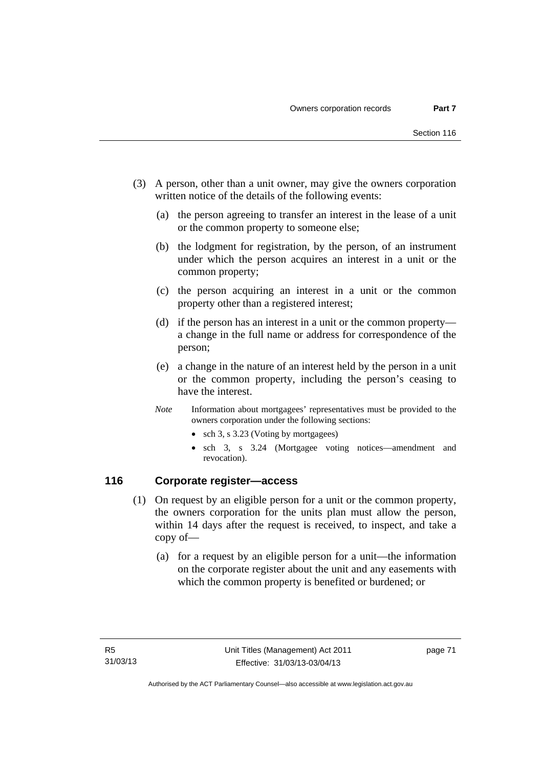- (3) A person, other than a unit owner, may give the owners corporation written notice of the details of the following events:
	- (a) the person agreeing to transfer an interest in the lease of a unit or the common property to someone else;
	- (b) the lodgment for registration, by the person, of an instrument under which the person acquires an interest in a unit or the common property;
	- (c) the person acquiring an interest in a unit or the common property other than a registered interest;
	- (d) if the person has an interest in a unit or the common property a change in the full name or address for correspondence of the person;
	- (e) a change in the nature of an interest held by the person in a unit or the common property, including the person's ceasing to have the interest.
	- *Note* Information about mortgagees' representatives must be provided to the owners corporation under the following sections:
		- sch 3, s 3.23 (Voting by mortgagees)
		- sch 3, s 3.24 (Mortgagee voting notices—amendment and revocation).

## **116 Corporate register—access**

- (1) On request by an eligible person for a unit or the common property, the owners corporation for the units plan must allow the person, within 14 days after the request is received, to inspect, and take a copy of—
	- (a) for a request by an eligible person for a unit—the information on the corporate register about the unit and any easements with which the common property is benefited or burdened; or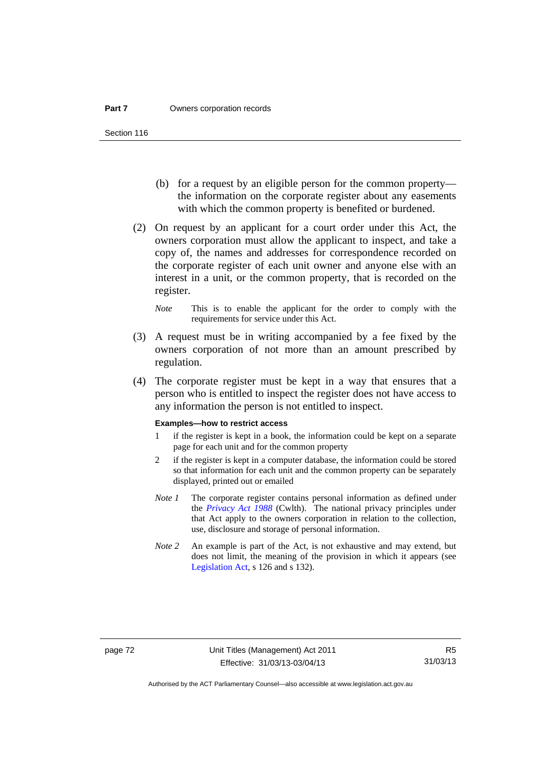- (b) for a request by an eligible person for the common property the information on the corporate register about any easements with which the common property is benefited or burdened.
- (2) On request by an applicant for a court order under this Act, the owners corporation must allow the applicant to inspect, and take a copy of, the names and addresses for correspondence recorded on the corporate register of each unit owner and anyone else with an interest in a unit, or the common property, that is recorded on the register.
	- *Note* This is to enable the applicant for the order to comply with the requirements for service under this Act.
- (3) A request must be in writing accompanied by a fee fixed by the owners corporation of not more than an amount prescribed by regulation.
- (4) The corporate register must be kept in a way that ensures that a person who is entitled to inspect the register does not have access to any information the person is not entitled to inspect.

#### **Examples—how to restrict access**

- 1 if the register is kept in a book, the information could be kept on a separate page for each unit and for the common property
- 2 if the register is kept in a computer database, the information could be stored so that information for each unit and the common property can be separately displayed, printed out or emailed
- *Note 1* The corporate register contains personal information as defined under the *[Privacy Act 1988](http://www.comlaw.gov.au/Current/C2004A03712)* (Cwlth). The national privacy principles under that Act apply to the owners corporation in relation to the collection, use, disclosure and storage of personal information.
- *Note 2* An example is part of the Act, is not exhaustive and may extend, but does not limit, the meaning of the provision in which it appears (see [Legislation Act,](http://www.legislation.act.gov.au/a/2001-14) s 126 and s 132).

Authorised by the ACT Parliamentary Counsel—also accessible at www.legislation.act.gov.au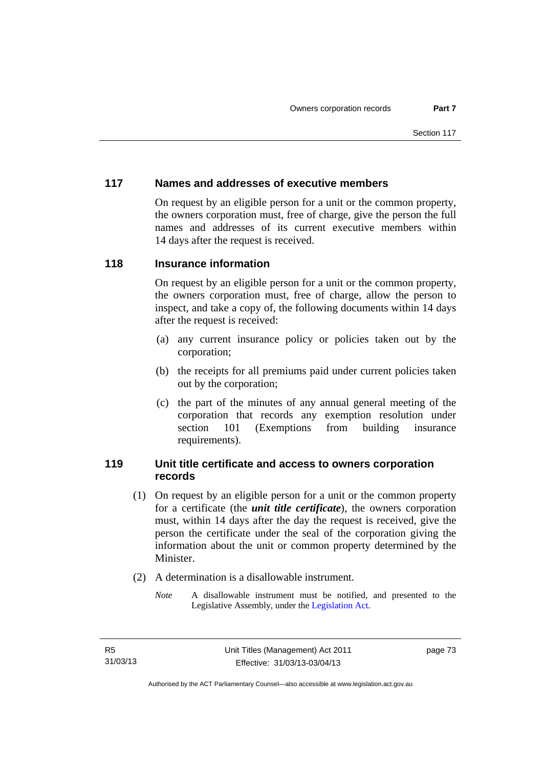## **117 Names and addresses of executive members**

On request by an eligible person for a unit or the common property, the owners corporation must, free of charge, give the person the full names and addresses of its current executive members within 14 days after the request is received.

## **118 Insurance information**

On request by an eligible person for a unit or the common property, the owners corporation must, free of charge, allow the person to inspect, and take a copy of, the following documents within 14 days after the request is received:

- (a) any current insurance policy or policies taken out by the corporation;
- (b) the receipts for all premiums paid under current policies taken out by the corporation;
- (c) the part of the minutes of any annual general meeting of the corporation that records any exemption resolution under section 101 (Exemptions from building insurance requirements).

## **119 Unit title certificate and access to owners corporation records**

- (1) On request by an eligible person for a unit or the common property for a certificate (the *unit title certificate*), the owners corporation must, within 14 days after the day the request is received, give the person the certificate under the seal of the corporation giving the information about the unit or common property determined by the Minister.
- (2) A determination is a disallowable instrument.
	- *Note* A disallowable instrument must be notified, and presented to the Legislative Assembly, under the [Legislation Act.](http://www.legislation.act.gov.au/a/2001-14)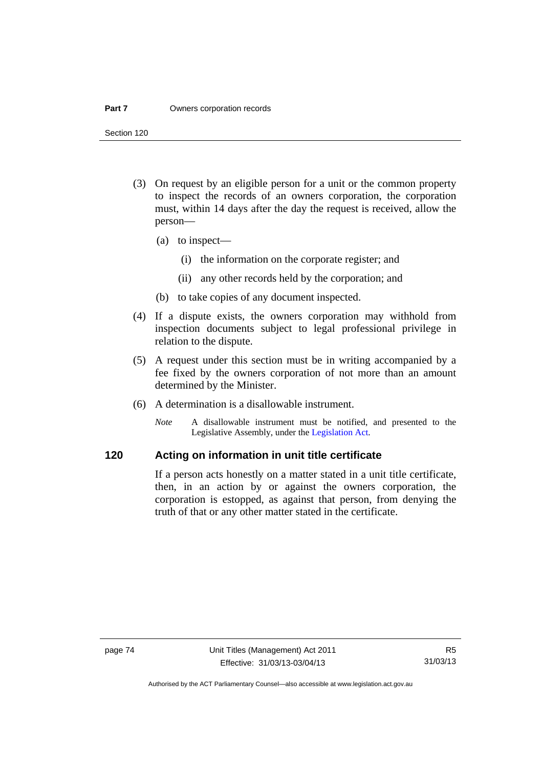#### **Part 7 Owners corporation records**

Section 120

- (3) On request by an eligible person for a unit or the common property to inspect the records of an owners corporation, the corporation must, within 14 days after the day the request is received, allow the person—
	- (a) to inspect—
		- (i) the information on the corporate register; and
		- (ii) any other records held by the corporation; and
	- (b) to take copies of any document inspected.
- (4) If a dispute exists, the owners corporation may withhold from inspection documents subject to legal professional privilege in relation to the dispute.
- (5) A request under this section must be in writing accompanied by a fee fixed by the owners corporation of not more than an amount determined by the Minister.
- (6) A determination is a disallowable instrument.
	- *Note* A disallowable instrument must be notified, and presented to the Legislative Assembly, under the [Legislation Act.](http://www.legislation.act.gov.au/a/2001-14)

## **120 Acting on information in unit title certificate**

If a person acts honestly on a matter stated in a unit title certificate, then, in an action by or against the owners corporation, the corporation is estopped, as against that person, from denying the truth of that or any other matter stated in the certificate.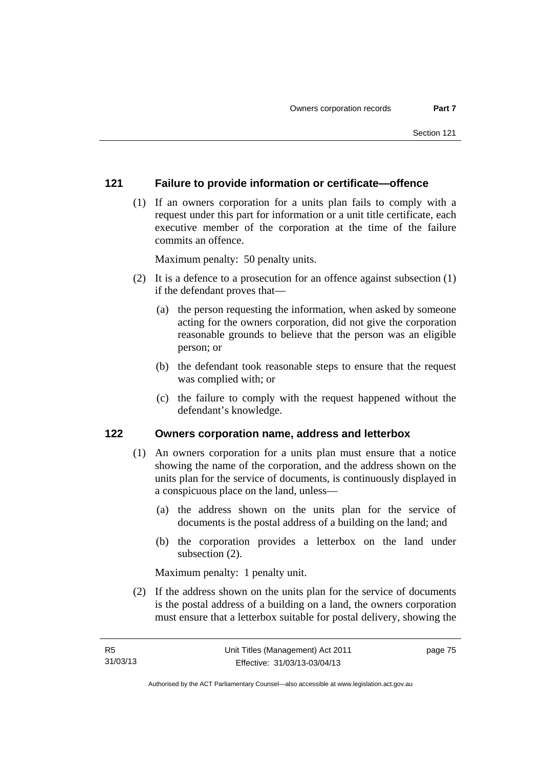## **121 Failure to provide information or certificate—offence**

 (1) If an owners corporation for a units plan fails to comply with a request under this part for information or a unit title certificate, each executive member of the corporation at the time of the failure commits an offence.

Maximum penalty: 50 penalty units.

- (2) It is a defence to a prosecution for an offence against subsection (1) if the defendant proves that—
	- (a) the person requesting the information, when asked by someone acting for the owners corporation, did not give the corporation reasonable grounds to believe that the person was an eligible person; or
	- (b) the defendant took reasonable steps to ensure that the request was complied with; or
	- (c) the failure to comply with the request happened without the defendant's knowledge.

#### **122 Owners corporation name, address and letterbox**

- (1) An owners corporation for a units plan must ensure that a notice showing the name of the corporation, and the address shown on the units plan for the service of documents, is continuously displayed in a conspicuous place on the land, unless—
	- (a) the address shown on the units plan for the service of documents is the postal address of a building on the land; and
	- (b) the corporation provides a letterbox on the land under subsection (2).

Maximum penalty: 1 penalty unit.

 (2) If the address shown on the units plan for the service of documents is the postal address of a building on a land, the owners corporation must ensure that a letterbox suitable for postal delivery, showing the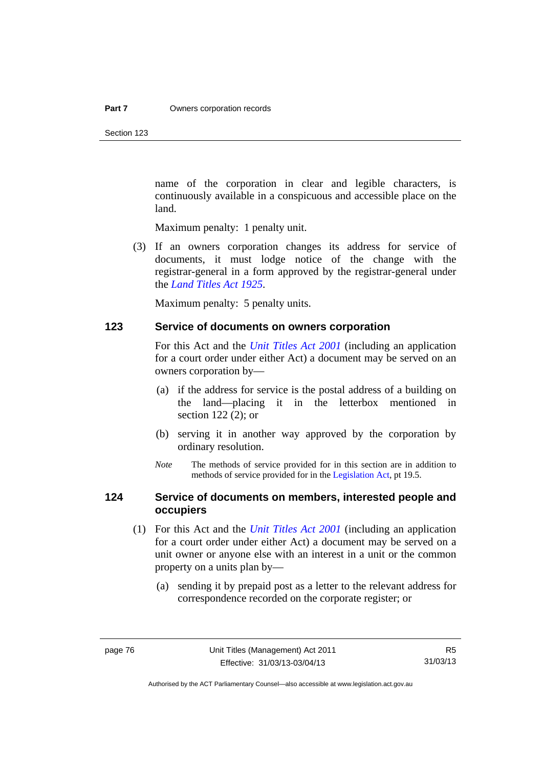Section 123

name of the corporation in clear and legible characters, is continuously available in a conspicuous and accessible place on the land.

Maximum penalty: 1 penalty unit.

 (3) If an owners corporation changes its address for service of documents, it must lodge notice of the change with the registrar-general in a form approved by the registrar-general under the *[Land Titles Act 1925](http://www.legislation.act.gov.au/a/1925-1)*.

Maximum penalty: 5 penalty units.

#### **123 Service of documents on owners corporation**

For this Act and the *[Unit Titles Act 2001](http://www.legislation.act.gov.au/a/2001-16)* (including an application for a court order under either Act) a document may be served on an owners corporation by—

- (a) if the address for service is the postal address of a building on the land—placing it in the letterbox mentioned in section 122 (2); or
- (b) serving it in another way approved by the corporation by ordinary resolution.
- *Note* The methods of service provided for in this section are in addition to methods of service provided for in the [Legislation Act](http://www.legislation.act.gov.au/a/2001-14), pt 19.5.

## **124 Service of documents on members, interested people and occupiers**

- (1) For this Act and the *[Unit Titles Act 2001](http://www.legislation.act.gov.au/a/2001-16)* (including an application for a court order under either Act) a document may be served on a unit owner or anyone else with an interest in a unit or the common property on a units plan by—
	- (a) sending it by prepaid post as a letter to the relevant address for correspondence recorded on the corporate register; or

Authorised by the ACT Parliamentary Counsel—also accessible at www.legislation.act.gov.au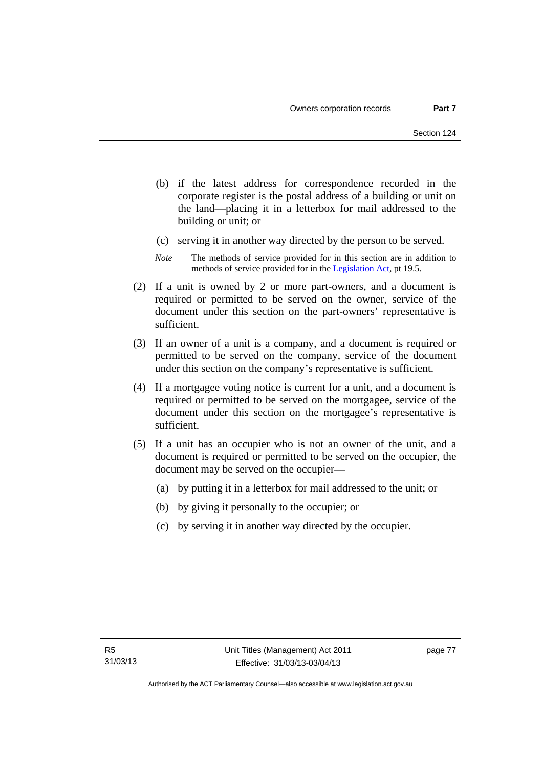- (b) if the latest address for correspondence recorded in the corporate register is the postal address of a building or unit on the land—placing it in a letterbox for mail addressed to the building or unit; or
- (c) serving it in another way directed by the person to be served.
- *Note* The methods of service provided for in this section are in addition to methods of service provided for in the [Legislation Act](http://www.legislation.act.gov.au/a/2001-14), pt 19.5.
- (2) If a unit is owned by 2 or more part-owners, and a document is required or permitted to be served on the owner, service of the document under this section on the part-owners' representative is sufficient.
- (3) If an owner of a unit is a company, and a document is required or permitted to be served on the company, service of the document under this section on the company's representative is sufficient.
- (4) If a mortgagee voting notice is current for a unit, and a document is required or permitted to be served on the mortgagee, service of the document under this section on the mortgagee's representative is sufficient.
- (5) If a unit has an occupier who is not an owner of the unit, and a document is required or permitted to be served on the occupier, the document may be served on the occupier—
	- (a) by putting it in a letterbox for mail addressed to the unit; or
	- (b) by giving it personally to the occupier; or
	- (c) by serving it in another way directed by the occupier.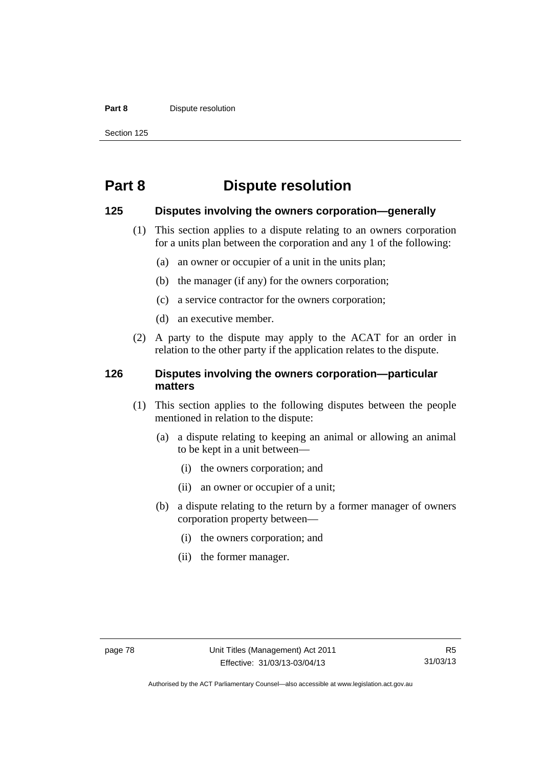#### **Part 8 Dispute resolution**

Section 125

# **Part 8 Dispute resolution**

#### **125 Disputes involving the owners corporation—generally**

- (1) This section applies to a dispute relating to an owners corporation for a units plan between the corporation and any 1 of the following:
	- (a) an owner or occupier of a unit in the units plan;
	- (b) the manager (if any) for the owners corporation;
	- (c) a service contractor for the owners corporation;
	- (d) an executive member.
- (2) A party to the dispute may apply to the ACAT for an order in relation to the other party if the application relates to the dispute.

## **126 Disputes involving the owners corporation—particular matters**

- (1) This section applies to the following disputes between the people mentioned in relation to the dispute:
	- (a) a dispute relating to keeping an animal or allowing an animal to be kept in a unit between—
		- (i) the owners corporation; and
		- (ii) an owner or occupier of a unit;
	- (b) a dispute relating to the return by a former manager of owners corporation property between—
		- (i) the owners corporation; and
		- (ii) the former manager.

Authorised by the ACT Parliamentary Counsel—also accessible at www.legislation.act.gov.au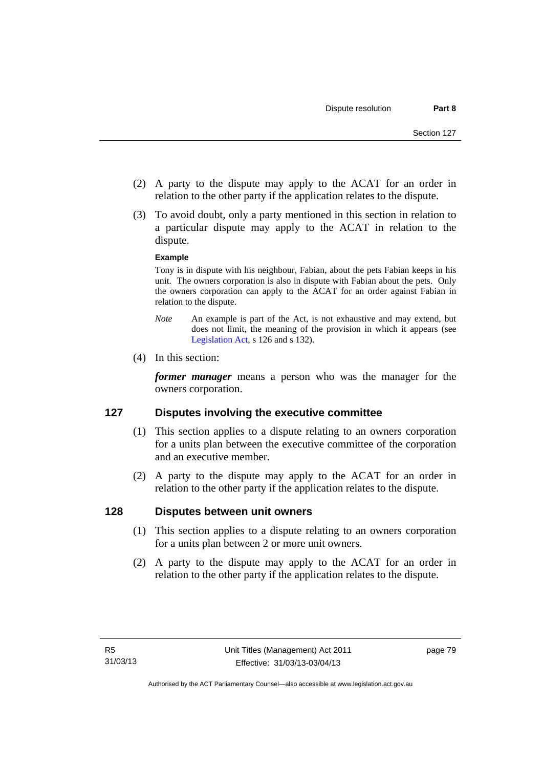- (2) A party to the dispute may apply to the ACAT for an order in relation to the other party if the application relates to the dispute.
- (3) To avoid doubt, only a party mentioned in this section in relation to a particular dispute may apply to the ACAT in relation to the dispute.

#### **Example**

Tony is in dispute with his neighbour, Fabian, about the pets Fabian keeps in his unit. The owners corporation is also in dispute with Fabian about the pets. Only the owners corporation can apply to the ACAT for an order against Fabian in relation to the dispute.

- *Note* An example is part of the Act, is not exhaustive and may extend, but does not limit, the meaning of the provision in which it appears (see [Legislation Act,](http://www.legislation.act.gov.au/a/2001-14) s 126 and s 132).
- (4) In this section:

*former manager* means a person who was the manager for the owners corporation.

## **127 Disputes involving the executive committee**

- (1) This section applies to a dispute relating to an owners corporation for a units plan between the executive committee of the corporation and an executive member.
- (2) A party to the dispute may apply to the ACAT for an order in relation to the other party if the application relates to the dispute.

## **128 Disputes between unit owners**

- (1) This section applies to a dispute relating to an owners corporation for a units plan between 2 or more unit owners.
- (2) A party to the dispute may apply to the ACAT for an order in relation to the other party if the application relates to the dispute.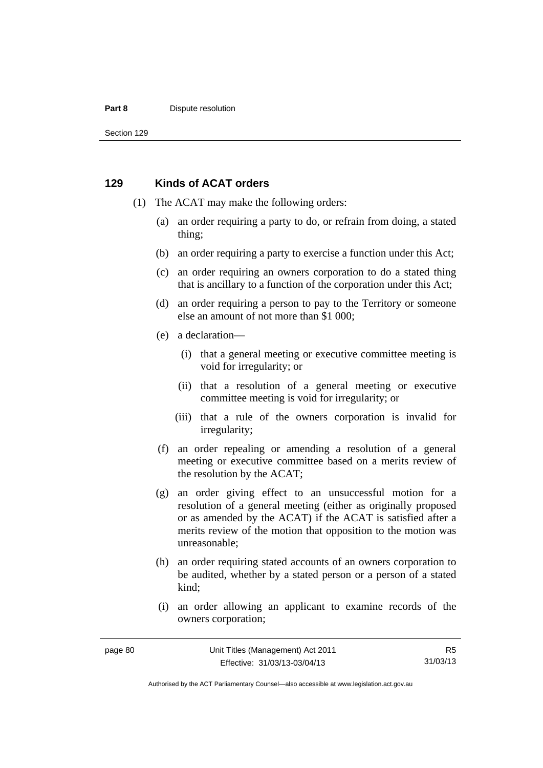#### **Part 8 Dispute resolution**

Section 129

#### **129 Kinds of ACAT orders**

- (1) The ACAT may make the following orders:
	- (a) an order requiring a party to do, or refrain from doing, a stated thing;
	- (b) an order requiring a party to exercise a function under this Act;
	- (c) an order requiring an owners corporation to do a stated thing that is ancillary to a function of the corporation under this Act;
	- (d) an order requiring a person to pay to the Territory or someone else an amount of not more than \$1 000;
	- (e) a declaration—
		- (i) that a general meeting or executive committee meeting is void for irregularity; or
		- (ii) that a resolution of a general meeting or executive committee meeting is void for irregularity; or
		- (iii) that a rule of the owners corporation is invalid for irregularity;
	- (f) an order repealing or amending a resolution of a general meeting or executive committee based on a merits review of the resolution by the ACAT;
	- (g) an order giving effect to an unsuccessful motion for a resolution of a general meeting (either as originally proposed or as amended by the ACAT) if the ACAT is satisfied after a merits review of the motion that opposition to the motion was unreasonable;
	- (h) an order requiring stated accounts of an owners corporation to be audited, whether by a stated person or a person of a stated kind;
	- (i) an order allowing an applicant to examine records of the owners corporation;

R5 31/03/13

Authorised by the ACT Parliamentary Counsel—also accessible at www.legislation.act.gov.au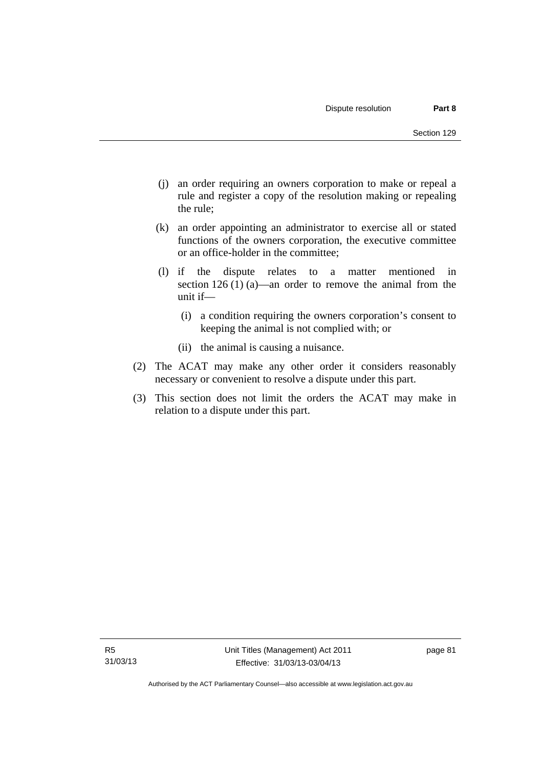- (j) an order requiring an owners corporation to make or repeal a rule and register a copy of the resolution making or repealing the rule;
- (k) an order appointing an administrator to exercise all or stated functions of the owners corporation, the executive committee or an office-holder in the committee;
- (l) if the dispute relates to a matter mentioned in section 126 (1) (a)—an order to remove the animal from the unit if—
	- (i) a condition requiring the owners corporation's consent to keeping the animal is not complied with; or
	- (ii) the animal is causing a nuisance.
- (2) The ACAT may make any other order it considers reasonably necessary or convenient to resolve a dispute under this part.
- (3) This section does not limit the orders the ACAT may make in relation to a dispute under this part.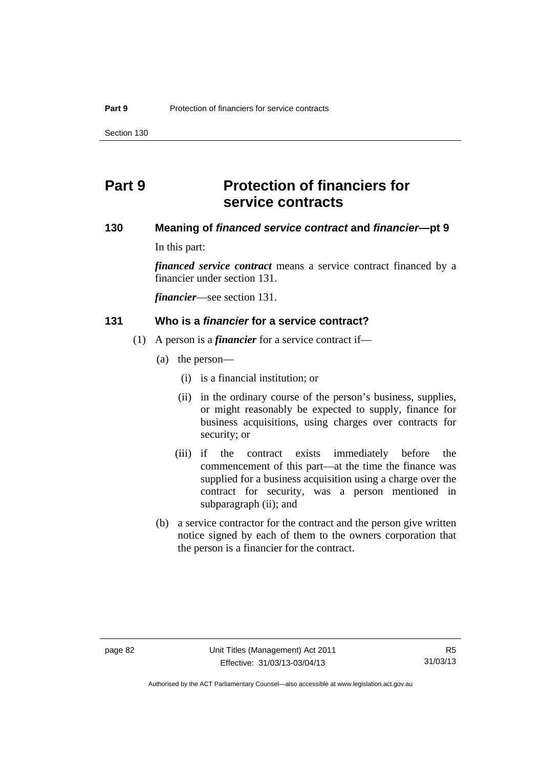Section 130

# **Part 9 Protection of financiers for service contracts**

## **130 Meaning of** *financed service contract* **and** *financier***—pt 9**

In this part:

*financed service contract* means a service contract financed by a financier under section 131.

*financier*—see section 131.

#### **131 Who is a** *financier* **for a service contract?**

- (1) A person is a *financier* for a service contract if—
	- (a) the person—
		- (i) is a financial institution; or
		- (ii) in the ordinary course of the person's business, supplies, or might reasonably be expected to supply, finance for business acquisitions, using charges over contracts for security; or
		- (iii) if the contract exists immediately before the commencement of this part—at the time the finance was supplied for a business acquisition using a charge over the contract for security, was a person mentioned in subparagraph (ii); and
	- (b) a service contractor for the contract and the person give written notice signed by each of them to the owners corporation that the person is a financier for the contract.

Authorised by the ACT Parliamentary Counsel—also accessible at www.legislation.act.gov.au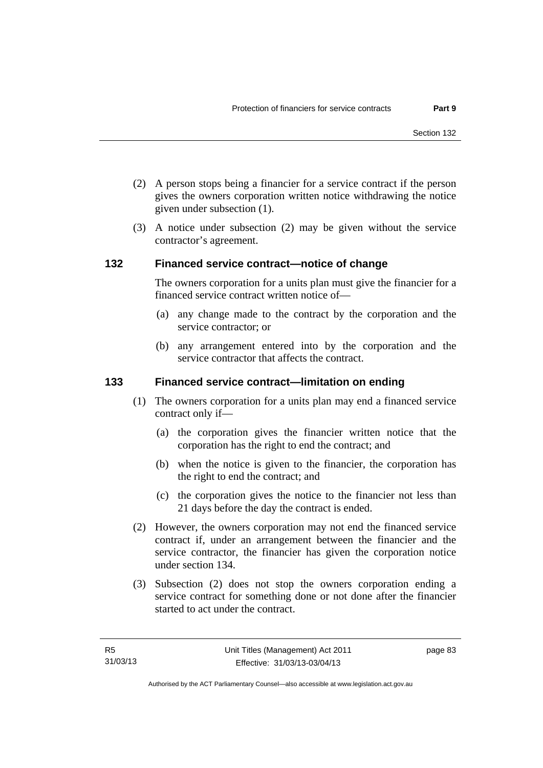- (2) A person stops being a financier for a service contract if the person gives the owners corporation written notice withdrawing the notice given under subsection (1).
- (3) A notice under subsection (2) may be given without the service contractor's agreement.

#### **132 Financed service contract—notice of change**

The owners corporation for a units plan must give the financier for a financed service contract written notice of—

- (a) any change made to the contract by the corporation and the service contractor; or
- (b) any arrangement entered into by the corporation and the service contractor that affects the contract.

### **133 Financed service contract—limitation on ending**

- (1) The owners corporation for a units plan may end a financed service contract only if—
	- (a) the corporation gives the financier written notice that the corporation has the right to end the contract; and
	- (b) when the notice is given to the financier, the corporation has the right to end the contract; and
	- (c) the corporation gives the notice to the financier not less than 21 days before the day the contract is ended.
- (2) However, the owners corporation may not end the financed service contract if, under an arrangement between the financier and the service contractor, the financier has given the corporation notice under section 134.
- (3) Subsection (2) does not stop the owners corporation ending a service contract for something done or not done after the financier started to act under the contract.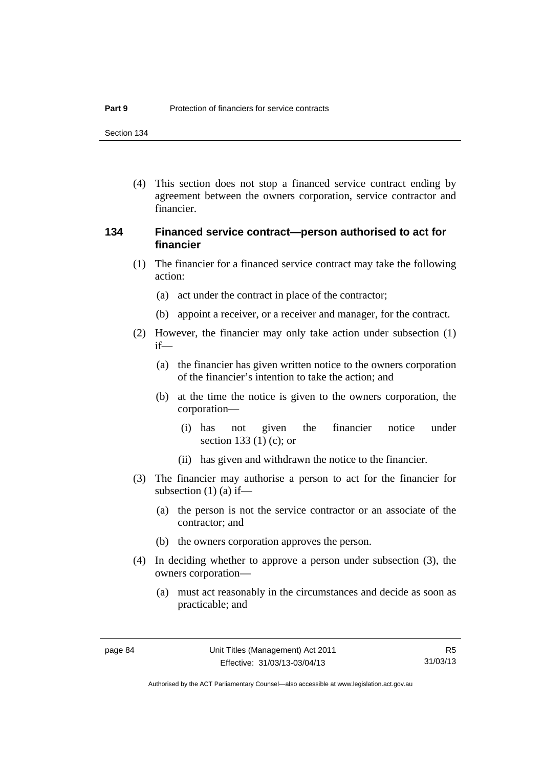Section 134

 (4) This section does not stop a financed service contract ending by agreement between the owners corporation, service contractor and financier.

## **134 Financed service contract—person authorised to act for financier**

- (1) The financier for a financed service contract may take the following action:
	- (a) act under the contract in place of the contractor;
	- (b) appoint a receiver, or a receiver and manager, for the contract.
- (2) However, the financier may only take action under subsection (1) if—
	- (a) the financier has given written notice to the owners corporation of the financier's intention to take the action; and
	- (b) at the time the notice is given to the owners corporation, the corporation—
		- (i) has not given the financier notice under section 133 (1) (c); or
		- (ii) has given and withdrawn the notice to the financier.
- (3) The financier may authorise a person to act for the financier for subsection  $(1)$   $(a)$  if—
	- (a) the person is not the service contractor or an associate of the contractor; and
	- (b) the owners corporation approves the person.
- (4) In deciding whether to approve a person under subsection (3), the owners corporation—
	- (a) must act reasonably in the circumstances and decide as soon as practicable; and

R5 31/03/13

Authorised by the ACT Parliamentary Counsel—also accessible at www.legislation.act.gov.au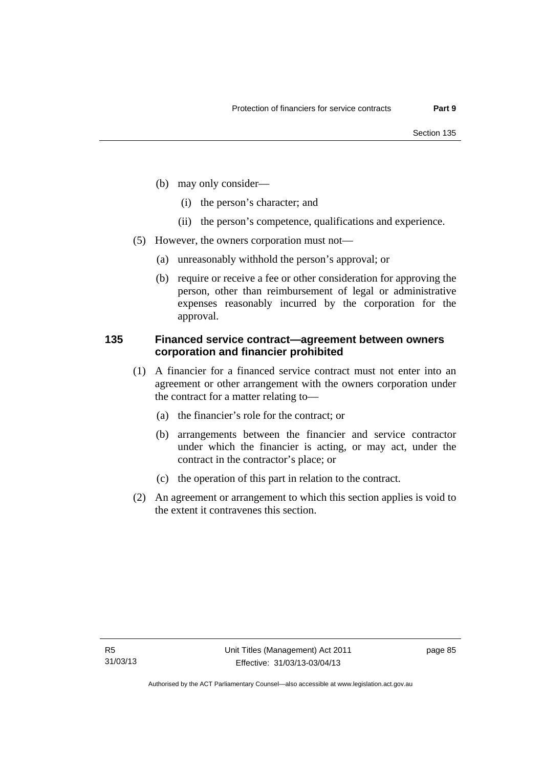- (b) may only consider—
	- (i) the person's character; and
	- (ii) the person's competence, qualifications and experience.
- (5) However, the owners corporation must not—
	- (a) unreasonably withhold the person's approval; or
	- (b) require or receive a fee or other consideration for approving the person, other than reimbursement of legal or administrative expenses reasonably incurred by the corporation for the approval.

## **135 Financed service contract—agreement between owners corporation and financier prohibited**

- (1) A financier for a financed service contract must not enter into an agreement or other arrangement with the owners corporation under the contract for a matter relating to—
	- (a) the financier's role for the contract; or
	- (b) arrangements between the financier and service contractor under which the financier is acting, or may act, under the contract in the contractor's place; or
	- (c) the operation of this part in relation to the contract.
- (2) An agreement or arrangement to which this section applies is void to the extent it contravenes this section.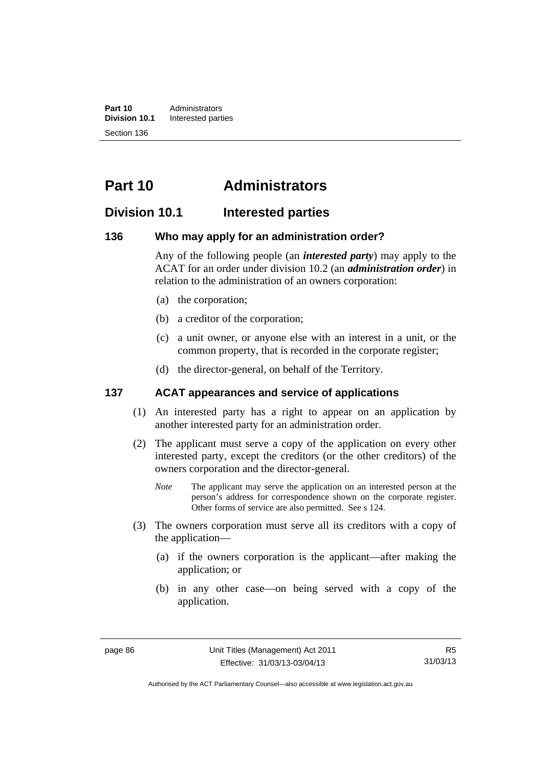**Part 10** Administrators<br>**Division 10.1** Interested part **Division 10.1** Interested parties Section 136

# **Part 10 Administrators**

## **Division 10.1 Interested parties**

#### **136 Who may apply for an administration order?**

Any of the following people (an *interested party*) may apply to the ACAT for an order under division 10.2 (an *administration order*) in relation to the administration of an owners corporation:

- (a) the corporation;
- (b) a creditor of the corporation;
- (c) a unit owner, or anyone else with an interest in a unit, or the common property, that is recorded in the corporate register;
- (d) the director-general, on behalf of the Territory.

## **137 ACAT appearances and service of applications**

- (1) An interested party has a right to appear on an application by another interested party for an administration order.
- (2) The applicant must serve a copy of the application on every other interested party, except the creditors (or the other creditors) of the owners corporation and the director-general.
	- *Note* The applicant may serve the application on an interested person at the person's address for correspondence shown on the corporate register. Other forms of service are also permitted. See s 124.
- (3) The owners corporation must serve all its creditors with a copy of the application—
	- (a) if the owners corporation is the applicant—after making the application; or
	- (b) in any other case—on being served with a copy of the application.

Authorised by the ACT Parliamentary Counsel—also accessible at www.legislation.act.gov.au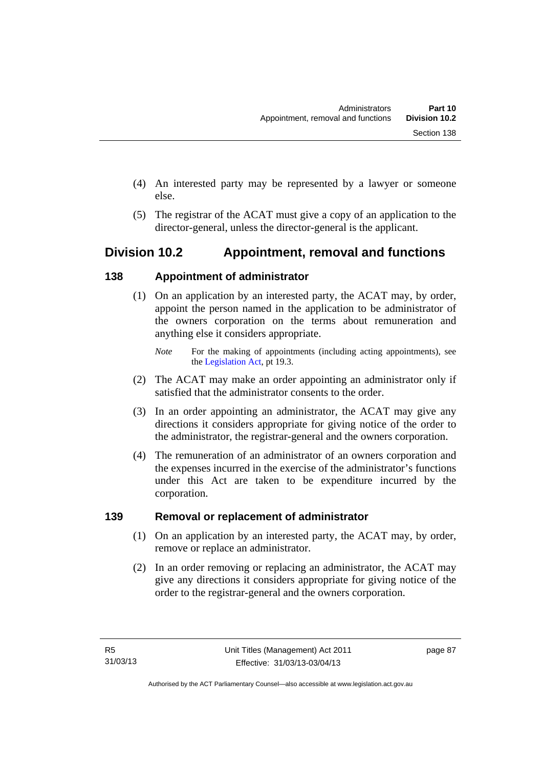- (4) An interested party may be represented by a lawyer or someone else.
- (5) The registrar of the ACAT must give a copy of an application to the director-general, unless the director-general is the applicant.

# **Division 10.2 Appointment, removal and functions**

## **138 Appointment of administrator**

- (1) On an application by an interested party, the ACAT may, by order, appoint the person named in the application to be administrator of the owners corporation on the terms about remuneration and anything else it considers appropriate.
	- *Note* For the making of appointments (including acting appointments), see the [Legislation Act,](http://www.legislation.act.gov.au/a/2001-14) pt 19.3.
- (2) The ACAT may make an order appointing an administrator only if satisfied that the administrator consents to the order.
- (3) In an order appointing an administrator, the ACAT may give any directions it considers appropriate for giving notice of the order to the administrator, the registrar-general and the owners corporation.
- (4) The remuneration of an administrator of an owners corporation and the expenses incurred in the exercise of the administrator's functions under this Act are taken to be expenditure incurred by the corporation.

## **139 Removal or replacement of administrator**

- (1) On an application by an interested party, the ACAT may, by order, remove or replace an administrator.
- (2) In an order removing or replacing an administrator, the ACAT may give any directions it considers appropriate for giving notice of the order to the registrar-general and the owners corporation.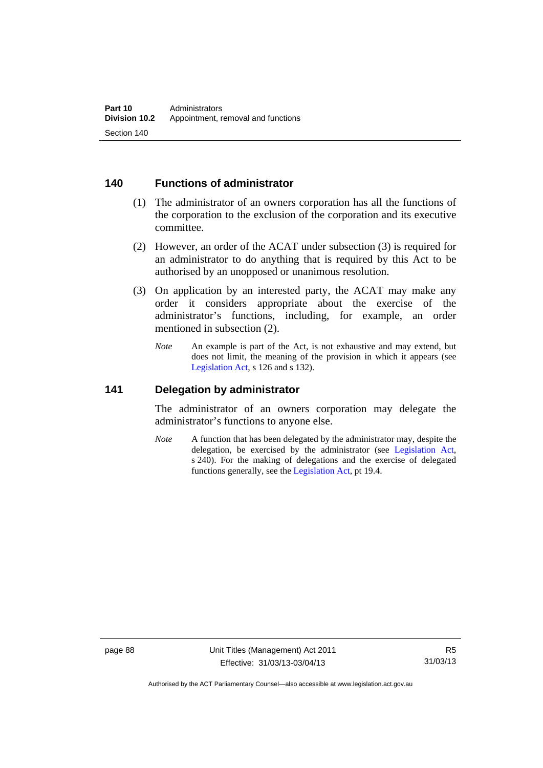## **140 Functions of administrator**

- (1) The administrator of an owners corporation has all the functions of the corporation to the exclusion of the corporation and its executive committee.
- (2) However, an order of the ACAT under subsection (3) is required for an administrator to do anything that is required by this Act to be authorised by an unopposed or unanimous resolution.
- (3) On application by an interested party, the ACAT may make any order it considers appropriate about the exercise of the administrator's functions, including, for example, an order mentioned in subsection (2).
	- *Note* An example is part of the Act, is not exhaustive and may extend, but does not limit, the meaning of the provision in which it appears (see [Legislation Act,](http://www.legislation.act.gov.au/a/2001-14) s 126 and s 132).

### **141 Delegation by administrator**

The administrator of an owners corporation may delegate the administrator's functions to anyone else.

*Note* A function that has been delegated by the administrator may, despite the delegation, be exercised by the administrator (see [Legislation Act,](http://www.legislation.act.gov.au/a/2001-14) s 240). For the making of delegations and the exercise of delegated functions generally, see the [Legislation Act,](http://www.legislation.act.gov.au/a/2001-14) pt 19.4.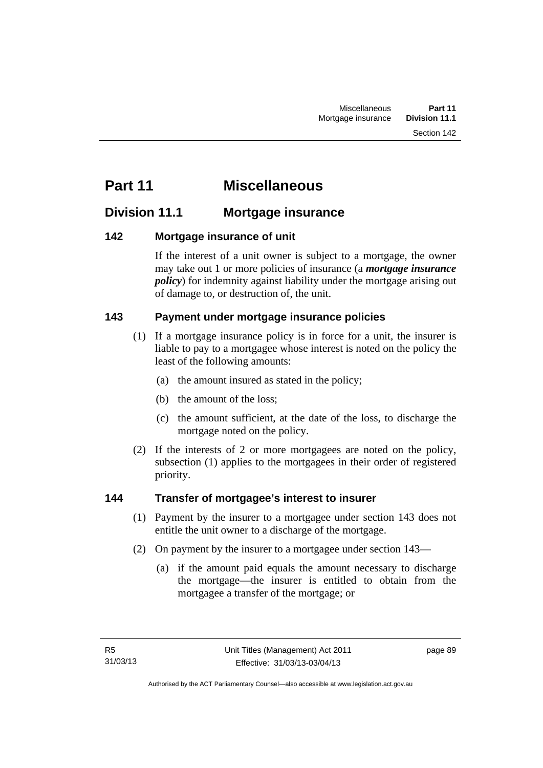# **Part 11 Miscellaneous**

## **Division 11.1 Mortgage insurance**

## **142 Mortgage insurance of unit**

If the interest of a unit owner is subject to a mortgage, the owner may take out 1 or more policies of insurance (a *mortgage insurance policy*) for indemnity against liability under the mortgage arising out of damage to, or destruction of, the unit.

## **143 Payment under mortgage insurance policies**

- (1) If a mortgage insurance policy is in force for a unit, the insurer is liable to pay to a mortgagee whose interest is noted on the policy the least of the following amounts:
	- (a) the amount insured as stated in the policy;
	- (b) the amount of the loss;
	- (c) the amount sufficient, at the date of the loss, to discharge the mortgage noted on the policy.
- (2) If the interests of 2 or more mortgagees are noted on the policy, subsection (1) applies to the mortgagees in their order of registered priority.

## **144 Transfer of mortgagee's interest to insurer**

- (1) Payment by the insurer to a mortgagee under section 143 does not entitle the unit owner to a discharge of the mortgage.
- (2) On payment by the insurer to a mortgagee under section 143—
	- (a) if the amount paid equals the amount necessary to discharge the mortgage—the insurer is entitled to obtain from the mortgagee a transfer of the mortgage; or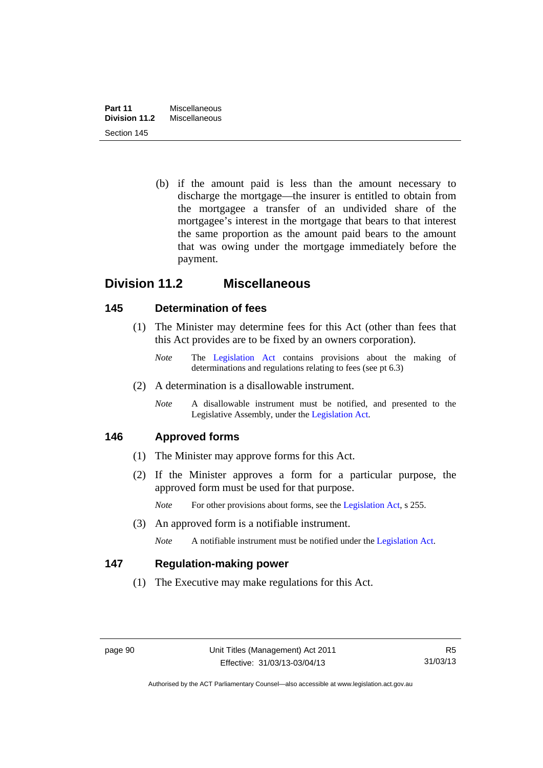(b) if the amount paid is less than the amount necessary to discharge the mortgage—the insurer is entitled to obtain from the mortgagee a transfer of an undivided share of the mortgagee's interest in the mortgage that bears to that interest the same proportion as the amount paid bears to the amount that was owing under the mortgage immediately before the payment.

## **Division 11.2 Miscellaneous**

## **145 Determination of fees**

- (1) The Minister may determine fees for this Act (other than fees that this Act provides are to be fixed by an owners corporation).
	- *Note* The [Legislation Act](http://www.legislation.act.gov.au/a/2001-14) contains provisions about the making of determinations and regulations relating to fees (see pt 6.3)
- (2) A determination is a disallowable instrument.
	- *Note* A disallowable instrument must be notified, and presented to the Legislative Assembly, under the [Legislation Act.](http://www.legislation.act.gov.au/a/2001-14)

## **146 Approved forms**

- (1) The Minister may approve forms for this Act.
- (2) If the Minister approves a form for a particular purpose, the approved form must be used for that purpose.

*Note* For other provisions about forms, see the [Legislation Act,](http://www.legislation.act.gov.au/a/2001-14) s 255.

(3) An approved form is a notifiable instrument.

*Note* A notifiable instrument must be notified under the [Legislation Act](http://www.legislation.act.gov.au/a/2001-14).

## **147 Regulation-making power**

(1) The Executive may make regulations for this Act.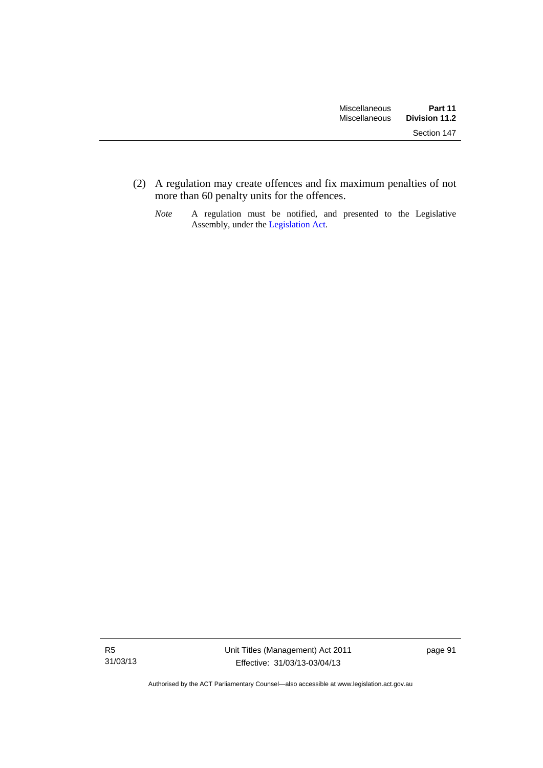(2) A regulation may create offences and fix maximum penalties of not more than 60 penalty units for the offences.

*Note* A regulation must be notified, and presented to the Legislative Assembly, under the [Legislation Act](http://www.legislation.act.gov.au/a/2001-14).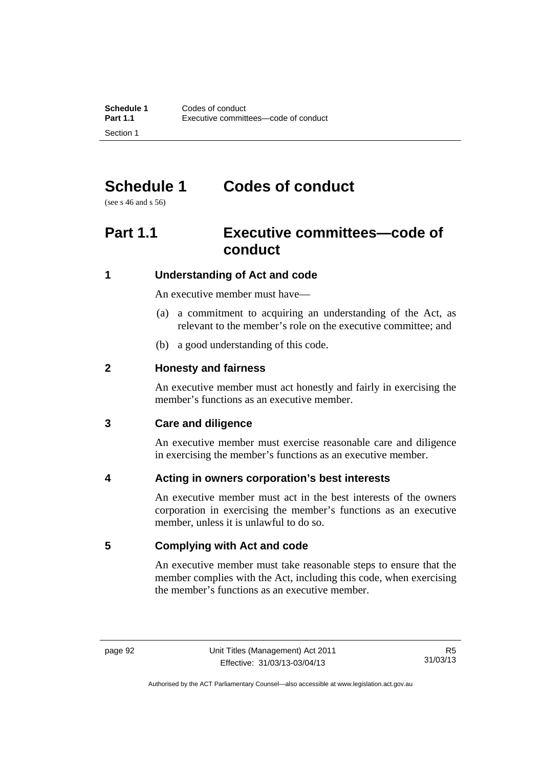# **Schedule 1 Codes of conduct**

(see s 46 and s 56)

# **Part 1.1 Executive committees—code of conduct**

## **1 Understanding of Act and code**

An executive member must have—

- (a) a commitment to acquiring an understanding of the Act, as relevant to the member's role on the executive committee; and
- (b) a good understanding of this code.

## **2 Honesty and fairness**

An executive member must act honestly and fairly in exercising the member's functions as an executive member.

## **3 Care and diligence**

An executive member must exercise reasonable care and diligence in exercising the member's functions as an executive member.

## **4 Acting in owners corporation's best interests**

An executive member must act in the best interests of the owners corporation in exercising the member's functions as an executive member, unless it is unlawful to do so.

## **5 Complying with Act and code**

An executive member must take reasonable steps to ensure that the member complies with the Act, including this code, when exercising the member's functions as an executive member.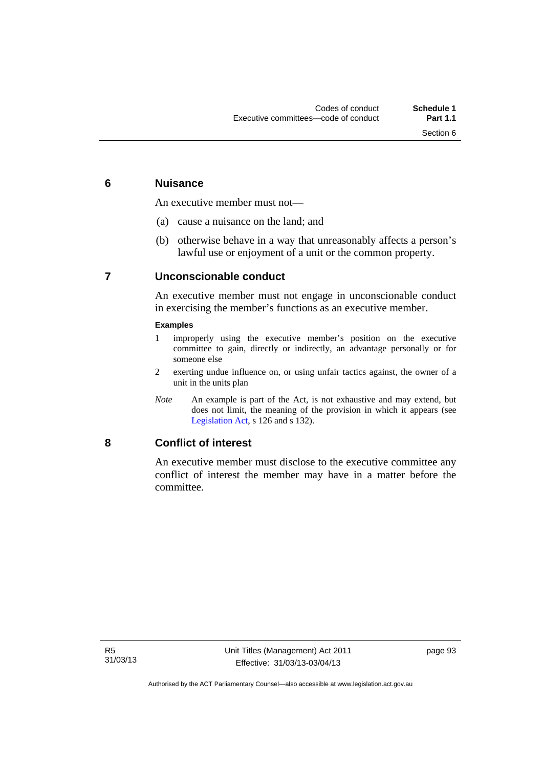## **6 Nuisance**

An executive member must not—

- (a) cause a nuisance on the land; and
- (b) otherwise behave in a way that unreasonably affects a person's lawful use or enjoyment of a unit or the common property.

## **7 Unconscionable conduct**

An executive member must not engage in unconscionable conduct in exercising the member's functions as an executive member.

#### **Examples**

- 1 improperly using the executive member's position on the executive committee to gain, directly or indirectly, an advantage personally or for someone else
- 2 exerting undue influence on, or using unfair tactics against, the owner of a unit in the units plan
- *Note* An example is part of the Act, is not exhaustive and may extend, but does not limit, the meaning of the provision in which it appears (see [Legislation Act,](http://www.legislation.act.gov.au/a/2001-14) s 126 and s 132).

## **8 Conflict of interest**

An executive member must disclose to the executive committee any conflict of interest the member may have in a matter before the committee.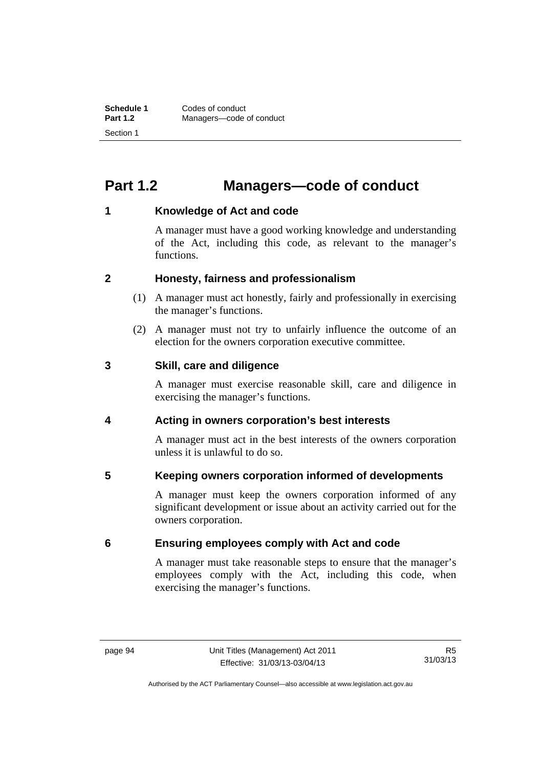# **Part 1.2 Managers—code of conduct**

## **1 Knowledge of Act and code**

A manager must have a good working knowledge and understanding of the Act, including this code, as relevant to the manager's functions.

## **2 Honesty, fairness and professionalism**

- (1) A manager must act honestly, fairly and professionally in exercising the manager's functions.
- (2) A manager must not try to unfairly influence the outcome of an election for the owners corporation executive committee.

## **3 Skill, care and diligence**

A manager must exercise reasonable skill, care and diligence in exercising the manager's functions.

## **4 Acting in owners corporation's best interests**

A manager must act in the best interests of the owners corporation unless it is unlawful to do so.

## **5 Keeping owners corporation informed of developments**

A manager must keep the owners corporation informed of any significant development or issue about an activity carried out for the owners corporation.

## **6 Ensuring employees comply with Act and code**

A manager must take reasonable steps to ensure that the manager's employees comply with the Act, including this code, when exercising the manager's functions.

Authorised by the ACT Parliamentary Counsel—also accessible at www.legislation.act.gov.au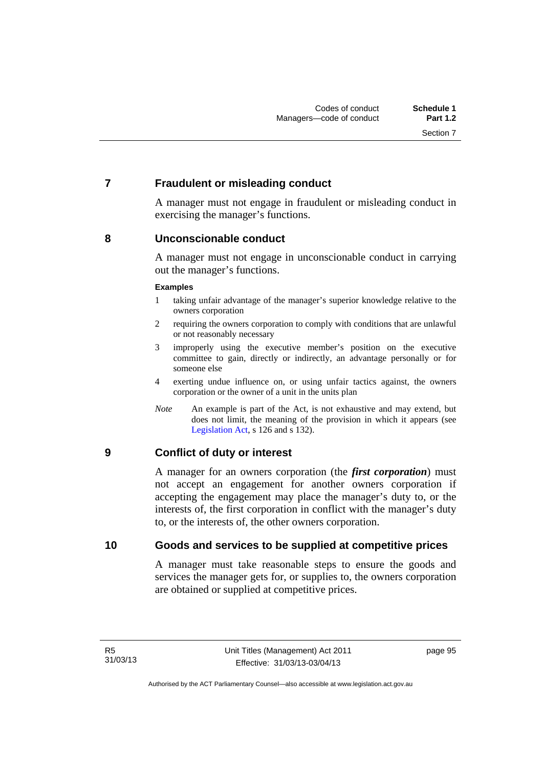## **7 Fraudulent or misleading conduct**

A manager must not engage in fraudulent or misleading conduct in exercising the manager's functions.

## **8 Unconscionable conduct**

A manager must not engage in unconscionable conduct in carrying out the manager's functions.

#### **Examples**

- 1 taking unfair advantage of the manager's superior knowledge relative to the owners corporation
- 2 requiring the owners corporation to comply with conditions that are unlawful or not reasonably necessary
- 3 improperly using the executive member's position on the executive committee to gain, directly or indirectly, an advantage personally or for someone else
- 4 exerting undue influence on, or using unfair tactics against, the owners corporation or the owner of a unit in the units plan
- *Note* An example is part of the Act, is not exhaustive and may extend, but does not limit, the meaning of the provision in which it appears (see [Legislation Act,](http://www.legislation.act.gov.au/a/2001-14) s 126 and s 132).

## **9 Conflict of duty or interest**

A manager for an owners corporation (the *first corporation*) must not accept an engagement for another owners corporation if accepting the engagement may place the manager's duty to, or the interests of, the first corporation in conflict with the manager's duty to, or the interests of, the other owners corporation.

## **10 Goods and services to be supplied at competitive prices**

A manager must take reasonable steps to ensure the goods and services the manager gets for, or supplies to, the owners corporation are obtained or supplied at competitive prices.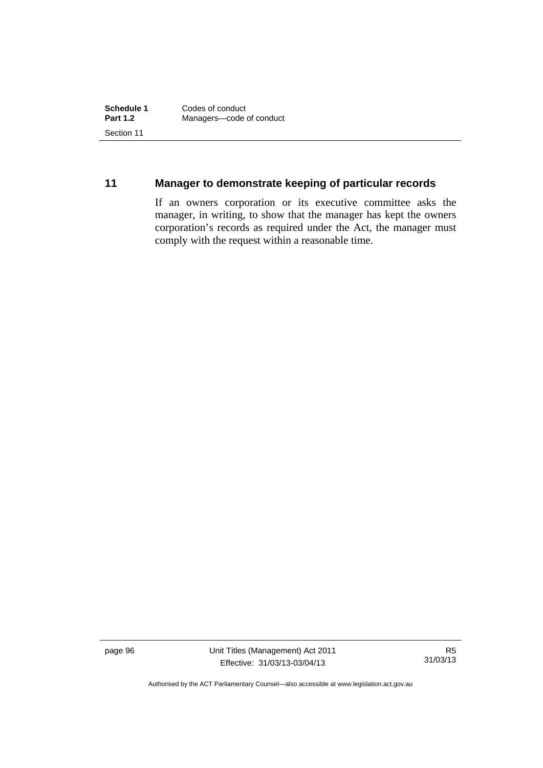## **11 Manager to demonstrate keeping of particular records**

If an owners corporation or its executive committee asks the manager, in writing, to show that the manager has kept the owners corporation's records as required under the Act, the manager must comply with the request within a reasonable time.

page 96 Unit Titles (Management) Act 2011 Effective: 31/03/13-03/04/13

R5 31/03/13

Authorised by the ACT Parliamentary Counsel—also accessible at www.legislation.act.gov.au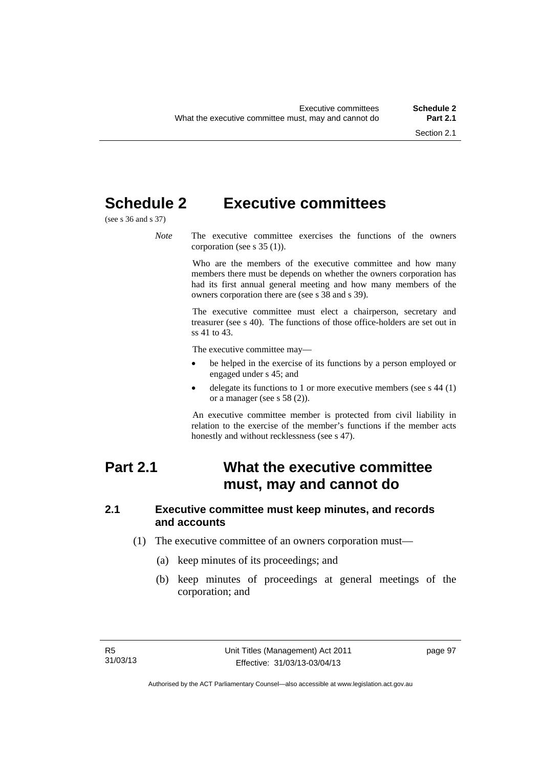# **Schedule 2 Executive committees**

(see s 36 and s 37)

*Note* The executive committee exercises the functions of the owners corporation (see s 35 (1)).

> Who are the members of the executive committee and how many members there must be depends on whether the owners corporation has had its first annual general meeting and how many members of the owners corporation there are (see s 38 and s 39).

> The executive committee must elect a chairperson, secretary and treasurer (see s 40). The functions of those office-holders are set out in ss 41 to 43.

The executive committee may—

- be helped in the exercise of its functions by a person employed or engaged under s 45; and
- delegate its functions to 1 or more executive members (see s 44 (1) or a manager (see s 58 (2)).

An executive committee member is protected from civil liability in relation to the exercise of the member's functions if the member acts honestly and without recklessness (see s 47).

# **Part 2.1 What the executive committee must, may and cannot do**

#### **2.1 Executive committee must keep minutes, and records and accounts**

- (1) The executive committee of an owners corporation must—
	- (a) keep minutes of its proceedings; and
	- (b) keep minutes of proceedings at general meetings of the corporation; and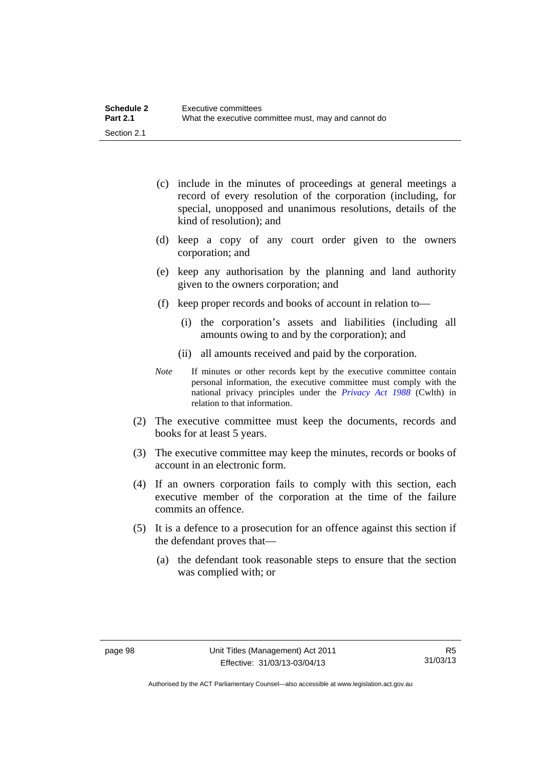| <b>Schedule 2</b> | Executive committees                                 |
|-------------------|------------------------------------------------------|
| <b>Part 2.1</b>   | What the executive committee must, may and cannot do |
| Section 2.1       |                                                      |

- (c) include in the minutes of proceedings at general meetings a record of every resolution of the corporation (including, for special, unopposed and unanimous resolutions, details of the kind of resolution); and
- (d) keep a copy of any court order given to the owners corporation; and
- (e) keep any authorisation by the planning and land authority given to the owners corporation; and
- (f) keep proper records and books of account in relation to—
	- (i) the corporation's assets and liabilities (including all amounts owing to and by the corporation); and
	- (ii) all amounts received and paid by the corporation.
- *Note* If minutes or other records kept by the executive committee contain personal information, the executive committee must comply with the national privacy principles under the *[Privacy Act 1988](http://www.comlaw.gov.au/Current/C2004A03712)* (Cwlth) in relation to that information.
- (2) The executive committee must keep the documents, records and books for at least 5 years.
- (3) The executive committee may keep the minutes, records or books of account in an electronic form.
- (4) If an owners corporation fails to comply with this section, each executive member of the corporation at the time of the failure commits an offence.
- (5) It is a defence to a prosecution for an offence against this section if the defendant proves that—
	- (a) the defendant took reasonable steps to ensure that the section was complied with; or

Authorised by the ACT Parliamentary Counsel—also accessible at www.legislation.act.gov.au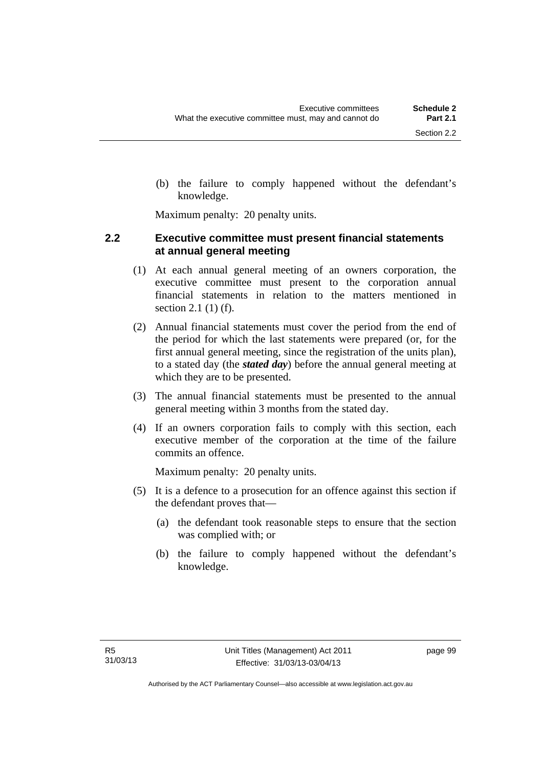(b) the failure to comply happened without the defendant's knowledge.

Maximum penalty: 20 penalty units.

#### **2.2 Executive committee must present financial statements at annual general meeting**

- (1) At each annual general meeting of an owners corporation, the executive committee must present to the corporation annual financial statements in relation to the matters mentioned in section 2.1 (1) (f).
- (2) Annual financial statements must cover the period from the end of the period for which the last statements were prepared (or, for the first annual general meeting, since the registration of the units plan), to a stated day (the *stated day*) before the annual general meeting at which they are to be presented.
- (3) The annual financial statements must be presented to the annual general meeting within 3 months from the stated day.
- (4) If an owners corporation fails to comply with this section, each executive member of the corporation at the time of the failure commits an offence.

Maximum penalty: 20 penalty units.

- (5) It is a defence to a prosecution for an offence against this section if the defendant proves that—
	- (a) the defendant took reasonable steps to ensure that the section was complied with; or
	- (b) the failure to comply happened without the defendant's knowledge.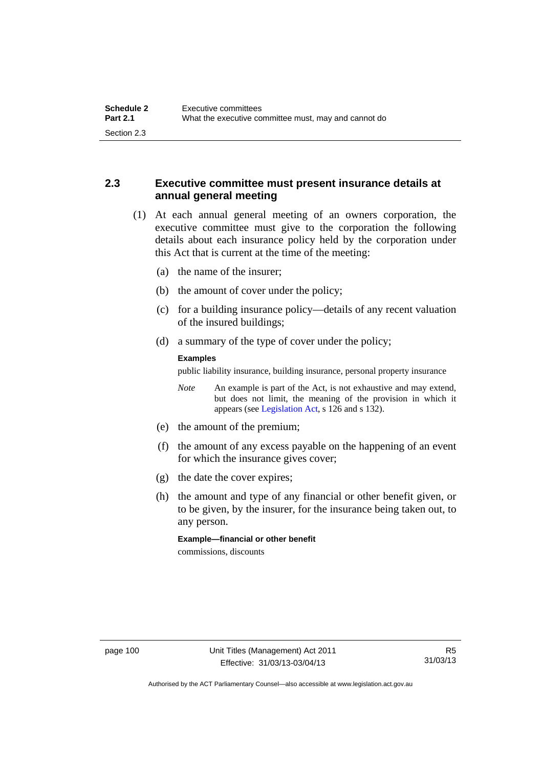### **2.3 Executive committee must present insurance details at annual general meeting**

- (1) At each annual general meeting of an owners corporation, the executive committee must give to the corporation the following details about each insurance policy held by the corporation under this Act that is current at the time of the meeting:
	- (a) the name of the insurer;
	- (b) the amount of cover under the policy;
	- (c) for a building insurance policy—details of any recent valuation of the insured buildings;
	- (d) a summary of the type of cover under the policy;

#### **Examples**

public liability insurance, building insurance, personal property insurance

*Note* An example is part of the Act, is not exhaustive and may extend, but does not limit, the meaning of the provision in which it appears (see [Legislation Act,](http://www.legislation.act.gov.au/a/2001-14) s 126 and s 132).

- (e) the amount of the premium;
- (f) the amount of any excess payable on the happening of an event for which the insurance gives cover;
- (g) the date the cover expires;
- (h) the amount and type of any financial or other benefit given, or to be given, by the insurer, for the insurance being taken out, to any person.

**Example—financial or other benefit** 

commissions, discounts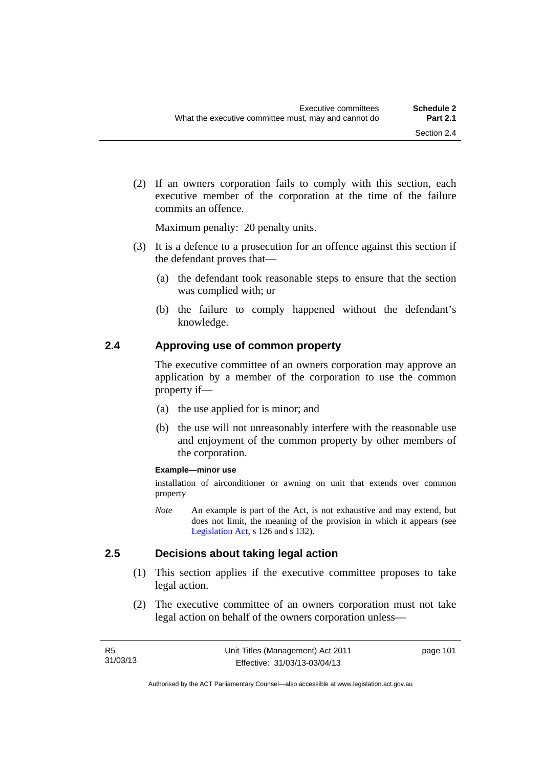(2) If an owners corporation fails to comply with this section, each executive member of the corporation at the time of the failure commits an offence.

Maximum penalty: 20 penalty units.

- (3) It is a defence to a prosecution for an offence against this section if the defendant proves that—
	- (a) the defendant took reasonable steps to ensure that the section was complied with; or
	- (b) the failure to comply happened without the defendant's knowledge.

#### **2.4 Approving use of common property**

The executive committee of an owners corporation may approve an application by a member of the corporation to use the common property if—

- (a) the use applied for is minor; and
- (b) the use will not unreasonably interfere with the reasonable use and enjoyment of the common property by other members of the corporation.

#### **Example—minor use**

installation of airconditioner or awning on unit that extends over common property

*Note* An example is part of the Act, is not exhaustive and may extend, but does not limit, the meaning of the provision in which it appears (see [Legislation Act,](http://www.legislation.act.gov.au/a/2001-14) s 126 and s 132).

#### **2.5 Decisions about taking legal action**

- (1) This section applies if the executive committee proposes to take legal action.
- (2) The executive committee of an owners corporation must not take legal action on behalf of the owners corporation unless—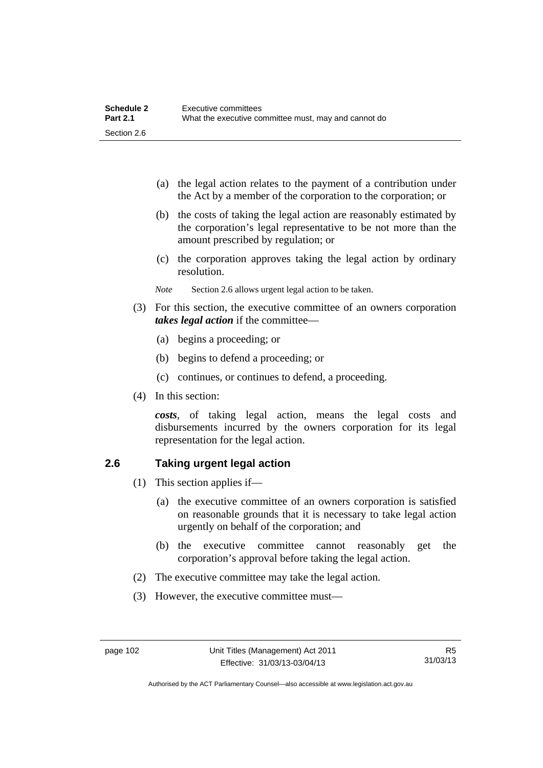| <b>Schedule 2</b> | Executive committees                                 |
|-------------------|------------------------------------------------------|
| <b>Part 2.1</b>   | What the executive committee must, may and cannot do |
| Section 2.6       |                                                      |

- (a) the legal action relates to the payment of a contribution under the Act by a member of the corporation to the corporation; or
- (b) the costs of taking the legal action are reasonably estimated by the corporation's legal representative to be not more than the amount prescribed by regulation; or
- (c) the corporation approves taking the legal action by ordinary resolution.
- *Note* Section 2.6 allows urgent legal action to be taken.
- (3) For this section, the executive committee of an owners corporation *takes legal action* if the committee—
	- (a) begins a proceeding; or
	- (b) begins to defend a proceeding; or
	- (c) continues, or continues to defend, a proceeding.
- (4) In this section:

*costs*, of taking legal action, means the legal costs and disbursements incurred by the owners corporation for its legal representation for the legal action.

#### **2.6 Taking urgent legal action**

- (1) This section applies if—
	- (a) the executive committee of an owners corporation is satisfied on reasonable grounds that it is necessary to take legal action urgently on behalf of the corporation; and
	- (b) the executive committee cannot reasonably get the corporation's approval before taking the legal action.
- (2) The executive committee may take the legal action.
- (3) However, the executive committee must—

Authorised by the ACT Parliamentary Counsel—also accessible at www.legislation.act.gov.au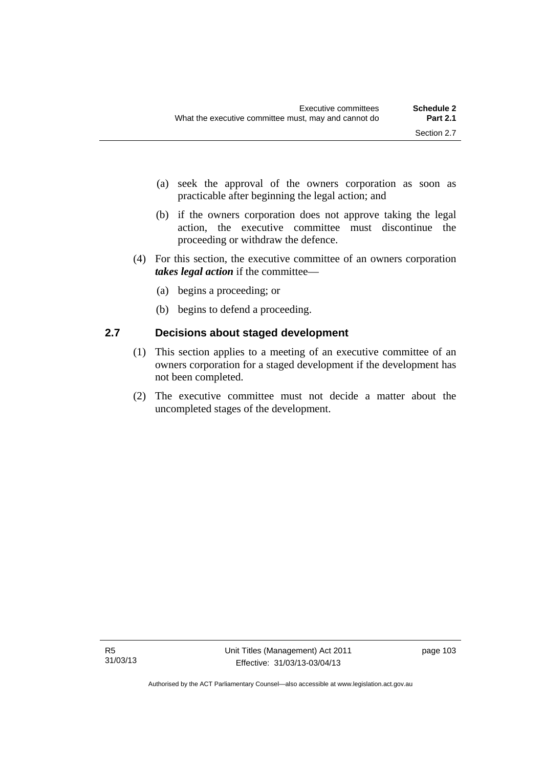- (a) seek the approval of the owners corporation as soon as practicable after beginning the legal action; and
- (b) if the owners corporation does not approve taking the legal action, the executive committee must discontinue the proceeding or withdraw the defence.
- (4) For this section, the executive committee of an owners corporation *takes legal action* if the committee—
	- (a) begins a proceeding; or
	- (b) begins to defend a proceeding.

### **2.7 Decisions about staged development**

- (1) This section applies to a meeting of an executive committee of an owners corporation for a staged development if the development has not been completed.
- (2) The executive committee must not decide a matter about the uncompleted stages of the development.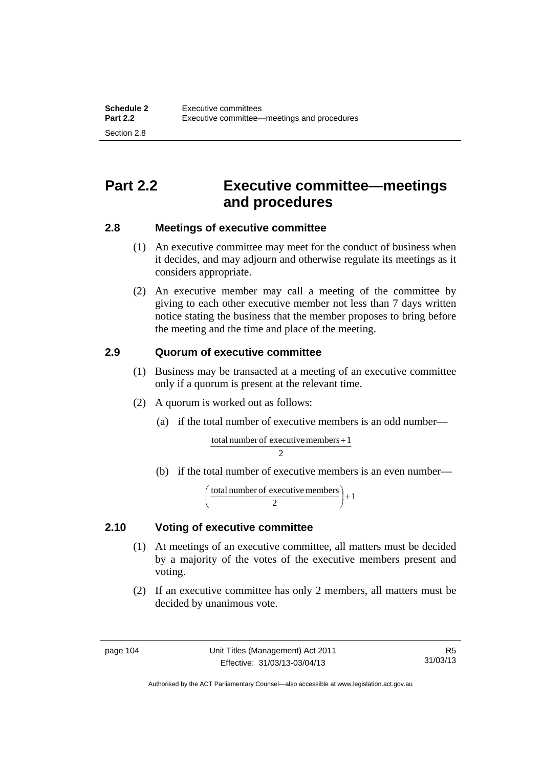# **Part 2.2 Executive committee—meetings and procedures**

### **2.8 Meetings of executive committee**

- (1) An executive committee may meet for the conduct of business when it decides, and may adjourn and otherwise regulate its meetings as it considers appropriate.
- (2) An executive member may call a meeting of the committee by giving to each other executive member not less than 7 days written notice stating the business that the member proposes to bring before the meeting and the time and place of the meeting.

### **2.9 Quorum of executive committee**

- (1) Business may be transacted at a meeting of an executive committee only if a quorum is present at the relevant time.
- (2) A quorum is worked out as follows:
	- (a) if the total number of executive members is an odd number—

 $\mathcal{D}$ total number of executive members  $+1$ 

(b) if the total number of executive members is an even number—

$$
\left(\frac{\text{total number of executive members}}{2}\right) + 1
$$

### **2.10 Voting of executive committee**

- (1) At meetings of an executive committee, all matters must be decided by a majority of the votes of the executive members present and voting.
- (2) If an executive committee has only 2 members, all matters must be decided by unanimous vote.

Authorised by the ACT Parliamentary Counsel—also accessible at www.legislation.act.gov.au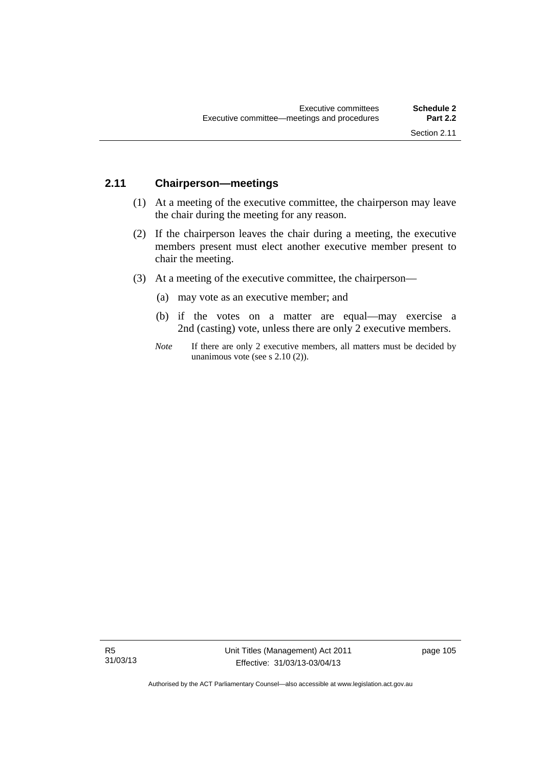#### **2.11 Chairperson—meetings**

- (1) At a meeting of the executive committee, the chairperson may leave the chair during the meeting for any reason.
- (2) If the chairperson leaves the chair during a meeting, the executive members present must elect another executive member present to chair the meeting.
- (3) At a meeting of the executive committee, the chairperson—
	- (a) may vote as an executive member; and
	- (b) if the votes on a matter are equal—may exercise a 2nd (casting) vote, unless there are only 2 executive members.
	- *Note* If there are only 2 executive members, all matters must be decided by unanimous vote (see s 2.10 (2)).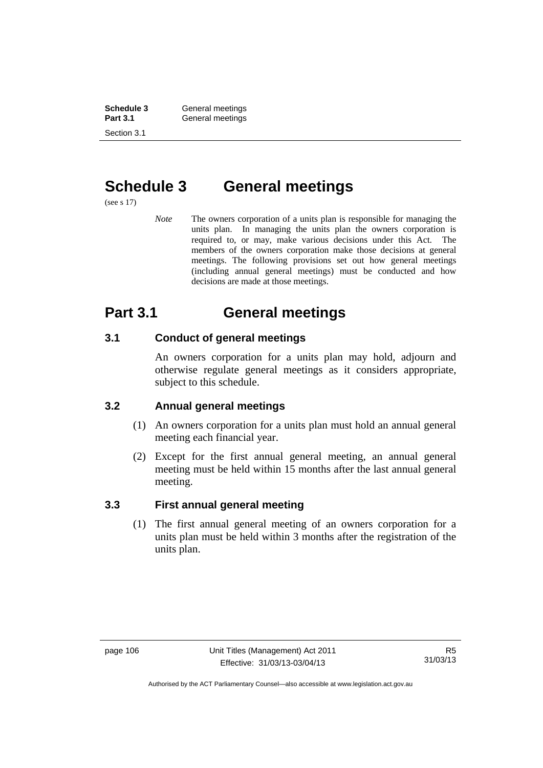**Schedule 3 General meetings**<br> **Part 3.1 General meetings** Section 3.1

# General meetings

# **Schedule 3 General meetings**

(see s 17)

*Note* The owners corporation of a units plan is responsible for managing the units plan. In managing the units plan the owners corporation is required to, or may, make various decisions under this Act. The members of the owners corporation make those decisions at general meetings. The following provisions set out how general meetings (including annual general meetings) must be conducted and how decisions are made at those meetings.

# **Part 3.1 General meetings**

### **3.1 Conduct of general meetings**

An owners corporation for a units plan may hold, adjourn and otherwise regulate general meetings as it considers appropriate, subject to this schedule.

### **3.2 Annual general meetings**

- (1) An owners corporation for a units plan must hold an annual general meeting each financial year.
- (2) Except for the first annual general meeting, an annual general meeting must be held within 15 months after the last annual general meeting.

### **3.3 First annual general meeting**

(1) The first annual general meeting of an owners corporation for a units plan must be held within 3 months after the registration of the units plan.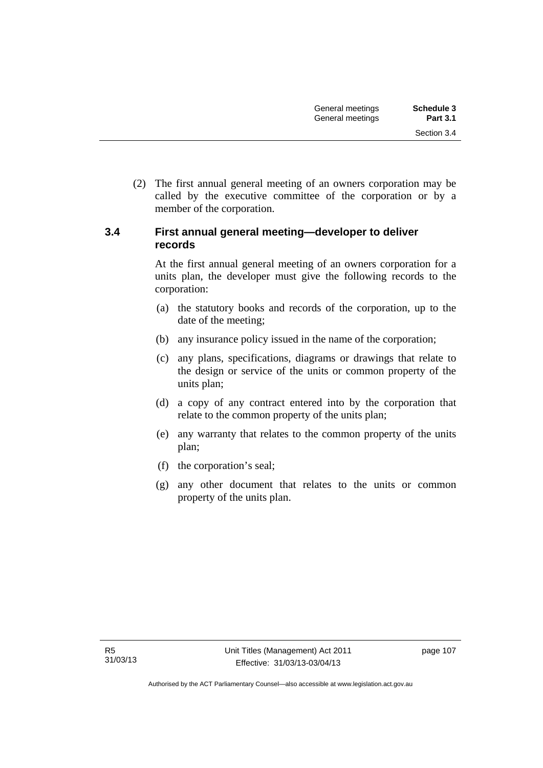(2) The first annual general meeting of an owners corporation may be called by the executive committee of the corporation or by a member of the corporation.

#### **3.4 First annual general meeting—developer to deliver records**

At the first annual general meeting of an owners corporation for a units plan, the developer must give the following records to the corporation:

- (a) the statutory books and records of the corporation, up to the date of the meeting;
- (b) any insurance policy issued in the name of the corporation;
- (c) any plans, specifications, diagrams or drawings that relate to the design or service of the units or common property of the units plan;
- (d) a copy of any contract entered into by the corporation that relate to the common property of the units plan;
- (e) any warranty that relates to the common property of the units plan;
- (f) the corporation's seal;
- (g) any other document that relates to the units or common property of the units plan.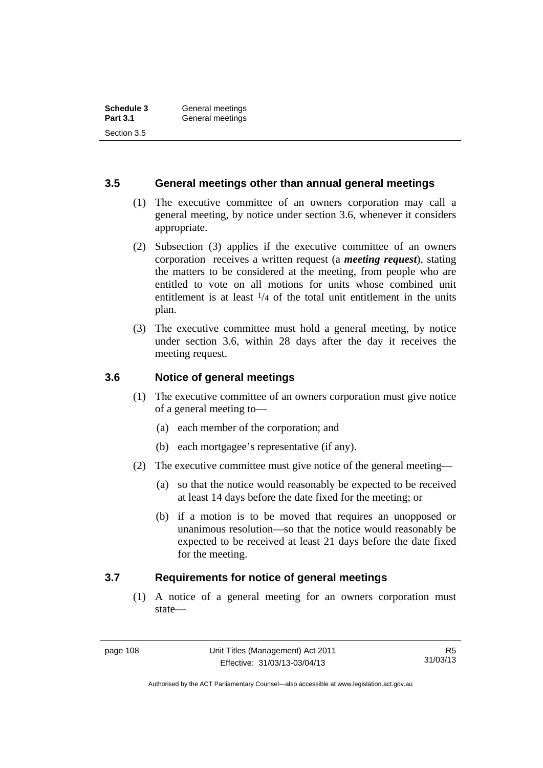#### **3.5 General meetings other than annual general meetings**

- (1) The executive committee of an owners corporation may call a general meeting, by notice under section 3.6, whenever it considers appropriate.
- (2) Subsection (3) applies if the executive committee of an owners corporation receives a written request (a *meeting request*), stating the matters to be considered at the meeting, from people who are entitled to vote on all motions for units whose combined unit entitlement is at least  $\frac{1}{4}$  of the total unit entitlement in the units plan.
- (3) The executive committee must hold a general meeting, by notice under section 3.6, within 28 days after the day it receives the meeting request.

### **3.6 Notice of general meetings**

- (1) The executive committee of an owners corporation must give notice of a general meeting to—
	- (a) each member of the corporation; and
	- (b) each mortgagee's representative (if any).
- (2) The executive committee must give notice of the general meeting—
	- (a) so that the notice would reasonably be expected to be received at least 14 days before the date fixed for the meeting; or
	- (b) if a motion is to be moved that requires an unopposed or unanimous resolution—so that the notice would reasonably be expected to be received at least 21 days before the date fixed for the meeting.

#### **3.7 Requirements for notice of general meetings**

(1) A notice of a general meeting for an owners corporation must state—

Authorised by the ACT Parliamentary Counsel—also accessible at www.legislation.act.gov.au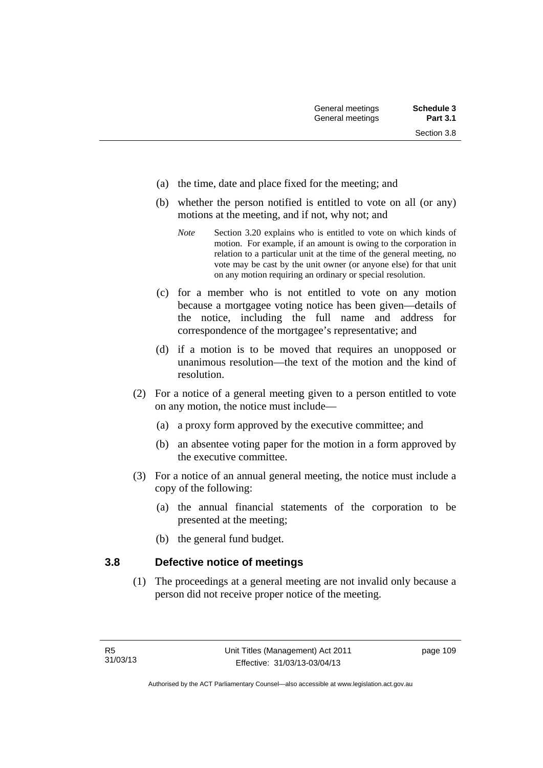- (a) the time, date and place fixed for the meeting; and
- (b) whether the person notified is entitled to vote on all (or any) motions at the meeting, and if not, why not; and
	- *Note* Section 3.20 explains who is entitled to vote on which kinds of motion. For example, if an amount is owing to the corporation in relation to a particular unit at the time of the general meeting, no vote may be cast by the unit owner (or anyone else) for that unit on any motion requiring an ordinary or special resolution.
- (c) for a member who is not entitled to vote on any motion because a mortgagee voting notice has been given—details of the notice, including the full name and address for correspondence of the mortgagee's representative; and
- (d) if a motion is to be moved that requires an unopposed or unanimous resolution—the text of the motion and the kind of resolution.
- (2) For a notice of a general meeting given to a person entitled to vote on any motion, the notice must include—
	- (a) a proxy form approved by the executive committee; and
	- (b) an absentee voting paper for the motion in a form approved by the executive committee.
- (3) For a notice of an annual general meeting, the notice must include a copy of the following:
	- (a) the annual financial statements of the corporation to be presented at the meeting;
	- (b) the general fund budget.

#### **3.8 Defective notice of meetings**

(1) The proceedings at a general meeting are not invalid only because a person did not receive proper notice of the meeting.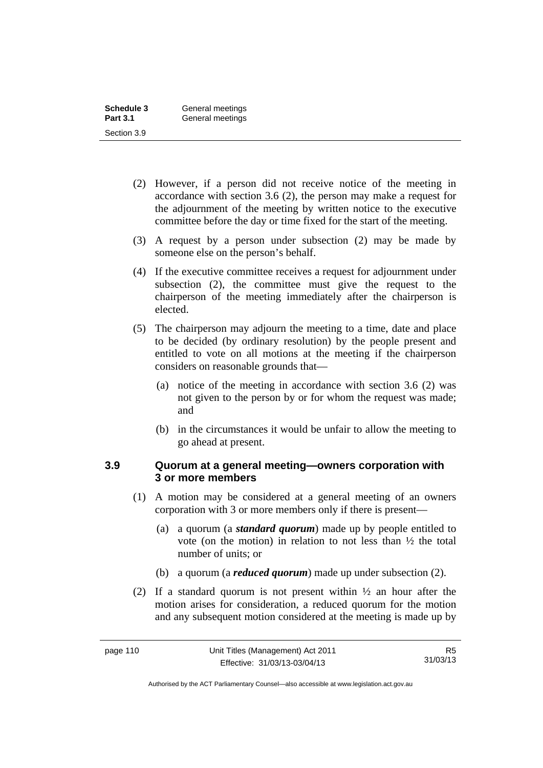| Schedule 3      | General meetings |
|-----------------|------------------|
| <b>Part 3.1</b> | General meetings |
| Section 3.9     |                  |

- (2) However, if a person did not receive notice of the meeting in accordance with section 3.6 (2), the person may make a request for the adjournment of the meeting by written notice to the executive committee before the day or time fixed for the start of the meeting.
- (3) A request by a person under subsection (2) may be made by someone else on the person's behalf.
- (4) If the executive committee receives a request for adjournment under subsection (2), the committee must give the request to the chairperson of the meeting immediately after the chairperson is elected.
- (5) The chairperson may adjourn the meeting to a time, date and place to be decided (by ordinary resolution) by the people present and entitled to vote on all motions at the meeting if the chairperson considers on reasonable grounds that—
	- (a) notice of the meeting in accordance with section 3.6 (2) was not given to the person by or for whom the request was made; and
	- (b) in the circumstances it would be unfair to allow the meeting to go ahead at present.

#### **3.9 Quorum at a general meeting—owners corporation with 3 or more members**

- (1) A motion may be considered at a general meeting of an owners corporation with 3 or more members only if there is present—
	- (a) a quorum (a *standard quorum*) made up by people entitled to vote (on the motion) in relation to not less than ½ the total number of units; or
	- (b) a quorum (a *reduced quorum*) made up under subsection (2).
- (2) If a standard quorum is not present within ½ an hour after the motion arises for consideration, a reduced quorum for the motion and any subsequent motion considered at the meeting is made up by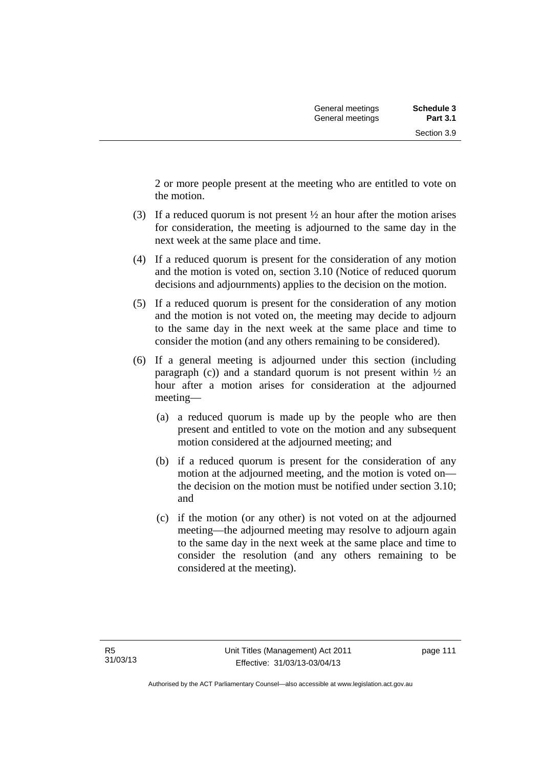2 or more people present at the meeting who are entitled to vote on the motion.

- (3) If a reduced quorum is not present ½ an hour after the motion arises for consideration, the meeting is adjourned to the same day in the next week at the same place and time.
- (4) If a reduced quorum is present for the consideration of any motion and the motion is voted on, section 3.10 (Notice of reduced quorum decisions and adjournments) applies to the decision on the motion.
- (5) If a reduced quorum is present for the consideration of any motion and the motion is not voted on, the meeting may decide to adjourn to the same day in the next week at the same place and time to consider the motion (and any others remaining to be considered).
- (6) If a general meeting is adjourned under this section (including paragraph (c)) and a standard quorum is not present within  $\frac{1}{2}$  an hour after a motion arises for consideration at the adjourned meeting—
	- (a) a reduced quorum is made up by the people who are then present and entitled to vote on the motion and any subsequent motion considered at the adjourned meeting; and
	- (b) if a reduced quorum is present for the consideration of any motion at the adjourned meeting, and the motion is voted on the decision on the motion must be notified under section 3.10; and
	- (c) if the motion (or any other) is not voted on at the adjourned meeting—the adjourned meeting may resolve to adjourn again to the same day in the next week at the same place and time to consider the resolution (and any others remaining to be considered at the meeting).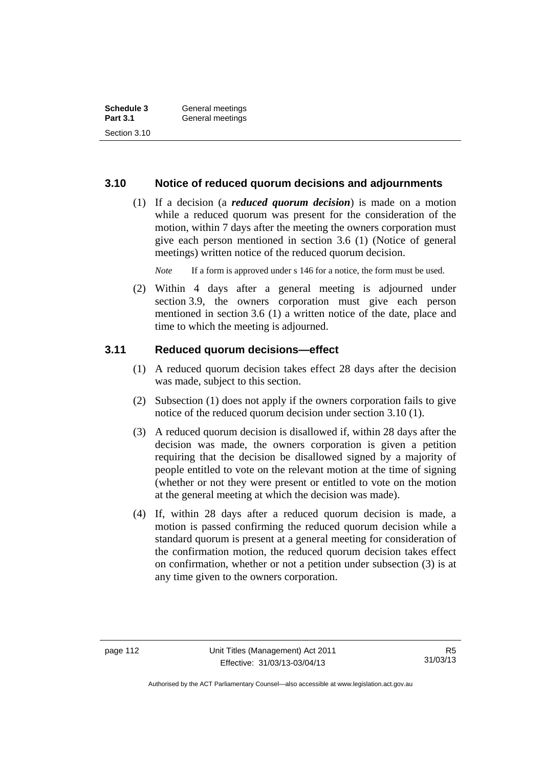| Schedule 3      | General meetings |  |
|-----------------|------------------|--|
| <b>Part 3.1</b> | General meetings |  |
| Section 3.10    |                  |  |

#### **3.10 Notice of reduced quorum decisions and adjournments**

 (1) If a decision (a *reduced quorum decision*) is made on a motion while a reduced quorum was present for the consideration of the motion, within 7 days after the meeting the owners corporation must give each person mentioned in section 3.6 (1) (Notice of general meetings) written notice of the reduced quorum decision.

*Note* If a form is approved under s 146 for a notice, the form must be used.

 (2) Within 4 days after a general meeting is adjourned under section 3.9, the owners corporation must give each person mentioned in section 3.6 (1) a written notice of the date, place and time to which the meeting is adjourned.

#### **3.11 Reduced quorum decisions—effect**

- (1) A reduced quorum decision takes effect 28 days after the decision was made, subject to this section.
- (2) Subsection (1) does not apply if the owners corporation fails to give notice of the reduced quorum decision under section 3.10 (1).
- (3) A reduced quorum decision is disallowed if, within 28 days after the decision was made, the owners corporation is given a petition requiring that the decision be disallowed signed by a majority of people entitled to vote on the relevant motion at the time of signing (whether or not they were present or entitled to vote on the motion at the general meeting at which the decision was made).
- (4) If, within 28 days after a reduced quorum decision is made, a motion is passed confirming the reduced quorum decision while a standard quorum is present at a general meeting for consideration of the confirmation motion, the reduced quorum decision takes effect on confirmation, whether or not a petition under subsection (3) is at any time given to the owners corporation.

Authorised by the ACT Parliamentary Counsel—also accessible at www.legislation.act.gov.au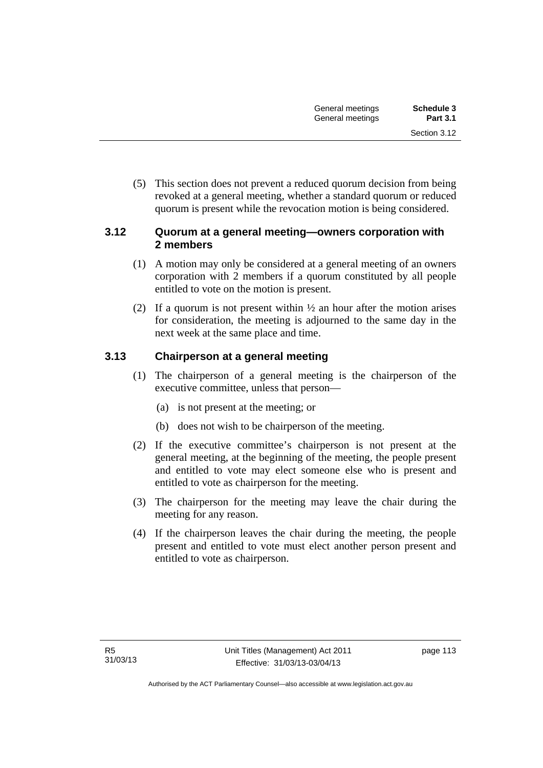(5) This section does not prevent a reduced quorum decision from being revoked at a general meeting, whether a standard quorum or reduced quorum is present while the revocation motion is being considered.

#### **3.12 Quorum at a general meeting—owners corporation with 2 members**

- (1) A motion may only be considered at a general meeting of an owners corporation with 2 members if a quorum constituted by all people entitled to vote on the motion is present.
- (2) If a quorum is not present within  $\frac{1}{2}$  an hour after the motion arises for consideration, the meeting is adjourned to the same day in the next week at the same place and time.

### **3.13 Chairperson at a general meeting**

- (1) The chairperson of a general meeting is the chairperson of the executive committee, unless that person—
	- (a) is not present at the meeting; or
	- (b) does not wish to be chairperson of the meeting.
- (2) If the executive committee's chairperson is not present at the general meeting, at the beginning of the meeting, the people present and entitled to vote may elect someone else who is present and entitled to vote as chairperson for the meeting.
- (3) The chairperson for the meeting may leave the chair during the meeting for any reason.
- (4) If the chairperson leaves the chair during the meeting, the people present and entitled to vote must elect another person present and entitled to vote as chairperson.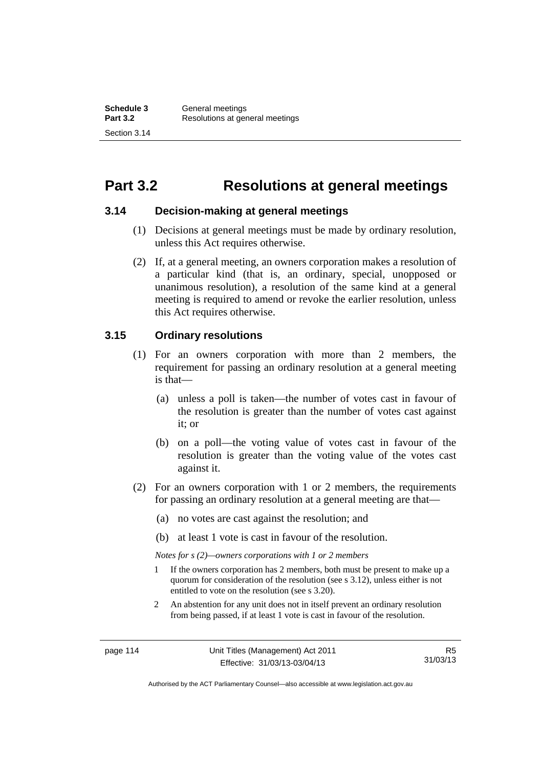# **Part 3.2 Resolutions at general meetings**

#### **3.14 Decision-making at general meetings**

- (1) Decisions at general meetings must be made by ordinary resolution, unless this Act requires otherwise.
- (2) If, at a general meeting, an owners corporation makes a resolution of a particular kind (that is, an ordinary, special, unopposed or unanimous resolution), a resolution of the same kind at a general meeting is required to amend or revoke the earlier resolution, unless this Act requires otherwise.

#### **3.15 Ordinary resolutions**

- (1) For an owners corporation with more than 2 members, the requirement for passing an ordinary resolution at a general meeting is that—
	- (a) unless a poll is taken—the number of votes cast in favour of the resolution is greater than the number of votes cast against it; or
	- (b) on a poll—the voting value of votes cast in favour of the resolution is greater than the voting value of the votes cast against it.
- (2) For an owners corporation with 1 or 2 members, the requirements for passing an ordinary resolution at a general meeting are that—
	- (a) no votes are cast against the resolution; and
	- (b) at least 1 vote is cast in favour of the resolution.

*Notes for s (2)—owners corporations with 1 or 2 members* 

- 1 If the owners corporation has 2 members, both must be present to make up a quorum for consideration of the resolution (see s 3.12), unless either is not entitled to vote on the resolution (see s 3.20).
- 2 An abstention for any unit does not in itself prevent an ordinary resolution from being passed, if at least 1 vote is cast in favour of the resolution.

Authorised by the ACT Parliamentary Counsel—also accessible at www.legislation.act.gov.au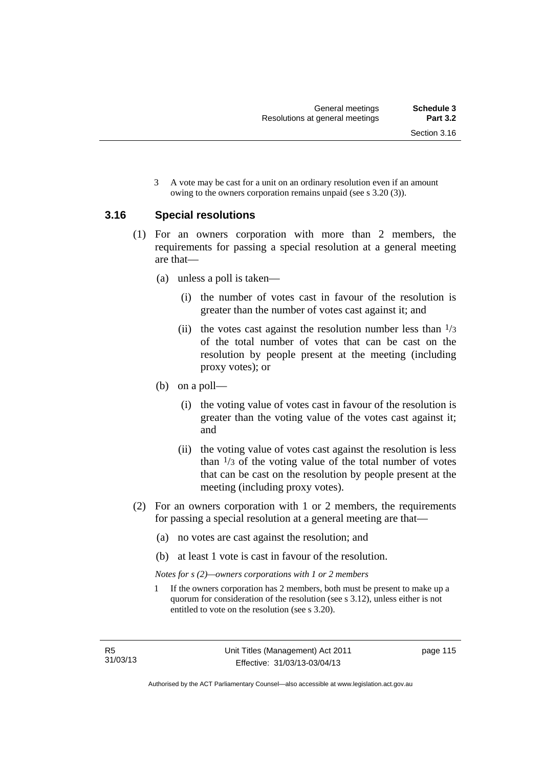3 A vote may be cast for a unit on an ordinary resolution even if an amount owing to the owners corporation remains unpaid (see s 3.20 (3)).

#### **3.16 Special resolutions**

- (1) For an owners corporation with more than 2 members, the requirements for passing a special resolution at a general meeting are that—
	- (a) unless a poll is taken—
		- (i) the number of votes cast in favour of the resolution is greater than the number of votes cast against it; and
		- (ii) the votes cast against the resolution number less than  $\frac{1}{3}$ of the total number of votes that can be cast on the resolution by people present at the meeting (including proxy votes); or
	- (b) on a poll—
		- (i) the voting value of votes cast in favour of the resolution is greater than the voting value of the votes cast against it; and
		- (ii) the voting value of votes cast against the resolution is less than  $\frac{1}{3}$  of the voting value of the total number of votes that can be cast on the resolution by people present at the meeting (including proxy votes).
- (2) For an owners corporation with 1 or 2 members, the requirements for passing a special resolution at a general meeting are that—
	- (a) no votes are cast against the resolution; and
	- (b) at least 1 vote is cast in favour of the resolution.

*Notes for s (2)—owners corporations with 1 or 2 members* 

1 If the owners corporation has 2 members, both must be present to make up a quorum for consideration of the resolution (see s 3.12), unless either is not entitled to vote on the resolution (see s 3.20).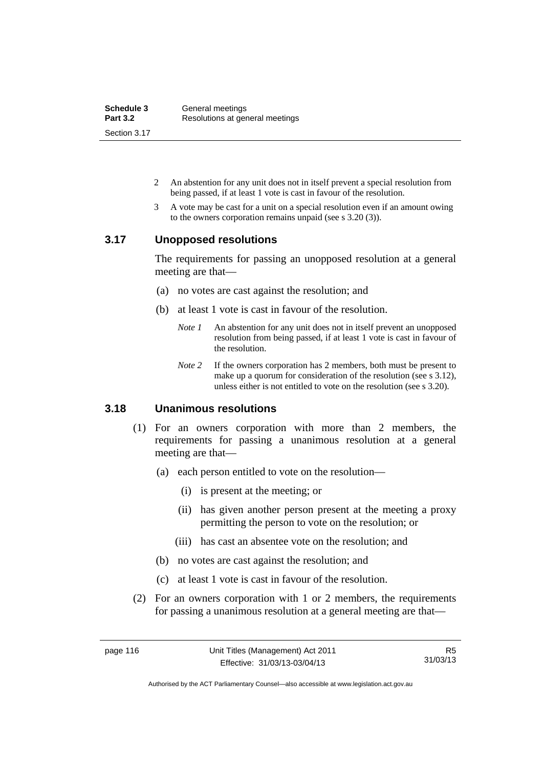| Schedule 3      | General meetings                |
|-----------------|---------------------------------|
| <b>Part 3.2</b> | Resolutions at general meetings |
| Section 3.17    |                                 |

- 2 An abstention for any unit does not in itself prevent a special resolution from being passed, if at least 1 vote is cast in favour of the resolution.
- 3 A vote may be cast for a unit on a special resolution even if an amount owing to the owners corporation remains unpaid (see s 3.20 (3)).

#### **3.17 Unopposed resolutions**

The requirements for passing an unopposed resolution at a general meeting are that—

- (a) no votes are cast against the resolution; and
- (b) at least 1 vote is cast in favour of the resolution.
	- *Note 1* An abstention for any unit does not in itself prevent an unopposed resolution from being passed, if at least 1 vote is cast in favour of the resolution.
	- *Note* 2 If the owners corporation has 2 members, both must be present to make up a quorum for consideration of the resolution (see s 3.12), unless either is not entitled to vote on the resolution (see s 3.20).

#### **3.18 Unanimous resolutions**

- (1) For an owners corporation with more than 2 members, the requirements for passing a unanimous resolution at a general meeting are that—
	- (a) each person entitled to vote on the resolution—
		- (i) is present at the meeting; or
		- (ii) has given another person present at the meeting a proxy permitting the person to vote on the resolution; or
		- (iii) has cast an absentee vote on the resolution; and
	- (b) no votes are cast against the resolution; and
	- (c) at least 1 vote is cast in favour of the resolution.
- (2) For an owners corporation with 1 or 2 members, the requirements for passing a unanimous resolution at a general meeting are that—

Authorised by the ACT Parliamentary Counsel—also accessible at www.legislation.act.gov.au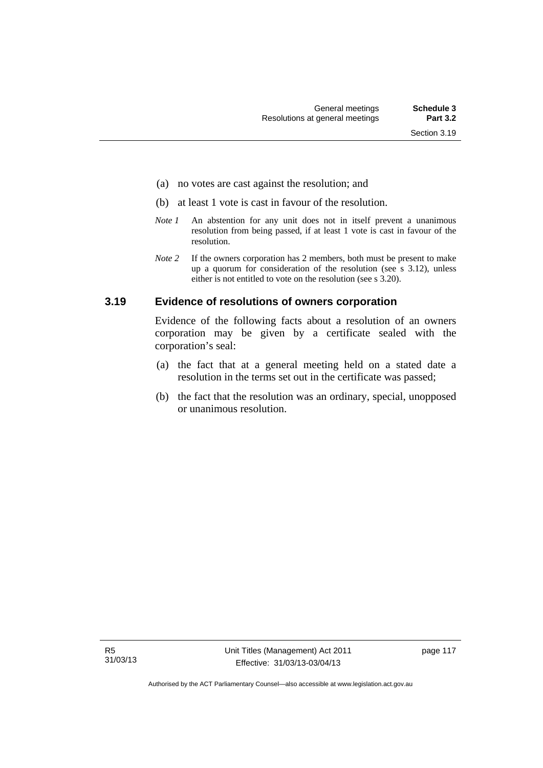- (a) no votes are cast against the resolution; and
- (b) at least 1 vote is cast in favour of the resolution.
- *Note 1* An abstention for any unit does not in itself prevent a unanimous resolution from being passed, if at least 1 vote is cast in favour of the resolution.
- *Note* 2 If the owners corporation has 2 members, both must be present to make up a quorum for consideration of the resolution (see s 3.12), unless either is not entitled to vote on the resolution (see s 3.20).

#### **3.19 Evidence of resolutions of owners corporation**

Evidence of the following facts about a resolution of an owners corporation may be given by a certificate sealed with the corporation's seal:

- (a) the fact that at a general meeting held on a stated date a resolution in the terms set out in the certificate was passed;
- (b) the fact that the resolution was an ordinary, special, unopposed or unanimous resolution.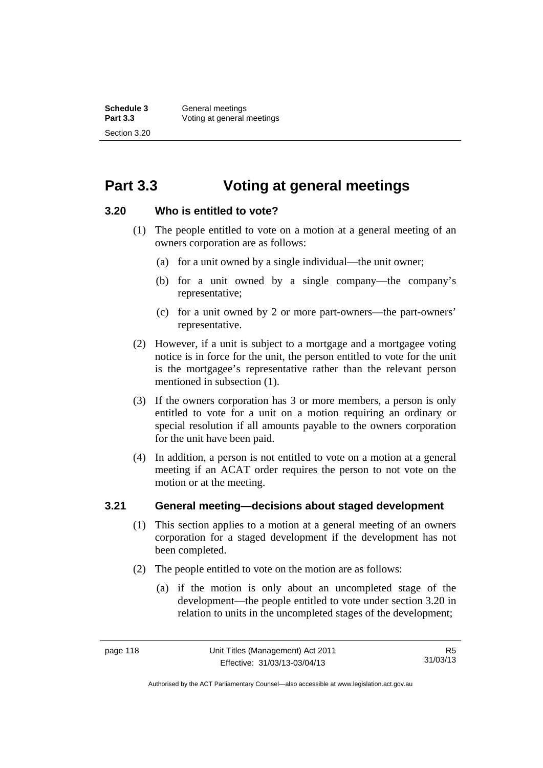# **Part 3.3 Voting at general meetings**

#### **3.20 Who is entitled to vote?**

- (1) The people entitled to vote on a motion at a general meeting of an owners corporation are as follows:
	- (a) for a unit owned by a single individual—the unit owner;
	- (b) for a unit owned by a single company—the company's representative;
	- (c) for a unit owned by 2 or more part-owners—the part-owners' representative.
- (2) However, if a unit is subject to a mortgage and a mortgagee voting notice is in force for the unit, the person entitled to vote for the unit is the mortgagee's representative rather than the relevant person mentioned in subsection (1).
- (3) If the owners corporation has 3 or more members, a person is only entitled to vote for a unit on a motion requiring an ordinary or special resolution if all amounts payable to the owners corporation for the unit have been paid.
- (4) In addition, a person is not entitled to vote on a motion at a general meeting if an ACAT order requires the person to not vote on the motion or at the meeting.

#### **3.21 General meeting—decisions about staged development**

- (1) This section applies to a motion at a general meeting of an owners corporation for a staged development if the development has not been completed.
- (2) The people entitled to vote on the motion are as follows:
	- (a) if the motion is only about an uncompleted stage of the development—the people entitled to vote under section 3.20 in relation to units in the uncompleted stages of the development;

Authorised by the ACT Parliamentary Counsel—also accessible at www.legislation.act.gov.au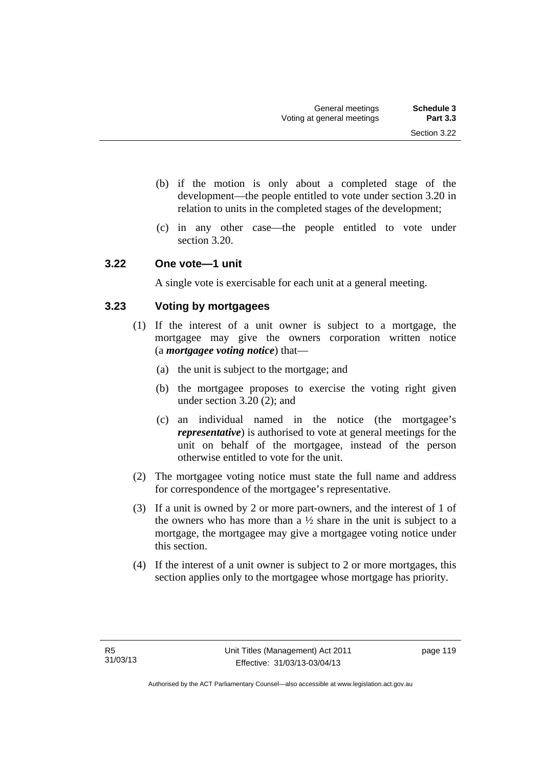- (b) if the motion is only about a completed stage of the development—the people entitled to vote under section 3.20 in relation to units in the completed stages of the development;
- (c) in any other case—the people entitled to vote under section 3.20.

#### **3.22 One vote—1 unit**

A single vote is exercisable for each unit at a general meeting.

### **3.23 Voting by mortgagees**

- (1) If the interest of a unit owner is subject to a mortgage, the mortgagee may give the owners corporation written notice (a *mortgagee voting notice*) that—
	- (a) the unit is subject to the mortgage; and
	- (b) the mortgagee proposes to exercise the voting right given under section 3.20 (2); and
	- (c) an individual named in the notice (the mortgagee's *representative*) is authorised to vote at general meetings for the unit on behalf of the mortgagee, instead of the person otherwise entitled to vote for the unit.
- (2) The mortgagee voting notice must state the full name and address for correspondence of the mortgagee's representative.
- (3) If a unit is owned by 2 or more part-owners, and the interest of 1 of the owners who has more than a  $\frac{1}{2}$  share in the unit is subject to a mortgage, the mortgagee may give a mortgagee voting notice under this section.
- (4) If the interest of a unit owner is subject to 2 or more mortgages, this section applies only to the mortgagee whose mortgage has priority.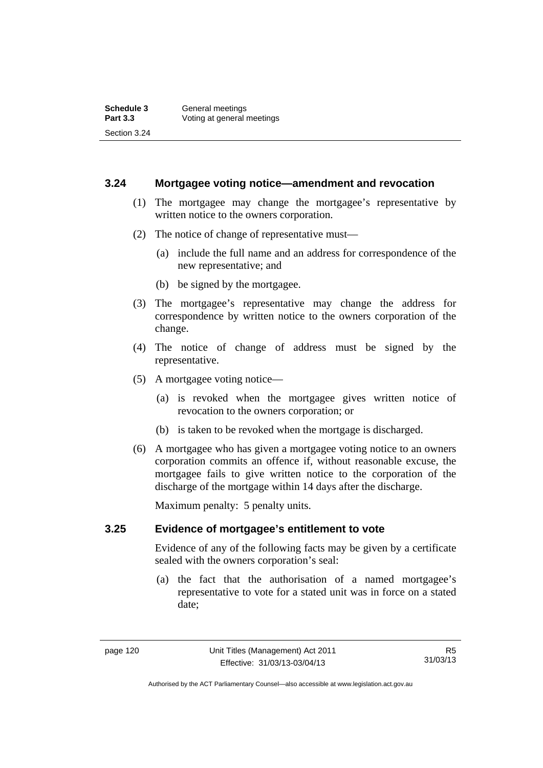#### **3.24 Mortgagee voting notice—amendment and revocation**

- (1) The mortgagee may change the mortgagee's representative by written notice to the owners corporation.
- (2) The notice of change of representative must—
	- (a) include the full name and an address for correspondence of the new representative; and
	- (b) be signed by the mortgagee.
- (3) The mortgagee's representative may change the address for correspondence by written notice to the owners corporation of the change.
- (4) The notice of change of address must be signed by the representative.
- (5) A mortgagee voting notice—
	- (a) is revoked when the mortgagee gives written notice of revocation to the owners corporation; or
	- (b) is taken to be revoked when the mortgage is discharged.
- (6) A mortgagee who has given a mortgagee voting notice to an owners corporation commits an offence if, without reasonable excuse, the mortgagee fails to give written notice to the corporation of the discharge of the mortgage within 14 days after the discharge.

Maximum penalty: 5 penalty units.

#### **3.25 Evidence of mortgagee's entitlement to vote**

Evidence of any of the following facts may be given by a certificate sealed with the owners corporation's seal:

 (a) the fact that the authorisation of a named mortgagee's representative to vote for a stated unit was in force on a stated date;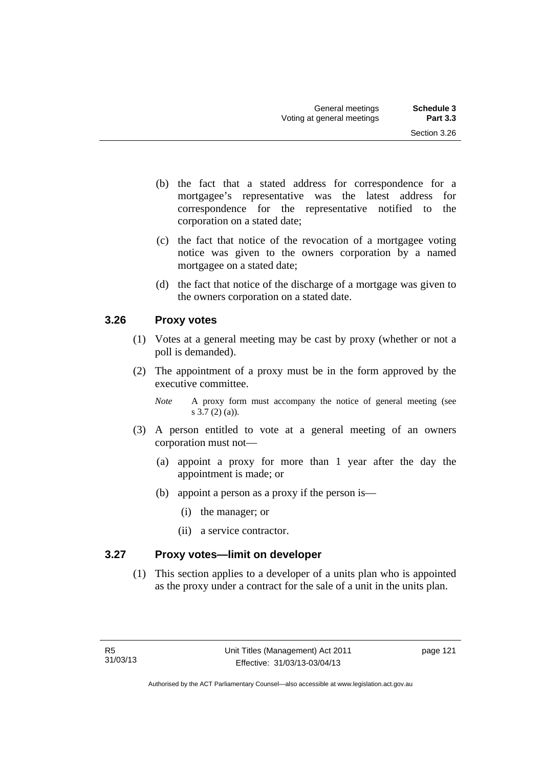- (b) the fact that a stated address for correspondence for a mortgagee's representative was the latest address for correspondence for the representative notified to the corporation on a stated date;
- (c) the fact that notice of the revocation of a mortgagee voting notice was given to the owners corporation by a named mortgagee on a stated date;
- (d) the fact that notice of the discharge of a mortgage was given to the owners corporation on a stated date.

### **3.26 Proxy votes**

- (1) Votes at a general meeting may be cast by proxy (whether or not a poll is demanded).
- (2) The appointment of a proxy must be in the form approved by the executive committee.
	- *Note* A proxy form must accompany the notice of general meeting (see s 3.7 (2) (a)).
- (3) A person entitled to vote at a general meeting of an owners corporation must not—
	- (a) appoint a proxy for more than 1 year after the day the appointment is made; or
	- (b) appoint a person as a proxy if the person is—
		- (i) the manager; or
		- (ii) a service contractor.

### **3.27 Proxy votes—limit on developer**

(1) This section applies to a developer of a units plan who is appointed as the proxy under a contract for the sale of a unit in the units plan.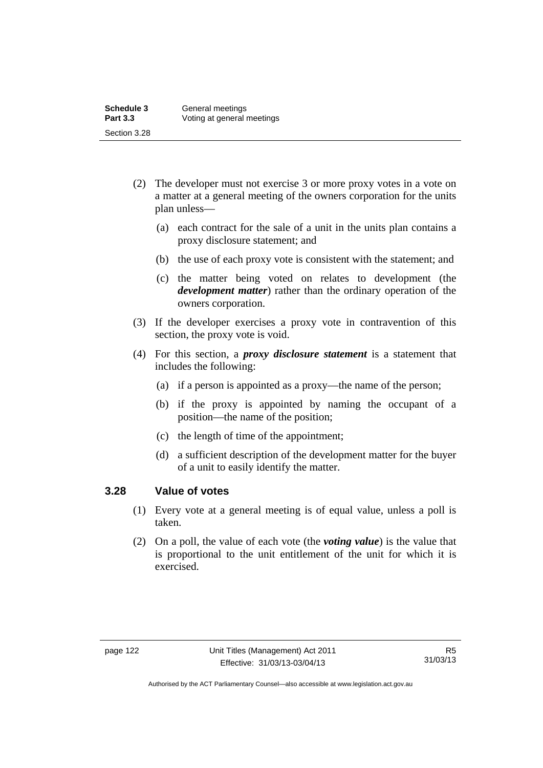- (2) The developer must not exercise 3 or more proxy votes in a vote on a matter at a general meeting of the owners corporation for the units plan unless—
	- (a) each contract for the sale of a unit in the units plan contains a proxy disclosure statement; and
	- (b) the use of each proxy vote is consistent with the statement; and
	- (c) the matter being voted on relates to development (the *development matter*) rather than the ordinary operation of the owners corporation.
- (3) If the developer exercises a proxy vote in contravention of this section, the proxy vote is void.
- (4) For this section, a *proxy disclosure statement* is a statement that includes the following:
	- (a) if a person is appointed as a proxy—the name of the person;
	- (b) if the proxy is appointed by naming the occupant of a position—the name of the position;
	- (c) the length of time of the appointment;
	- (d) a sufficient description of the development matter for the buyer of a unit to easily identify the matter.

#### **3.28 Value of votes**

- (1) Every vote at a general meeting is of equal value, unless a poll is taken.
- (2) On a poll, the value of each vote (the *voting value*) is the value that is proportional to the unit entitlement of the unit for which it is exercised.

Authorised by the ACT Parliamentary Counsel—also accessible at www.legislation.act.gov.au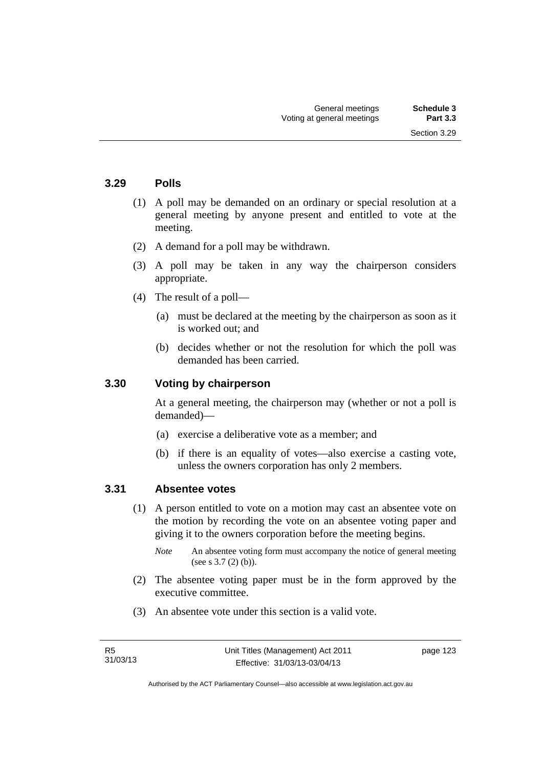Section 3.29

#### **3.29 Polls**

- (1) A poll may be demanded on an ordinary or special resolution at a general meeting by anyone present and entitled to vote at the meeting.
- (2) A demand for a poll may be withdrawn.
- (3) A poll may be taken in any way the chairperson considers appropriate.
- (4) The result of a poll—
	- (a) must be declared at the meeting by the chairperson as soon as it is worked out; and
	- (b) decides whether or not the resolution for which the poll was demanded has been carried.

#### **3.30 Voting by chairperson**

At a general meeting, the chairperson may (whether or not a poll is demanded)—

- (a) exercise a deliberative vote as a member; and
- (b) if there is an equality of votes—also exercise a casting vote, unless the owners corporation has only 2 members.

#### **3.31 Absentee votes**

- (1) A person entitled to vote on a motion may cast an absentee vote on the motion by recording the vote on an absentee voting paper and giving it to the owners corporation before the meeting begins.
	- *Note* An absentee voting form must accompany the notice of general meeting (see s 3.7 (2) (b)).
- (2) The absentee voting paper must be in the form approved by the executive committee.
- (3) An absentee vote under this section is a valid vote.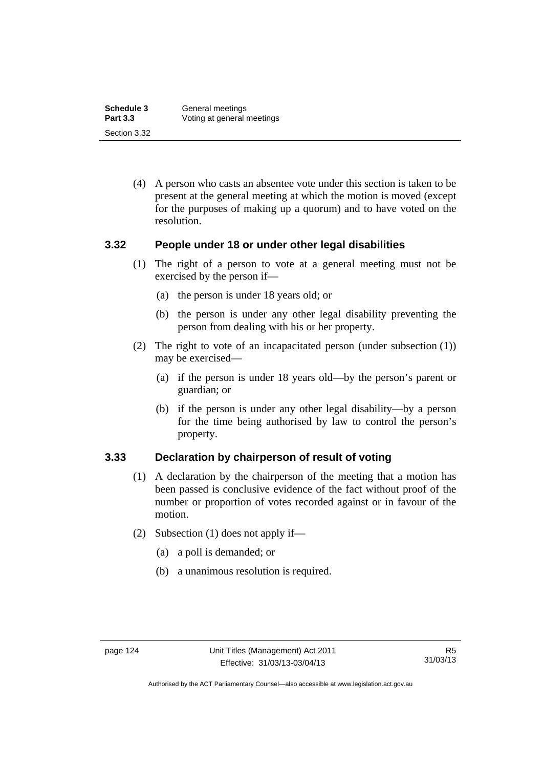| Schedule 3      | General meetings           |
|-----------------|----------------------------|
| <b>Part 3.3</b> | Voting at general meetings |
| Section 3.32    |                            |

 (4) A person who casts an absentee vote under this section is taken to be present at the general meeting at which the motion is moved (except for the purposes of making up a quorum) and to have voted on the resolution.

#### **3.32 People under 18 or under other legal disabilities**

- (1) The right of a person to vote at a general meeting must not be exercised by the person if—
	- (a) the person is under 18 years old; or
	- (b) the person is under any other legal disability preventing the person from dealing with his or her property.
- (2) The right to vote of an incapacitated person (under subsection (1)) may be exercised—
	- (a) if the person is under 18 years old—by the person's parent or guardian; or
	- (b) if the person is under any other legal disability—by a person for the time being authorised by law to control the person's property.

#### **3.33 Declaration by chairperson of result of voting**

- (1) A declaration by the chairperson of the meeting that a motion has been passed is conclusive evidence of the fact without proof of the number or proportion of votes recorded against or in favour of the motion.
- (2) Subsection (1) does not apply if—
	- (a) a poll is demanded; or
	- (b) a unanimous resolution is required.

Authorised by the ACT Parliamentary Counsel—also accessible at www.legislation.act.gov.au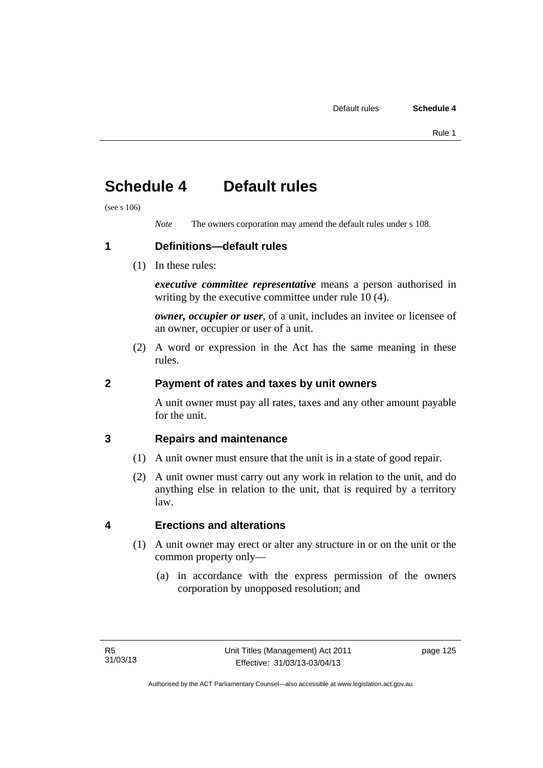# **Schedule 4 Default rules**

(see s 106)

*Note* The owners corporation may amend the default rules under s 108.

**1 Definitions—default rules** 

(1) In these rules:

*executive committee representative* means a person authorised in writing by the executive committee under rule 10 (4).

*owner, occupier or user*, of a unit, includes an invitee or licensee of an owner, occupier or user of a unit.

 (2) A word or expression in the Act has the same meaning in these rules.

### **2 Payment of rates and taxes by unit owners**

A unit owner must pay all rates, taxes and any other amount payable for the unit.

### **3 Repairs and maintenance**

- (1) A unit owner must ensure that the unit is in a state of good repair.
- (2) A unit owner must carry out any work in relation to the unit, and do anything else in relation to the unit, that is required by a territory law.

### **4 Erections and alterations**

- (1) A unit owner may erect or alter any structure in or on the unit or the common property only—
	- (a) in accordance with the express permission of the owners corporation by unopposed resolution; and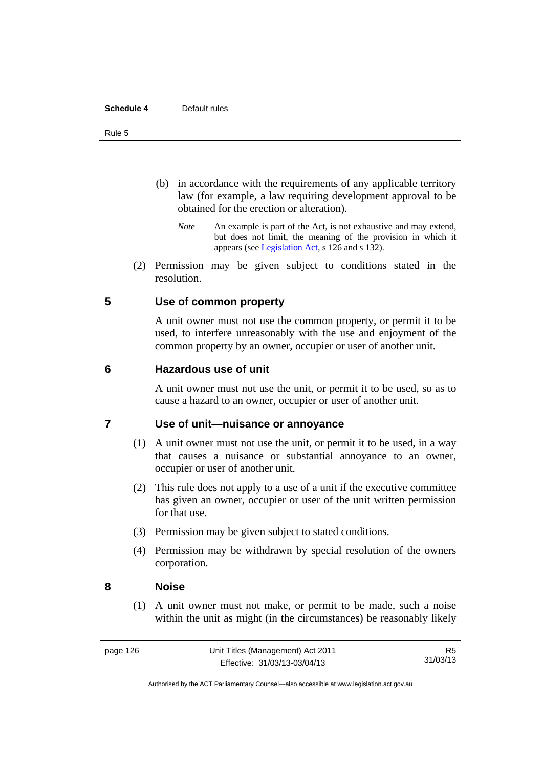#### **Schedule 4** Default rules

#### Rule 5

- (b) in accordance with the requirements of any applicable territory law (for example, a law requiring development approval to be obtained for the erection or alteration).
	- *Note* An example is part of the Act, is not exhaustive and may extend, but does not limit, the meaning of the provision in which it appears (see [Legislation Act,](http://www.legislation.act.gov.au/a/2001-14) s 126 and s 132).
- (2) Permission may be given subject to conditions stated in the resolution.

#### **5 Use of common property**

A unit owner must not use the common property, or permit it to be used, to interfere unreasonably with the use and enjoyment of the common property by an owner, occupier or user of another unit.

#### **6 Hazardous use of unit**

A unit owner must not use the unit, or permit it to be used, so as to cause a hazard to an owner, occupier or user of another unit.

#### **7 Use of unit—nuisance or annoyance**

- (1) A unit owner must not use the unit, or permit it to be used, in a way that causes a nuisance or substantial annoyance to an owner, occupier or user of another unit.
- (2) This rule does not apply to a use of a unit if the executive committee has given an owner, occupier or user of the unit written permission for that use.
- (3) Permission may be given subject to stated conditions.
- (4) Permission may be withdrawn by special resolution of the owners corporation.

#### **8 Noise**

(1) A unit owner must not make, or permit to be made, such a noise within the unit as might (in the circumstances) be reasonably likely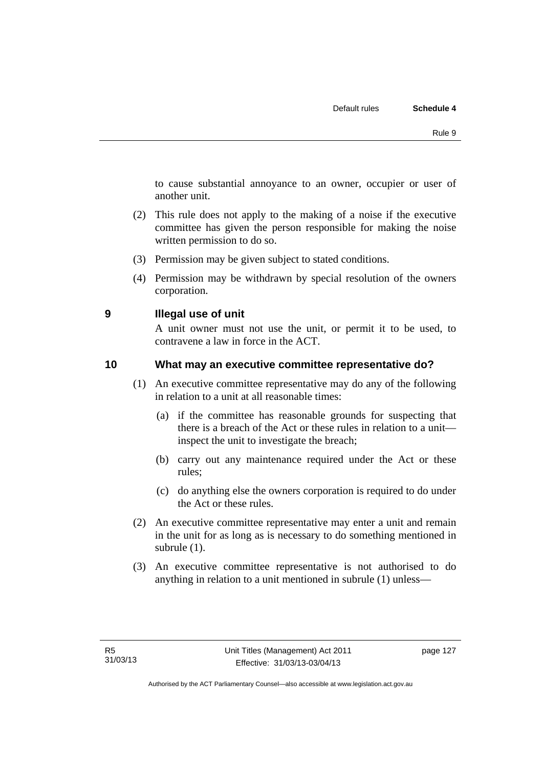to cause substantial annoyance to an owner, occupier or user of another unit.

- (2) This rule does not apply to the making of a noise if the executive committee has given the person responsible for making the noise written permission to do so.
- (3) Permission may be given subject to stated conditions.
- (4) Permission may be withdrawn by special resolution of the owners corporation.

**9 Illegal use of unit** 

A unit owner must not use the unit, or permit it to be used, to contravene a law in force in the ACT.

#### **10 What may an executive committee representative do?**

- (1) An executive committee representative may do any of the following in relation to a unit at all reasonable times:
	- (a) if the committee has reasonable grounds for suspecting that there is a breach of the Act or these rules in relation to a unit inspect the unit to investigate the breach;
	- (b) carry out any maintenance required under the Act or these rules;
	- (c) do anything else the owners corporation is required to do under the Act or these rules.
- (2) An executive committee representative may enter a unit and remain in the unit for as long as is necessary to do something mentioned in subrule (1).
- (3) An executive committee representative is not authorised to do anything in relation to a unit mentioned in subrule (1) unless—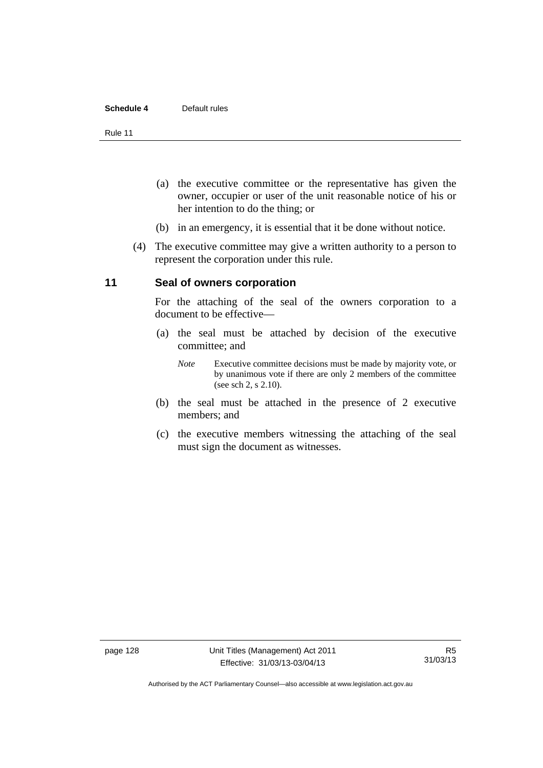#### **Schedule 4** Default rules

Rule 11

- (a) the executive committee or the representative has given the owner, occupier or user of the unit reasonable notice of his or her intention to do the thing; or
- (b) in an emergency, it is essential that it be done without notice.
- (4) The executive committee may give a written authority to a person to represent the corporation under this rule.

#### **11 Seal of owners corporation**

For the attaching of the seal of the owners corporation to a document to be effective—

- (a) the seal must be attached by decision of the executive committee; and
	- *Note* Executive committee decisions must be made by majority vote, or by unanimous vote if there are only 2 members of the committee (see sch 2, s 2.10).
- (b) the seal must be attached in the presence of 2 executive members; and
- (c) the executive members witnessing the attaching of the seal must sign the document as witnesses.

Authorised by the ACT Parliamentary Counsel—also accessible at www.legislation.act.gov.au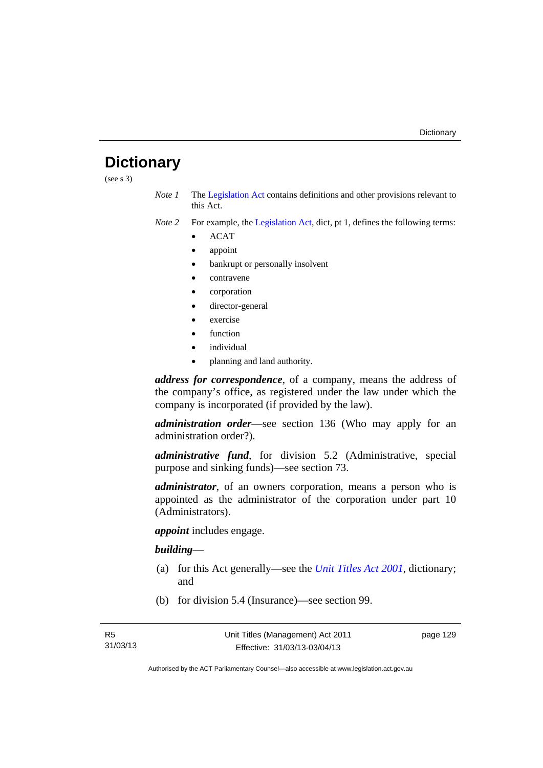### **Dictionary**

(see s 3)

- *Note 1* The [Legislation Act](http://www.legislation.act.gov.au/a/2001-14) contains definitions and other provisions relevant to this Act.
- *Note 2* For example, the [Legislation Act,](http://www.legislation.act.gov.au/a/2001-14) dict, pt 1, defines the following terms:
	- ACAT
	- appoint
	- bankrupt or personally insolvent
	- contravene
	- corporation
	- director-general
	- exercise
	- function
	- individual
	- planning and land authority.

*address for correspondence*, of a company, means the address of the company's office, as registered under the law under which the company is incorporated (if provided by the law).

*administration order*—see section 136 (Who may apply for an administration order?).

*administrative fund*, for division 5.2 (Administrative, special purpose and sinking funds)—see section 73.

*administrator*, of an owners corporation, means a person who is appointed as the administrator of the corporation under part 10 (Administrators).

*appoint* includes engage.

#### *building*—

- (a) for this Act generally—see the *[Unit Titles Act 2001](http://www.legislation.act.gov.au/a/2001-16)*, dictionary; and
- (b) for division 5.4 (Insurance)—see section 99.

page 129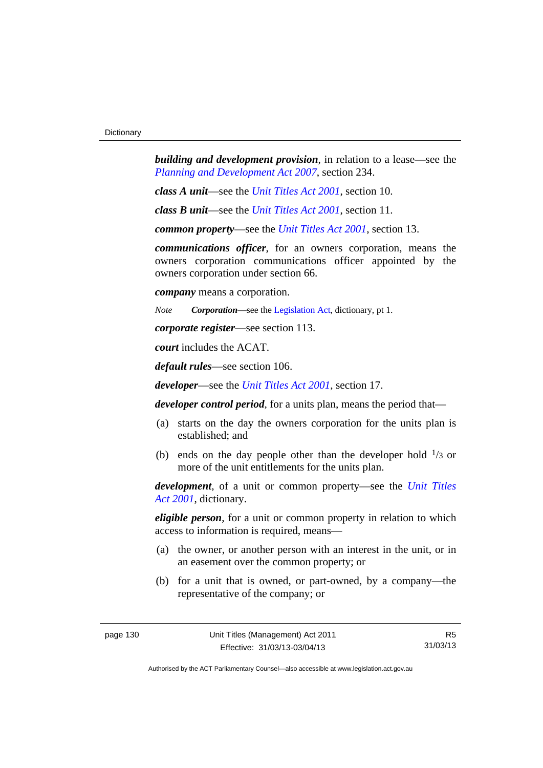*building and development provision*, in relation to a lease—see the *[Planning and Development Act 2007](http://www.legislation.act.gov.au/a/2007-24)*, section 234.

*class A unit*—see the *[Unit Titles Act 2001](http://www.legislation.act.gov.au/a/2001-16)*, section 10.

*class B unit*—see the *[Unit Titles Act 2001](http://www.legislation.act.gov.au/a/2001-16)*, section 11.

*common property*—see the *[Unit Titles Act 2001](http://www.legislation.act.gov.au/a/2001-16)*, section 13.

*communications officer*, for an owners corporation, means the owners corporation communications officer appointed by the owners corporation under section 66.

*company* means a corporation.

*Note Corporation*—see the [Legislation Act,](http://www.legislation.act.gov.au/a/2001-14) dictionary, pt 1.

*corporate register*—see section 113.

*court* includes the ACAT.

*default rules*—see section 106.

*developer*—see the *[Unit Titles Act 2001](http://www.legislation.act.gov.au/a/2001-16)*, section 17.

*developer control period*, for a units plan, means the period that—

- (a) starts on the day the owners corporation for the units plan is established; and
- (b) ends on the day people other than the developer hold  $\frac{1}{3}$  or more of the unit entitlements for the units plan.

*development*, of a unit or common property—see the *[Unit Titles](http://www.legislation.act.gov.au/a/2001-16)  [Act 2001](http://www.legislation.act.gov.au/a/2001-16)*, dictionary.

*eligible person*, for a unit or common property in relation to which access to information is required, means—

- (a) the owner, or another person with an interest in the unit, or in an easement over the common property; or
- (b) for a unit that is owned, or part-owned, by a company—the representative of the company; or

R5 31/03/13

Authorised by the ACT Parliamentary Counsel—also accessible at www.legislation.act.gov.au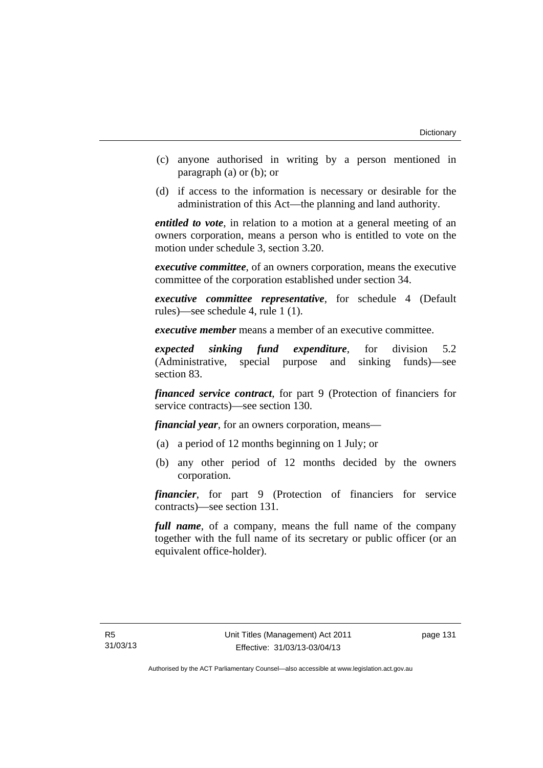- (c) anyone authorised in writing by a person mentioned in paragraph (a) or (b); or
- (d) if access to the information is necessary or desirable for the administration of this Act—the planning and land authority.

*entitled to vote*, in relation to a motion at a general meeting of an owners corporation, means a person who is entitled to vote on the motion under schedule 3, section 3.20.

*executive committee*, of an owners corporation, means the executive committee of the corporation established under section 34.

*executive committee representative*, for schedule 4 (Default rules)—see schedule 4, rule 1 (1).

*executive member* means a member of an executive committee.

*expected sinking fund expenditure*, for division 5.2 (Administrative, special purpose and sinking funds)—see section 83.

*financed service contract*, for part 9 (Protection of financiers for service contracts)—see section 130.

*financial year*, for an owners corporation, means—

- (a) a period of 12 months beginning on 1 July; or
- (b) any other period of 12 months decided by the owners corporation.

*financier*, for part 9 (Protection of financiers for service contracts)—see section 131.

*full name*, of a company, means the full name of the company together with the full name of its secretary or public officer (or an equivalent office-holder).

page 131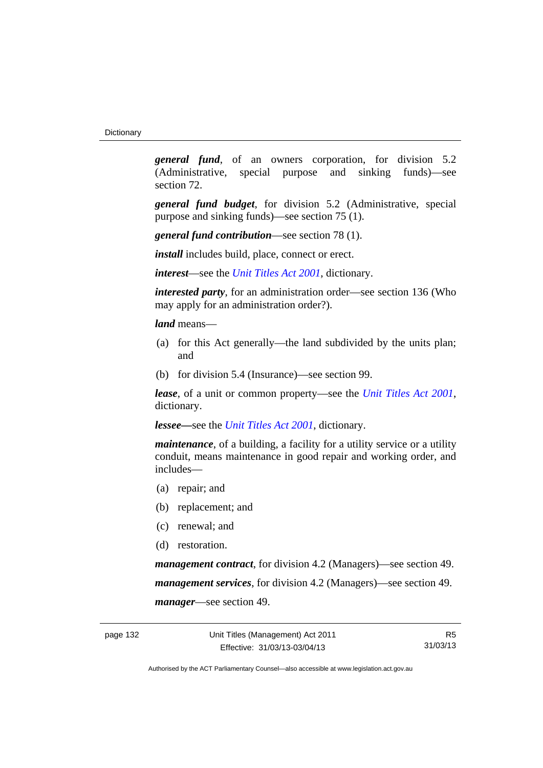*general fund*, of an owners corporation, for division 5.2 (Administrative, special purpose and sinking funds)—see section 72.

*general fund budget*, for division 5.2 (Administrative, special purpose and sinking funds)—see section 75 (1).

*general fund contribution*—see section 78 (1).

*install* includes build, place, connect or erect.

*interest*—see the *[Unit Titles Act 2001](http://www.legislation.act.gov.au/a/2001-16)*, dictionary.

*interested party*, for an administration order—see section 136 (Who may apply for an administration order?).

*land* means—

- (a) for this Act generally—the land subdivided by the units plan; and
- (b) for division 5.4 (Insurance)—see section 99.

*lease*, of a unit or common property—see the *[Unit Titles Act 2001](http://www.legislation.act.gov.au/a/2001-16)*, dictionary.

*lessee—*see the *[Unit Titles Act 2001](http://www.legislation.act.gov.au/a/2001-16)*, dictionary.

*maintenance*, of a building, a facility for a utility service or a utility conduit, means maintenance in good repair and working order, and includes—

- (a) repair; and
- (b) replacement; and
- (c) renewal; and
- (d) restoration.

*management contract*, for division 4.2 (Managers)—see section 49. *management services*, for division 4.2 (Managers)—see section 49. *manager*—see section 49.

R5 31/03/13

Authorised by the ACT Parliamentary Counsel—also accessible at www.legislation.act.gov.au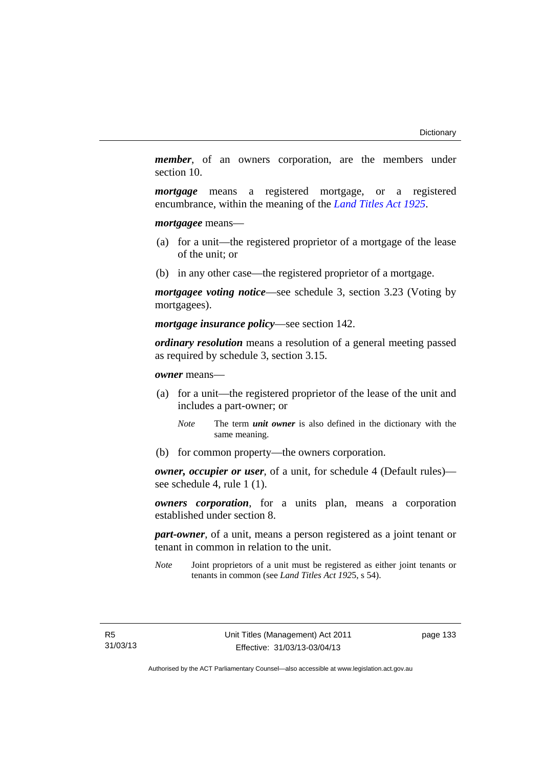*member*, of an owners corporation, are the members under section 10.

*mortgage* means a registered mortgage, or a registered encumbrance, within the meaning of the *[Land Titles Act 1925](http://www.legislation.act.gov.au/a/1925-1)*.

*mortgagee* means—

- (a) for a unit—the registered proprietor of a mortgage of the lease of the unit; or
- (b) in any other case—the registered proprietor of a mortgage.

*mortgagee voting notice*—see schedule 3, section 3.23 (Voting by mortgagees).

*mortgage insurance policy*—see section 142.

*ordinary resolution* means a resolution of a general meeting passed as required by schedule 3, section 3.15.

*owner* means—

- (a) for a unit—the registered proprietor of the lease of the unit and includes a part-owner; or
	- *Note* The term *unit owner* is also defined in the dictionary with the same meaning.
- (b) for common property—the owners corporation.

*owner, occupier or user*, of a unit, for schedule 4 (Default rules) see schedule 4, rule 1 (1).

*owners corporation*, for a units plan, means a corporation established under section 8.

*part-owner*, of a unit, means a person registered as a joint tenant or tenant in common in relation to the unit.

*Note* Joint proprietors of a unit must be registered as either joint tenants or tenants in common (see *Land Titles Act 192*5, s 54).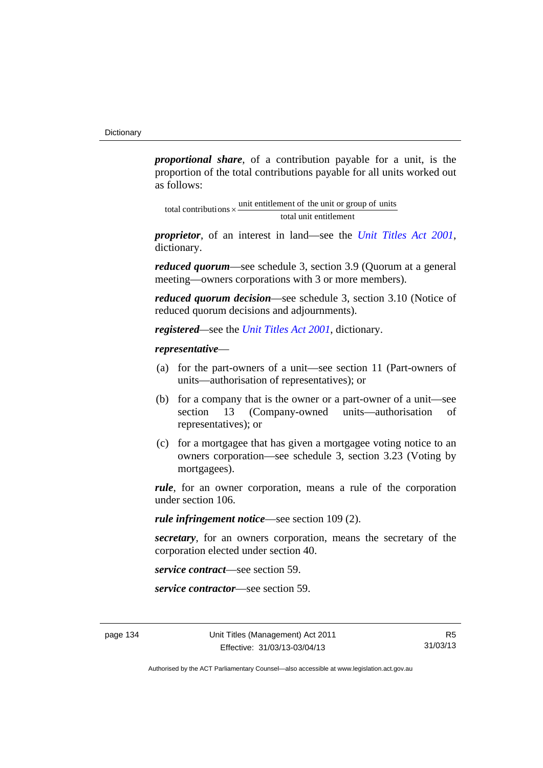*proportional share*, of a contribution payable for a unit, is the proportion of the total contributions payable for all units worked out as follows:

total unit entitlement total contributions  $\times$  unit entitlement of the unit or group of units

*proprietor*, of an interest in land—see the *[Unit Titles Act 2001](http://www.legislation.act.gov.au/a/2001-16)*, dictionary.

*reduced quorum*—see schedule 3, section 3.9 (Quorum at a general meeting—owners corporations with 3 or more members).

*reduced quorum decision*—see schedule 3, section 3.10 (Notice of reduced quorum decisions and adjournments).

*registered—*see the *[Unit Titles Act 2001](http://www.legislation.act.gov.au/a/2001-16)*, dictionary.

#### *representative*—

- (a) for the part-owners of a unit—see section 11 (Part-owners of units—authorisation of representatives); or
- (b) for a company that is the owner or a part-owner of a unit—see section 13 (Company-owned units—authorisation of representatives); or
- (c) for a mortgagee that has given a mortgagee voting notice to an owners corporation—see schedule 3, section 3.23 (Voting by mortgagees).

*rule*, for an owner corporation, means a rule of the corporation under section 106.

*rule infringement notice*—see section 109 (2).

*secretary*, for an owners corporation, means the secretary of the corporation elected under section 40.

*service contract*—see section 59.

*service contractor*—see section 59.

page 134 Unit Titles (Management) Act 2011 Effective: 31/03/13-03/04/13

R5 31/03/13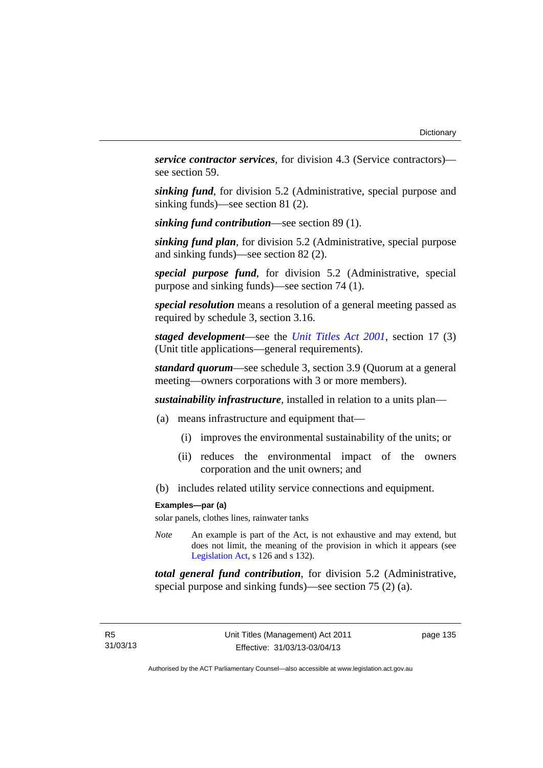*service contractor services*, for division 4.3 (Service contractors) see section 59.

*sinking fund*, for division 5.2 (Administrative, special purpose and sinking funds)—see section 81 (2).

*sinking fund contribution*—see section 89 (1).

*sinking fund plan*, for division 5.2 (Administrative, special purpose and sinking funds)—see section 82 (2).

*special purpose fund*, for division 5.2 (Administrative, special purpose and sinking funds)—see section 74 (1).

*special resolution* means a resolution of a general meeting passed as required by schedule 3, section 3.16.

*staged development*—see the *[Unit Titles Act 2001](http://www.legislation.act.gov.au/a/2001-16)*, section 17 (3) (Unit title applications—general requirements).

*standard quorum*—see schedule 3, section 3.9 (Quorum at a general meeting—owners corporations with 3 or more members).

*sustainability infrastructure*, installed in relation to a units plan—

- (a) means infrastructure and equipment that—
	- (i) improves the environmental sustainability of the units; or
	- (ii) reduces the environmental impact of the owners corporation and the unit owners; and
- (b) includes related utility service connections and equipment.

#### **Examples—par (a)**

solar panels, clothes lines, rainwater tanks

*Note* An example is part of the Act, is not exhaustive and may extend, but does not limit, the meaning of the provision in which it appears (see [Legislation Act,](http://www.legislation.act.gov.au/a/2001-14) s 126 and s 132).

*total general fund contribution*, for division 5.2 (Administrative, special purpose and sinking funds)—see section 75 (2) (a).

page 135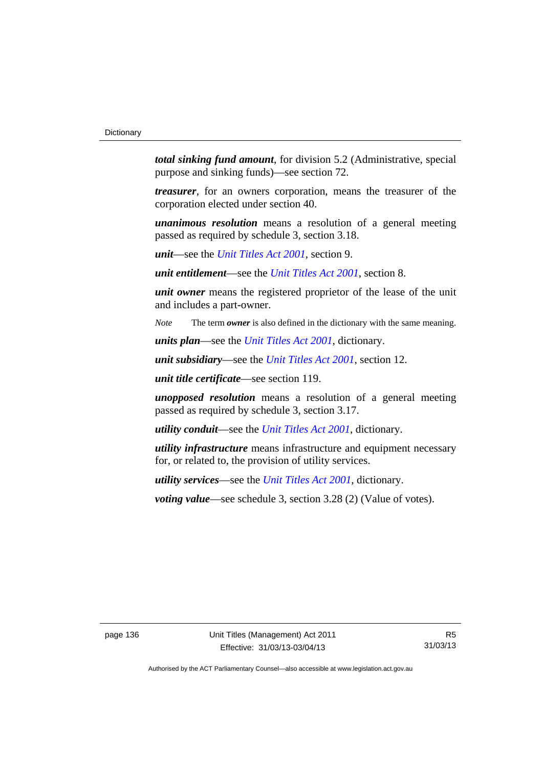*total sinking fund amount*, for division 5.2 (Administrative, special purpose and sinking funds)—see section 72.

*treasurer*, for an owners corporation, means the treasurer of the corporation elected under section 40.

*unanimous resolution* means a resolution of a general meeting passed as required by schedule 3, section 3.18.

*unit*—see the *[Unit Titles Act 2001](http://www.legislation.act.gov.au/a/2001-16)*, section 9.

*unit entitlement*—see the *[Unit Titles Act 2001](http://www.legislation.act.gov.au/a/2001-16)*, section 8.

*unit owner* means the registered proprietor of the lease of the unit and includes a part-owner.

*Note* The term *owner* is also defined in the dictionary with the same meaning.

*units plan*—see the *[Unit Titles Act 2001](http://www.legislation.act.gov.au/a/2001-16)*, dictionary.

*unit subsidiary*—see the *[Unit Titles Act 2001](http://www.legislation.act.gov.au/a/2001-16)*, section 12.

*unit title certificate*—see section 119.

*unopposed resolution* means a resolution of a general meeting passed as required by schedule 3, section 3.17.

*utility conduit*—see the *[Unit Titles Act 2001](http://www.legislation.act.gov.au/a/2001-16)*, dictionary.

*utility infrastructure* means infrastructure and equipment necessary for, or related to, the provision of utility services.

*utility services*—see the *[Unit Titles Act 2001](http://www.legislation.act.gov.au/a/2001-16)*, dictionary.

*voting value—see schedule 3, section 3.28 (2) (Value of votes).* 

page 136 Unit Titles (Management) Act 2011 Effective: 31/03/13-03/04/13

R5 31/03/13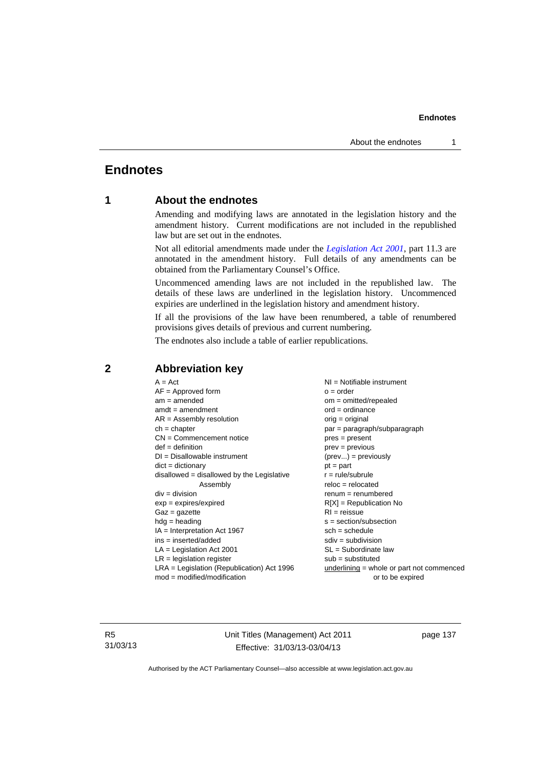# **Endnotes**

# **1 About the endnotes**

Amending and modifying laws are annotated in the legislation history and the amendment history. Current modifications are not included in the republished law but are set out in the endnotes.

Not all editorial amendments made under the *[Legislation Act 2001](http://www.legislation.act.gov.au/a/2001-14)*, part 11.3 are annotated in the amendment history. Full details of any amendments can be obtained from the Parliamentary Counsel's Office.

Uncommenced amending laws are not included in the republished law. The details of these laws are underlined in the legislation history. Uncommenced expiries are underlined in the legislation history and amendment history.

If all the provisions of the law have been renumbered, a table of renumbered provisions gives details of previous and current numbering.

The endnotes also include a table of earlier republications.

| $A = Act$                                    | $NI = Notifiable$ instrument                |
|----------------------------------------------|---------------------------------------------|
| $AF =$ Approved form                         | $o = order$                                 |
| $am = amended$                               | $om = omitted/repealed$                     |
| $amdt = amendment$                           | $ord = ordinance$                           |
| $AR = Assembly resolution$                   | $orig = original$                           |
| $ch = chapter$                               | par = paragraph/subparagraph                |
| $CN =$ Commencement notice                   | $pres = present$                            |
| $def = definition$                           | $prev = previous$                           |
| $DI = Disallowable instrument$               | $(\text{prev}) = \text{previously}$         |
| $dict = dictionary$                          | $pt = part$                                 |
| disallowed = disallowed by the Legislative   | $r = rule/subrule$                          |
| Assembly                                     | $reloc = relocated$                         |
| $div = division$                             | $renum = renumbered$                        |
| $exp = expires/expired$                      | $R[X]$ = Republication No                   |
| $Gaz = gazette$                              | $RI = reissue$                              |
| $hdg = heading$                              | $s = section/subsection$                    |
| $IA = Interpretation Act 1967$               | $sch = schedule$                            |
| $ins = inserted/added$                       | $sdiv = subdivision$                        |
| $LA =$ Legislation Act 2001                  | $SL = Subordinate$ law                      |
| $LR =$ legislation register                  | $sub =$ substituted                         |
| $LRA =$ Legislation (Republication) Act 1996 | $underlining = whole or part not commenced$ |
| $mod = modified/modification$                | or to be expired                            |
|                                              |                                             |

# **2 Abbreviation key**

R5 31/03/13 Unit Titles (Management) Act 2011 Effective: 31/03/13-03/04/13

page 137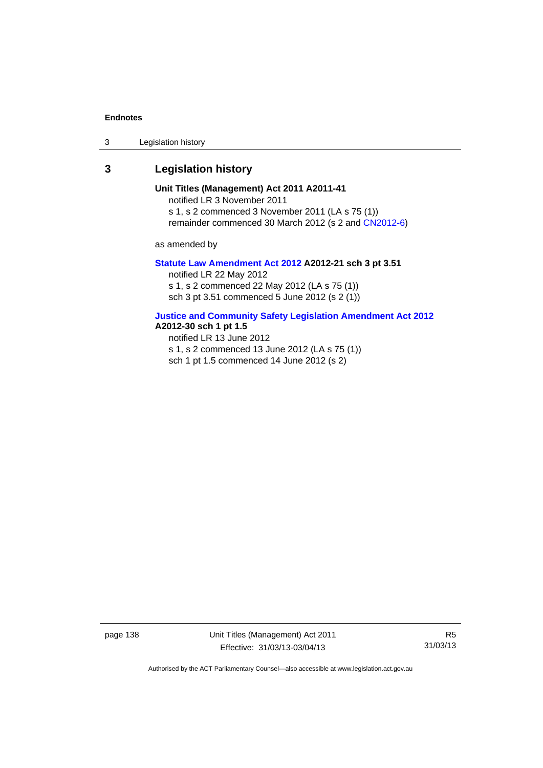3 Legislation history

# **3 Legislation history**

**Unit Titles (Management) Act 2011 A2011-41**  notified LR 3 November 2011 s 1, s 2 commenced 3 November 2011 (LA s 75 (1))

remainder commenced 30 March 2012 (s 2 and [CN2012-6](http://www.legislation.act.gov.au/cn/2012-6/default.asp))

as amended by

#### **[Statute Law Amendment Act 2012](http://www.legislation.act.gov.au/a/2012-21) A2012-21 sch 3 pt 3.51**

notified LR 22 May 2012 s 1, s 2 commenced 22 May 2012 (LA s 75 (1)) sch 3 pt 3.51 commenced 5 June 2012 (s 2 (1))

## **[Justice and Community Safety Legislation Amendment Act 2012](http://www.legislation.act.gov.au/a/2012-13)**

# **A2012-30 sch 1 pt 1.5**

notified LR 13 June 2012

s 1, s 2 commenced 13 June 2012 (LA s 75 (1))

sch 1 pt 1.5 commenced 14 June 2012 (s 2)

page 138 Unit Titles (Management) Act 2011 Effective: 31/03/13-03/04/13

R5 31/03/13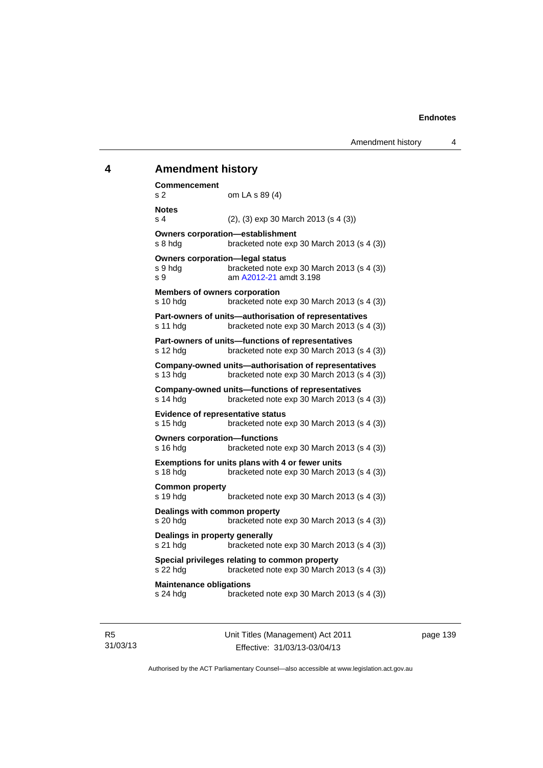# **4 Amendment history Commencement**  s 2 om LA s 89 (4) **Notes**  s 4 (2), (3) exp 30 March 2013 (s 4 (3)) **Owners corporation—establishment**  s 8 hdg bracketed note exp 30 March 2013 (s 4 (3)) **Owners corporation—legal status**  s 9 hdg bracketed note exp 30 March 2013 (s 4 (3)) s 9 am [A2012-21](http://www.legislation.act.gov.au/a/2012-21) amdt 3.198 **Members of owners corporation**  s 10 hdg bracketed note exp 30 March 2013 (s 4 (3)) **Part-owners of units—authorisation of representatives**  s 11 hdg bracketed note exp 30 March 2013 (s 4 (3)) **Part-owners of units—functions of representatives**  s 12 hdg bracketed note exp 30 March 2013 (s 4 (3)) **Company-owned units—authorisation of representatives**  s 13 hdg bracketed note exp 30 March 2013 (s 4 (3)) **Company-owned units—functions of representatives**  s 14 hdg bracketed note exp 30 March 2013 (s 4 (3)) **Evidence of representative status**  s 15 hdg bracketed note exp 30 March 2013 (s 4 (3)) **Owners corporation—functions**  s 16 hdg bracketed note exp 30 March 2013 (s 4 (3)) **Exemptions for units plans with 4 or fewer units**  s 18 hdg bracketed note exp 30 March 2013 (s 4 (3)) **Common property**  s 19 hdg bracketed note exp 30 March 2013 (s 4 (3)) **Dealings with common property**  s 20 hdg bracketed note exp 30 March 2013 (s 4 (3)) **Dealings in property generally**  s 21 hdg bracketed note exp 30 March 2013 (s 4 (3)) **Special privileges relating to common property**  s 22 hdg bracketed note exp 30 March 2013 (s 4 (3)) **Maintenance obligations**  s 24 hdg bracketed note exp 30 March 2013 (s 4 (3))

page 139

31/03/13

R5

Unit Titles (Management) Act 2011 Effective: 31/03/13-03/04/13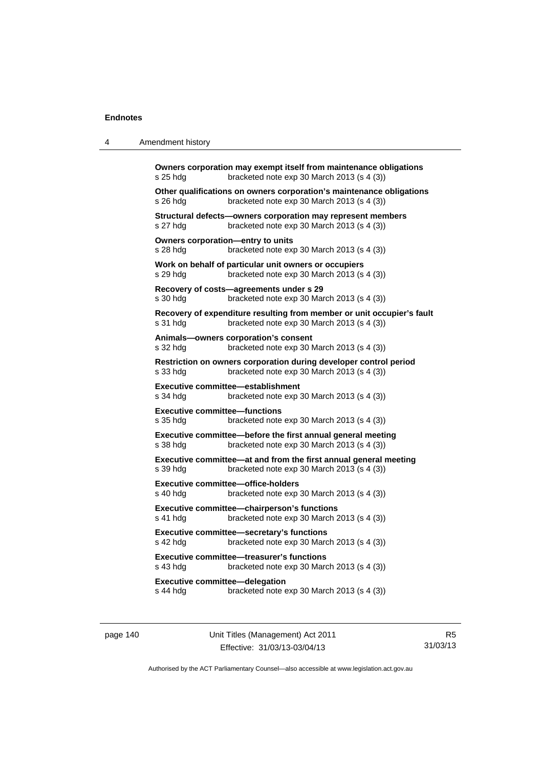| 4 | Amendment history                                                                                                                |
|---|----------------------------------------------------------------------------------------------------------------------------------|
|   | Owners corporation may exempt itself from maintenance obligations<br>bracketed note exp 30 March 2013 (s 4 (3))<br>s 25 hdg      |
|   | Other qualifications on owners corporation's maintenance obligations<br>bracketed note exp 30 March 2013 (s 4 (3))<br>s 26 hdg   |
|   | Structural defects-owners corporation may represent members<br>bracketed note exp 30 March 2013 (s 4 (3))<br>s 27 hdg            |
|   | Owners corporation-entry to units<br>s 28 hdg<br>bracketed note exp 30 March 2013 (s 4 (3))                                      |
|   | Work on behalf of particular unit owners or occupiers<br>bracketed note exp 30 March 2013 (s 4 (3))<br>s 29 hdg                  |
|   | Recovery of costs-agreements under s 29<br>s 30 hdg<br>bracketed note exp 30 March 2013 (s 4 (3))                                |
|   | Recovery of expenditure resulting from member or unit occupier's fault<br>bracketed note exp 30 March 2013 (s 4 (3))<br>s 31 hdg |
|   | Animals-owners corporation's consent<br>bracketed note $exp 30$ March 2013 (s 4 (3))<br>s 32 hdg                                 |
|   | Restriction on owners corporation during developer control period<br>bracketed note exp 30 March 2013 (s 4 (3))<br>s 33 hdg      |
|   | Executive committee—establishment<br>s 34 hdg<br>bracketed note exp 30 March 2013 (s 4 (3))                                      |
|   | <b>Executive committee-functions</b><br>s 35 hdg<br>bracketed note exp 30 March 2013 (s 4 (3))                                   |
|   | Executive committee-before the first annual general meeting<br>s 38 hdg<br>bracketed note exp 30 March 2013 (s 4 (3))            |
|   | Executive committee—at and from the first annual general meeting<br>bracketed note exp 30 March 2013 (s 4 (3))<br>s 39 hdg       |
|   | <b>Executive committee-office-holders</b><br>$s$ 40 hdg<br>bracketed note $exp 30$ March 2013 (s 4 (3))                          |
|   | Executive committee-chairperson's functions<br>bracketed note exp 30 March 2013 (s 4 (3))<br>s 41 hdg                            |
|   | Executive committee-secretary's functions<br>bracketed note exp 30 March 2013 (s 4 (3))<br>s 42 hdg                              |
|   | <b>Executive committee-treasurer's functions</b><br>bracketed note exp 30 March 2013 (s 4 (3))<br>s 43 hdg                       |
|   | <b>Executive committee-delegation</b><br>s 44 hdg<br>bracketed note $exp 30$ March 2013 (s 4 (3))                                |
|   |                                                                                                                                  |

page 140 Unit Titles (Management) Act 2011 Effective: 31/03/13-03/04/13

R5 31/03/13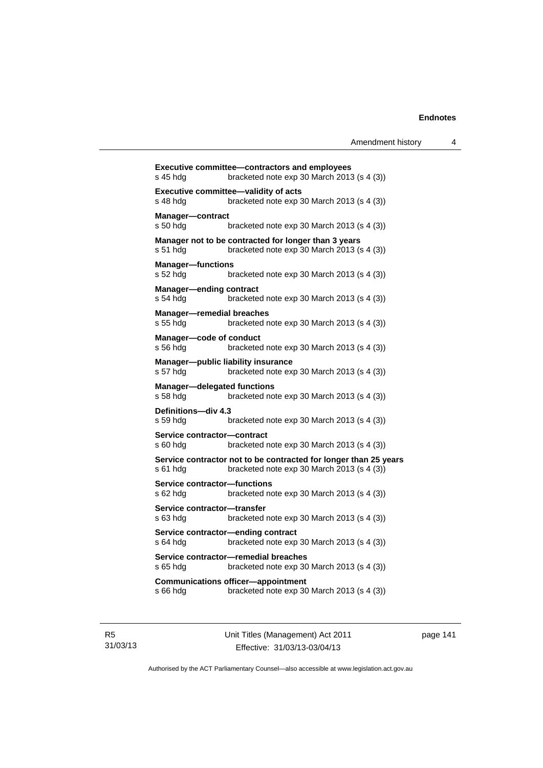| s 45 hdg                                        | <b>Executive committee-contractors and employees</b><br>bracketed note exp 30 March 2013 (s 4 (3))             |
|-------------------------------------------------|----------------------------------------------------------------------------------------------------------------|
| s 48 hdg                                        | Executive committee-validity of acts<br>bracketed note $exp 30$ March 2013 (s 4 (3))                           |
| <b>Manager-contract</b><br>s 50 hda             | bracketed note exp 30 March 2013 (s 4 (3))                                                                     |
| s 51 hdg                                        | Manager not to be contracted for longer than 3 years<br>bracketed note exp 30 March 2013 (s 4 (3))             |
| <b>Manager-functions</b><br>s 52 hdg            | bracketed note exp 30 March 2013 (s 4 (3))                                                                     |
| <b>Manager-ending contract</b><br>s 54 hdg      | bracketed note exp 30 March 2013 (s 4 (3))                                                                     |
| <b>Manager-remedial breaches</b><br>s 55 hdg    | bracketed note exp 30 March 2013 (s 4 (3))                                                                     |
| Manager-code of conduct<br>s 56 hda             | bracketed note exp 30 March 2013 (s 4 (3))                                                                     |
| s 57 hdg                                        | Manager-public liability insurance<br>bracketed note exp 30 March 2013 (s 4 (3))                               |
| <b>Manager-delegated functions</b><br>s 58 hda  | bracketed note exp 30 March 2013 (s 4 (3))                                                                     |
| Definitions-div 4.3<br>s 59 hda                 | bracketed note $exp 30$ March 2013 (s 4 (3))                                                                   |
| Service contractor-contract<br>s 60 hda         | bracketed note exp 30 March 2013 (s 4 (3))                                                                     |
| s 61 hda                                        | Service contractor not to be contracted for longer than 25 years<br>bracketed note exp 30 March 2013 (s 4 (3)) |
| <b>Service contractor-functions</b><br>s 62 hda | bracketed note exp 30 March 2013 (s 4 (3))                                                                     |
| Service contractor-transfer<br>s 63 hda         | bracketed note exp 30 March 2013 (s 4 (3))                                                                     |
| s 64 hda                                        | Service contractor-ending contract<br>bracketed note exp 30 March 2013 (s 4 (3))                               |
| s 65 hda                                        | Service contractor-remedial breaches<br>bracketed note exp 30 March 2013 (s 4 (3))                             |
| s 66 hdg                                        | <b>Communications officer-appointment</b><br>bracketed note exp 30 March 2013 (s 4 (3))                        |
|                                                 |                                                                                                                |

R5 31/03/13 Unit Titles (Management) Act 2011 Effective: 31/03/13-03/04/13

page 141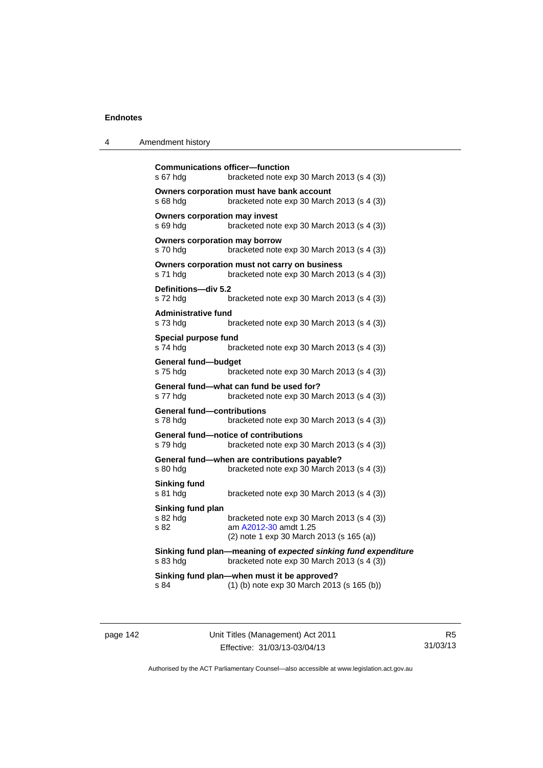| $\boldsymbol{\Lambda}$ | Amendment history |
|------------------------|-------------------|
|------------------------|-------------------|

```
Communications officer—function 
s 67 hdg bracketed note exp 30 March 2013 (s 4 (3)) 
Owners corporation must have bank account 
s 68 hdg bracketed note exp 30 March 2013 (s 4 (3)) 
Owners corporation may invest 
s 69 hdg bracketed note exp 30 March 2013 (s 4 (3)) 
Owners corporation may borrow 
s 70 hdg bracketed note exp 30 March 2013 (s 4 (3)) 
Owners corporation must not carry on business 
s 71 hdg bracketed note exp 30 March 2013 (s 4 (3))
Definitions—div 5.2 
s 72 hdg bracketed note exp 30 March 2013 (s 4 (3)) 
Administrative fund 
s 73 hdg bracketed note exp 30 March 2013 (s 4 (3)) 
Special purpose fund 
s 74 hdg bracketed note exp 30 March 2013 (s 4 (3)) 
General fund—budget 
s 75 hdg bracketed note exp 30 March 2013 (s 4 (3))
General fund—what can fund be used for? 
s 77 hdg bracketed note exp 30 March 2013 (s 4 (3)) 
General fund—contributions 
s 78 hdg bracketed note exp 30 March 2013 (s 4 (3)) 
General fund—notice of contributions 
s 79 hdg bracketed note exp 30 March 2013 (s 4 (3)) 
General fund—when are contributions payable? 
                 bracketed note exp 30 March 2013 (s 4 (3))
Sinking fund 
s 81 hdg bracketed note exp 30 March 2013 (s 4 (3)) 
Sinking fund plan 
s 82 hdg bracketed note exp 30 March 2013 (s 4 (3))
s 82 am A2012-30 amdt 1.25
                 (2) note 1 exp 30 March 2013 (s 165 (a)) 
Sinking fund plan—meaning of expected sinking fund expenditure
s 83 hdg bracketed note exp 30 March 2013 (s 4 (3)) 
Sinking fund plan—when must it be approved? 
s 84 (1) (b) note exp 30 March 2013 (s 165 (b))
```
page 142 Unit Titles (Management) Act 2011 Effective: 31/03/13-03/04/13

R5 31/03/13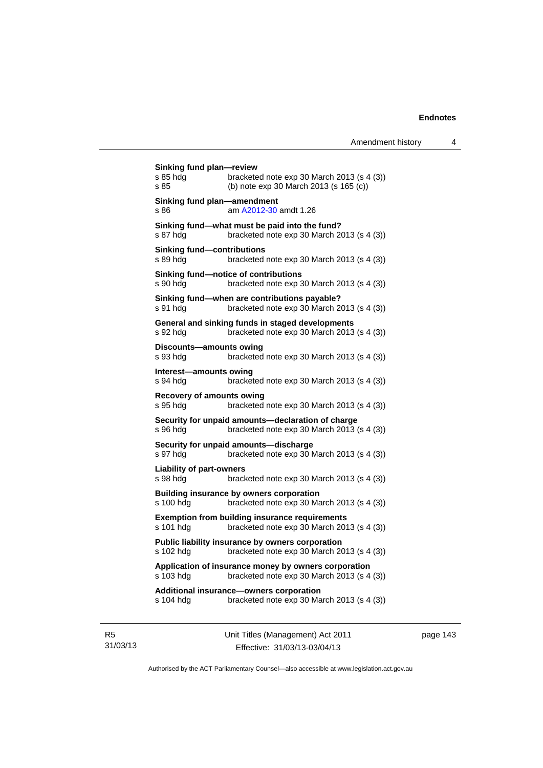| Sinking fund plan—review<br>s 85 hda<br>s 85  | bracketed note exp 30 March 2013 (s 4 (3))<br>(b) note exp 30 March 2013 (s 165 (c))                |
|-----------------------------------------------|-----------------------------------------------------------------------------------------------------|
| Sinking fund plan-amendment<br>s 86           | am A2012-30 amdt 1.26                                                                               |
| s 87 hdg                                      | Sinking fund-what must be paid into the fund?<br>bracketed note $exp 30$ March 2013 (s 4 (3))       |
| <b>Sinking fund-contributions</b><br>s 89 hdg | bracketed note exp 30 March 2013 (s 4 (3))                                                          |
| s 90 hdg                                      | Sinking fund-notice of contributions<br>bracketed note exp 30 March 2013 (s 4 (3))                  |
| s 91 hda                                      | Sinking fund-when are contributions payable?<br>bracketed note exp 30 March 2013 (s 4 (3))          |
| s 92 hda                                      | General and sinking funds in staged developments<br>bracketed note exp 30 March 2013 (s 4 (3))      |
| Discounts-amounts owing<br>s 93 hdg           | bracketed note exp 30 March 2013 (s 4 (3))                                                          |
| Interest-amounts owing<br>s 94 hda            | bracketed note exp 30 March 2013 (s 4 (3))                                                          |
| Recovery of amounts owing<br>s 95 hda         | bracketed note exp 30 March 2013 (s 4 (3))                                                          |
| s 96 hda                                      | Security for unpaid amounts-declaration of charge<br>bracketed note exp 30 March 2013 (s 4 (3))     |
| s 97 hdg                                      | Security for unpaid amounts-discharge<br>bracketed note exp 30 March 2013 (s 4 (3))                 |
| <b>Liability of part-owners</b><br>s 98 hda   | bracketed note exp 30 March 2013 (s 4 (3))                                                          |
| s 100 hdg                                     | Building insurance by owners corporation<br>bracketed note exp 30 March 2013 (s 4 (3))              |
| s 101 hdg                                     | <b>Exemption from building insurance requirements</b><br>bracketed note exp 30 March 2013 (s 4 (3)) |
| s 102 hdg                                     | Public liability insurance by owners corporation<br>bracketed note exp 30 March 2013 (s 4 (3))      |
| s 103 hdg                                     | Application of insurance money by owners corporation<br>bracketed note exp 30 March 2013 (s 4 (3))  |
| s 104 hdg                                     | Additional insurance-owners corporation<br>bracketed note exp 30 March 2013 (s 4 (3))               |
|                                               |                                                                                                     |

R5 31/03/13 Unit Titles (Management) Act 2011 Effective: 31/03/13-03/04/13

page 143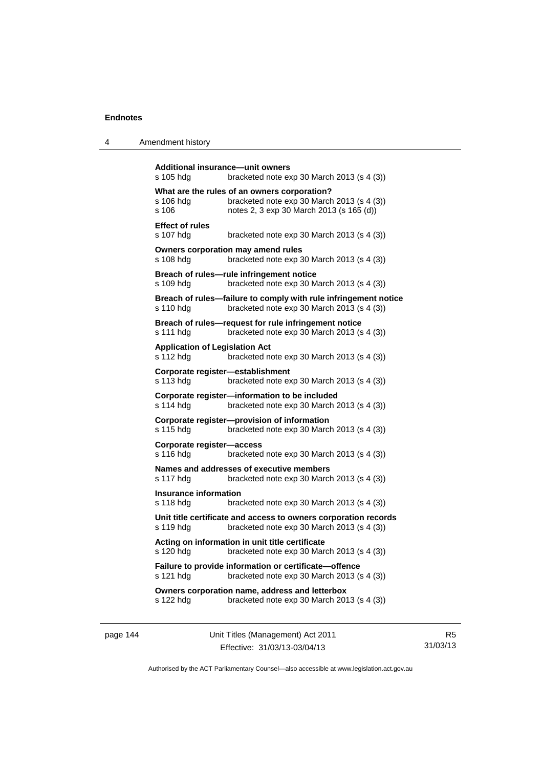| 4 | Amendment history |
|---|-------------------|
|---|-------------------|

```
Additional insurance—unit owners 
s 105 hdg bracketed note exp 30 March 2013 (s 4 (3)) 
What are the rules of an owners corporation? 
s 106 hdg bracketed note exp 30 March 2013 (s 4 (3)) 
s 106 notes 2, 3 exp 30 March 2013 (s 165 (d)) 
Effect of rules 
s 107 hdg bracketed note exp 30 March 2013 (s 4 (3)) 
Owners corporation may amend rules 
s 108 hdg bracketed note exp 30 March 2013 (s 4 (3))
Breach of rules—rule infringement notice 
s 109 hdg bracketed note exp 30 March 2013 (s 4 (3)) 
Breach of rules—failure to comply with rule infringement notice 
s 110 hdg bracketed note exp 30 March 2013 (s 4 (3))
Breach of rules—request for rule infringement notice 
s 111 hdg bracketed note exp 30 March 2013 (s 4 (3))
Application of Legislation Act 
s 112 hdg bracketed note exp 30 March 2013 (s 4 (3)) 
Corporate register—establishment 
s 113 hdg bracketed note exp 30 March 2013 (s 4 (3)) 
Corporate register—information to be included 
s 114 hdg bracketed note exp 30 March 2013 (s 4 (3))
Corporate register—provision of information 
s 115 hdg bracketed note exp 30 March 2013 (s 4 (3)) 
Corporate register—access 
s 116 hdg bracketed note exp 30 March 2013 (s 4 (3))
Names and addresses of executive members 
s 117 hdg bracketed note exp 30 March 2013 (s 4 (3)) 
Insurance information 
s 118 hdg bracketed note exp 30 March 2013 (s 4 (3))
Unit title certificate and access to owners corporation records 
s 119 hdg bracketed note exp 30 March 2013 (s 4 (3)) 
Acting on information in unit title certificate 
s 120 hdg bracketed note exp 30 March 2013 (s 4 (3)) 
Failure to provide information or certificate—offence 
s 121 hdg bracketed note exp 30 March 2013 (s 4 (3))
Owners corporation name, address and letterbox 
s 122 hdg bracketed note exp 30 March 2013 (s 4 (3))
```
page 144 Unit Titles (Management) Act 2011 Effective: 31/03/13-03/04/13

R5 31/03/13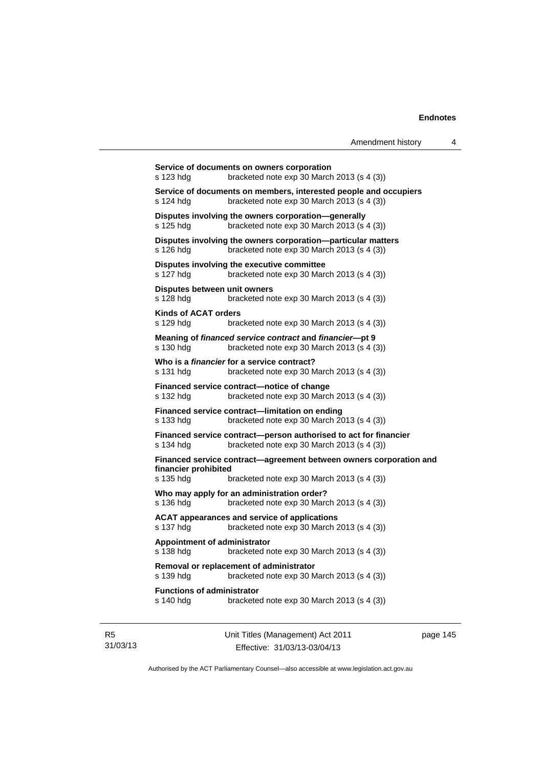| s 123 hdg                                      | Service of documents on owners corporation<br>bracketed note exp 30 March 2013 (s 4 (3))                       |
|------------------------------------------------|----------------------------------------------------------------------------------------------------------------|
| s 124 hdg                                      | Service of documents on members, interested people and occupiers<br>bracketed note exp 30 March 2013 (s 4 (3)) |
| s 125 hdg                                      | Disputes involving the owners corporation-generally<br>bracketed note exp 30 March 2013 (s 4 (3))              |
| s 126 hdg                                      | Disputes involving the owners corporation-particular matters<br>bracketed note exp 30 March 2013 (s 4 (3))     |
| s 127 hdg                                      | Disputes involving the executive committee<br>bracketed note exp 30 March 2013 (s 4 (3))                       |
| Disputes between unit owners<br>s 128 hdg      | bracketed note exp 30 March 2013 (s 4 (3))                                                                     |
| <b>Kinds of ACAT orders</b><br>s 129 hdg       | bracketed note $exp 30$ March 2013 (s 4 (3))                                                                   |
| s 130 hdg                                      | Meaning of financed service contract and financier---pt 9<br>bracketed note exp 30 March 2013 (s 4 (3))        |
| s 131 hdg                                      | Who is a <i>financier</i> for a service contract?<br>bracketed note $exp 30$ March 2013 (s 4 (3))              |
| s 132 hdg                                      | Financed service contract-notice of change<br>bracketed note exp 30 March 2013 (s 4 (3))                       |
| s 133 hdg                                      | Financed service contract-limitation on ending<br>bracketed note exp 30 March 2013 (s 4 (3))                   |
| s 134 hdg                                      | Financed service contract-person authorised to act for financier<br>bracketed note exp 30 March 2013 (s 4 (3)) |
| financier prohibited                           | Financed service contract-agreement between owners corporation and                                             |
| s 135 hdg                                      | bracketed note $exp 30$ March 2013 (s 4 (3))                                                                   |
| s 136 hdg                                      | Who may apply for an administration order?<br>bracketed note exp 30 March 2013 (s 4 (3))                       |
| s 137 hdg                                      | <b>ACAT appearances and service of applications</b><br>bracketed note exp 30 March 2013 (s 4 (3))              |
| Appointment of administrator<br>s 138 hdg      | bracketed note exp 30 March 2013 (s 4 (3))                                                                     |
| s 139 hdg                                      | Removal or replacement of administrator<br>bracketed note exp 30 March 2013 (s 4 (3))                          |
| <b>Functions of administrator</b><br>s 140 hdg | bracketed note exp 30 March 2013 (s 4 (3))                                                                     |
|                                                |                                                                                                                |

R5 31/03/13 Unit Titles (Management) Act 2011 Effective: 31/03/13-03/04/13

page 145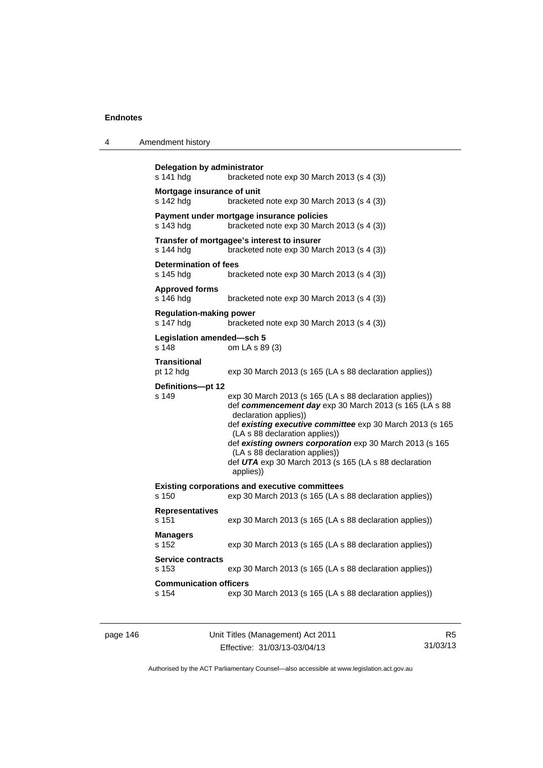| 4 | Amendment history |
|---|-------------------|
|---|-------------------|

```
Delegation by administrator 
s 141 hdg bracketed note exp 30 March 2013 (s 4 (3)) 
Mortgage insurance of unit 
s 142 hdg bracketed note exp 30 March 2013 (s 4 (3)) 
Payment under mortgage insurance policies 
s 143 hdg bracketed note exp 30 March 2013 (s 4 (3)) 
Transfer of mortgagee's interest to insurer 
s 144 hdg bracketed note exp 30 March 2013 (s 4 (3)) 
Determination of fees 
s 145 hdg bracketed note exp 30 March 2013 (s 4 (3))
Approved forms 
s 146 hdg bracketed note exp 30 March 2013 (s 4 (3))
Regulation-making power 
                 bracketed note exp 30 March 2013 (s 4 (3))
Legislation amended—sch 5 
s 148 om LA s 89 (3) 
Transitional 
pt 12 hdg exp 30 March 2013 (s 165 (LA s 88 declaration applies))
Definitions—pt 12 
s 149 exp 30 March 2013 (s 165 (LA s 88 declaration applies)) 
                  def commencement day exp 30 March 2013 (s 165 (LA s 88 
                  declaration applies)) 
                  def existing executive committee exp 30 March 2013 (s 165 
                   (LA s 88 declaration applies)) 
                  def existing owners corporation exp 30 March 2013 (s 165 
                  (LA s 88 declaration applies)) 
                  def UTA exp 30 March 2013 (s 165 (LA s 88 declaration 
                  applies)) 
Existing corporations and executive committees 
s 150 exp 30 March 2013 (s 165 (LA s 88 declaration applies)) 
Representatives 
s 151 exp 30 March 2013 (s 165 (LA s 88 declaration applies)) 
Managers 
s 152 exp 30 March 2013 (s 165 (LA s 88 declaration applies)) 
Service contracts 
s 153 exp 30 March 2013 (s 165 (LA s 88 declaration applies)) 
Communication officers 
s 154 exp 30 March 2013 (s 165 (LA s 88 declaration applies))
```

| page 146 |  |
|----------|--|
|----------|--|

page 146 Unit Titles (Management) Act 2011 Effective: 31/03/13-03/04/13

R5 31/03/13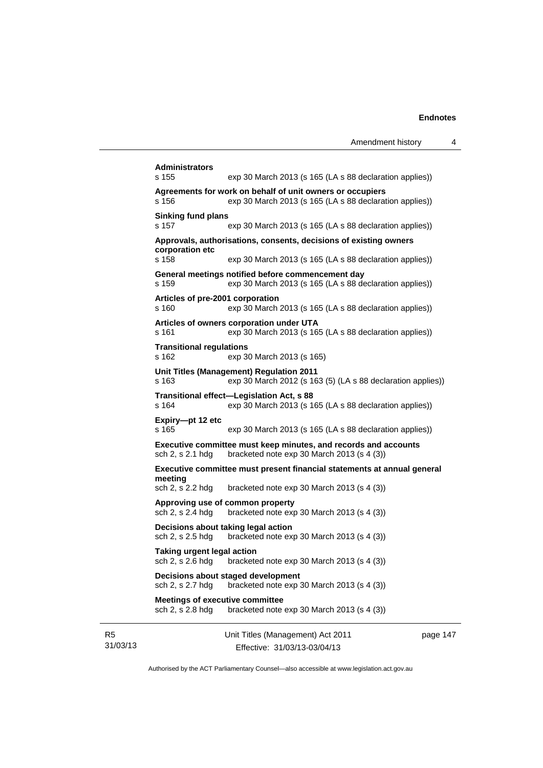|                | s 155                                                      | exp 30 March 2013 (s 165 (LA s 88 declaration applies))<br>Agreements for work on behalf of unit owners or occupiers |          |
|----------------|------------------------------------------------------------|----------------------------------------------------------------------------------------------------------------------|----------|
|                | s 156                                                      | exp 30 March 2013 (s 165 (LA s 88 declaration applies))                                                              |          |
|                | <b>Sinking fund plans</b><br>s 157                         | exp 30 March 2013 (s 165 (LA s 88 declaration applies))                                                              |          |
|                | corporation etc                                            | Approvals, authorisations, consents, decisions of existing owners                                                    |          |
|                | s 158                                                      | exp 30 March 2013 (s 165 (LA s 88 declaration applies))                                                              |          |
|                | s 159                                                      | General meetings notified before commencement day<br>exp 30 March 2013 (s 165 (LA s 88 declaration applies))         |          |
|                | Articles of pre-2001 corporation<br>s 160                  | exp 30 March 2013 (s 165 (LA s 88 declaration applies))                                                              |          |
|                | s 161                                                      | Articles of owners corporation under UTA<br>exp 30 March 2013 (s 165 (LA s 88 declaration applies))                  |          |
|                | <b>Transitional regulations</b><br>s 162                   | exp 30 March 2013 (s 165)                                                                                            |          |
|                | s 163                                                      | Unit Titles (Management) Regulation 2011<br>exp 30 March 2012 (s 163 (5) (LA s 88 declaration applies))              |          |
|                | s 164                                                      | Transitional effect-Legislation Act, s 88<br>exp 30 March 2013 (s 165 (LA s 88 declaration applies))                 |          |
|                | Expiry-pt 12 etc<br>s 165                                  | exp 30 March 2013 (s 165 (LA s 88 declaration applies))                                                              |          |
|                | sch 2, s 2.1 hdg                                           | Executive committee must keep minutes, and records and accounts<br>bracketed note exp 30 March 2013 (s 4 (3))        |          |
|                | meeting                                                    | Executive committee must present financial statements at annual general                                              |          |
|                | sch 2, s 2.2 hdg                                           | bracketed note exp 30 March 2013 (s 4 (3))                                                                           |          |
|                | sch 2, s 2.4 hdg                                           | Approving use of common property<br>bracketed note exp 30 March 2013 (s 4 (3))                                       |          |
|                | sch 2, s 2.5 hdg                                           | Decisions about taking legal action<br>bracketed note exp 30 March 2013 (s 4 (3))                                    |          |
|                | <b>Taking urgent legal action</b><br>sch 2, s 2.6 hdg      | bracketed note exp 30 March 2013 (s 4 (3))                                                                           |          |
|                | sch 2, s 2.7 hdg                                           | Decisions about staged development<br>bracketed note exp 30 March 2013 (s 4 (3))                                     |          |
|                | <b>Meetings of executive committee</b><br>sch 2, s 2.8 hdg | bracketed note exp 30 March 2013 (s 4 (3))                                                                           |          |
| R5<br>31/03/13 |                                                            | Unit Titles (Management) Act 2011<br>Effective: 31/03/13-03/04/13                                                    | page 147 |

Authorised by the ACT Parliamentary Counsel—also accessible at www.legislation.act.gov.au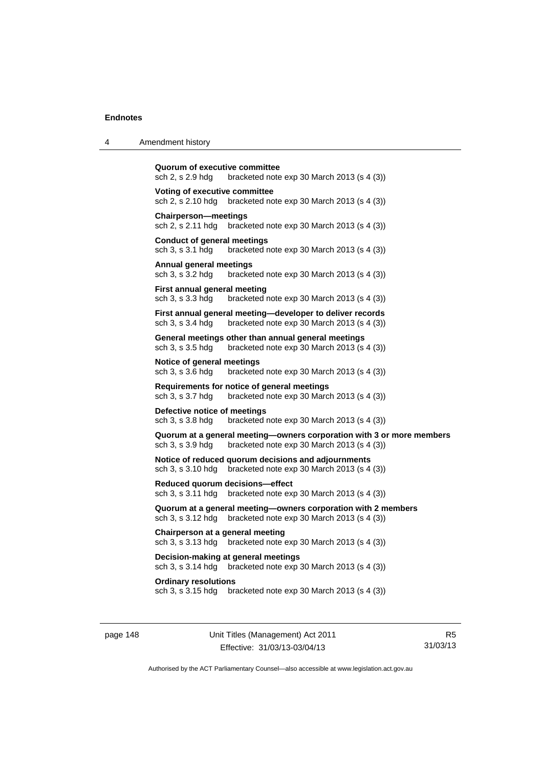| 4 | Amendment history                                                                                                                       |
|---|-----------------------------------------------------------------------------------------------------------------------------------------|
|   | Quorum of executive committee<br>sch 2, s 2.9 hdg<br>bracketed note $exp 30$ March 2013 (s 4 (3))                                       |
|   | Voting of executive committee<br>bracketed note $exp 30$ March 2013 (s 4 (3))<br>sch 2, s 2.10 hdg                                      |
|   | <b>Chairperson-meetings</b><br>sch 2, s 2.11 hdg<br>bracketed note $exp 30$ March 2013 (s 4 (3))                                        |
|   | <b>Conduct of general meetings</b><br>sch 3, s 3.1 hdg<br>bracketed note $exp 30$ March 2013 $(s 4 (3))$                                |
|   | <b>Annual general meetings</b><br>sch 3, s 3.2 hdg<br>bracketed note $exp 30$ March 2013 (s 4 (3))                                      |
|   | First annual general meeting<br>sch 3, s 3.3 hdg<br>bracketed note exp 30 March 2013 (s 4 (3))                                          |
|   | First annual general meeting-developer to deliver records<br>sch 3, s 3.4 hdg<br>bracketed note $exp 30$ March 2013 $(s 4 (3))$         |
|   | General meetings other than annual general meetings<br>sch 3, s 3.5 hdg<br>bracketed note $exp 30$ March 2013 (s 4 (3))                 |
|   | Notice of general meetings<br>sch 3, s 3.6 hdg<br>bracketed note $\exp 30$ March 2013 (s 4 (3))                                         |
|   | Requirements for notice of general meetings<br>bracketed note exp 30 March 2013 (s 4 (3))<br>sch 3, s 3.7 hdg                           |
|   | Defective notice of meetings<br>sch 3, s 3.8 hdg<br>bracketed note $exp 30$ March 2013 (s 4 (3))                                        |
|   | Quorum at a general meeting—owners corporation with 3 or more members<br>bracketed note exp 30 March 2013 (s 4 (3))<br>sch 3, s 3.9 hdg |
|   | Notice of reduced quorum decisions and adjournments<br>sch 3, s 3.10 hdg<br>bracketed note exp 30 March 2013 (s 4 (3))                  |
|   | Reduced quorum decisions-effect<br>sch 3, s 3.11 hdg<br>bracketed note exp 30 March 2013 (s 4 (3))                                      |
|   | Quorum at a general meeting-owners corporation with 2 members<br>sch 3, s 3.12 hdg<br>bracketed note $exp 30$ March 2013 (s 4 (3))      |
|   | Chairperson at a general meeting<br>sch 3, s 3.13 hdg<br>bracketed note $exp 30$ March 2013 (s 4 (3))                                   |
|   | Decision-making at general meetings<br>sch 3, s 3.14 hdg<br>bracketed note exp 30 March 2013 (s 4 (3))                                  |
|   | <b>Ordinary resolutions</b><br>sch 3, s 3.15 hdg<br>bracketed note $exp 30$ March 2013 $(s 4 (3))$                                      |
|   |                                                                                                                                         |

page 148 Unit Titles (Management) Act 2011 Effective: 31/03/13-03/04/13

R5 31/03/13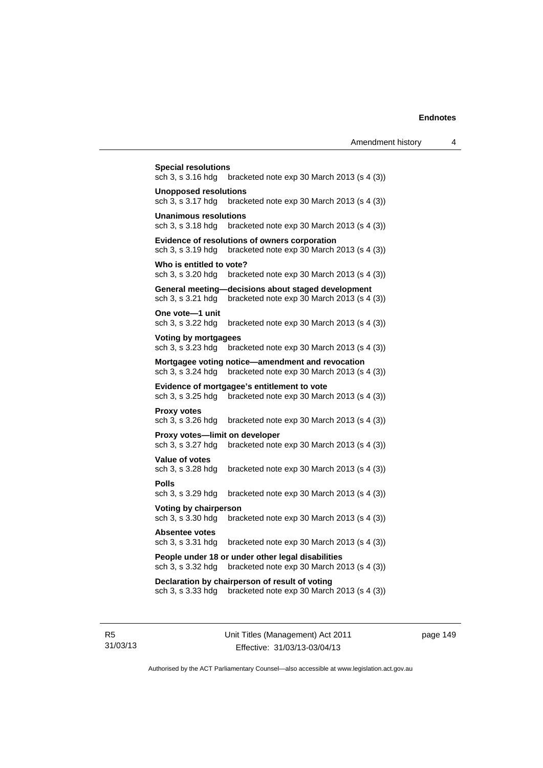| <b>Special resolutions</b><br>sch 3, s 3.16 hdg<br>bracketed note exp 30 March 2013 (s 4 (3))                         |
|-----------------------------------------------------------------------------------------------------------------------|
| <b>Unopposed resolutions</b><br>sch 3, s 3.17 hdg<br>bracketed note exp 30 March 2013 (s 4 (3))                       |
| <b>Unanimous resolutions</b><br>sch 3, s 3.18 hdg<br>bracketed note $exp 30$ March 2013 (s 4 (3))                     |
| Evidence of resolutions of owners corporation<br>sch 3, s 3.19 hdg<br>bracketed note exp 30 March 2013 (s 4 (3))      |
| Who is entitled to vote?<br>sch 3, s 3.20 hdg<br>bracketed note exp 30 March 2013 (s 4 (3))                           |
| General meeting-decisions about staged development<br>sch 3, s 3.21 hdg<br>bracketed note exp 30 March 2013 (s 4 (3)) |
| One vote-1 unit<br>sch 3, s 3.22 hdg<br>bracketed note exp 30 March 2013 (s 4 (3))                                    |
| Voting by mortgagees<br>sch 3, s 3.23 hdg bracketed note exp 30 March 2013 (s 4 (3))                                  |
| Mortgagee voting notice—amendment and revocation<br>sch 3, s 3.24 hdg<br>bracketed note exp 30 March 2013 (s 4 (3))   |
| Evidence of mortgagee's entitlement to vote<br>bracketed note exp 30 March 2013 (s 4 (3))<br>sch 3, s 3.25 hdg        |
| <b>Proxy votes</b><br>sch 3, s 3.26 hdg<br>bracketed note exp 30 March 2013 (s 4 (3))                                 |
| Proxy votes-limit on developer<br>bracketed note exp 30 March 2013 (s 4 (3))<br>sch 3, s 3.27 hdg                     |
| <b>Value of votes</b><br>sch 3, s 3.28 hdg<br>bracketed note exp 30 March 2013 (s 4 (3))                              |
| Polls<br>sch 3, s 3.29 hdg<br>bracketed note exp 30 March 2013 (s 4 (3))                                              |
| Voting by chairperson<br>sch 3, s 3.30 hdg<br>bracketed note exp 30 March 2013 (s 4 (3))                              |
| Absentee votes<br>bracketed note exp 30 March 2013 (s 4 (3))<br>sch 3, s 3.31 hdg                                     |
| People under 18 or under other legal disabilities<br>sch 3, s 3.32 hdg<br>bracketed note exp 30 March 2013 (s 4 (3))  |
| Declaration by chairperson of result of voting<br>bracketed note exp 30 March 2013 (s 4 (3))<br>sch 3, s 3.33 hdg     |
|                                                                                                                       |

R5 31/03/13 Unit Titles (Management) Act 2011 Effective: 31/03/13-03/04/13

page 149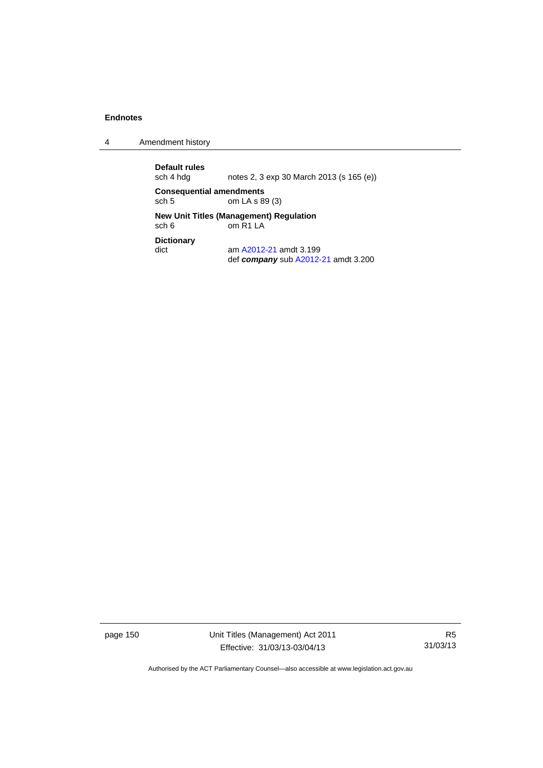4 Amendment history

**Default rules**  notes 2, 3 exp 30 March 2013 (s 165 (e)) **Consequential amendments**<br>sch 5 cm LA s 8 om LA s 89 (3) **New Unit Titles (Management) Regulation**<br>sch 6 om R1 LA om R<sub>1</sub> L<sub>A</sub> **Dictionary**  dict am [A2012-21](http://www.legislation.act.gov.au/a/2012-21) amdt 3.199 def *company* sub [A2012-21](http://www.legislation.act.gov.au/a/2012-21) amdt 3.200

page 150 Unit Titles (Management) Act 2011 Effective: 31/03/13-03/04/13

R5 31/03/13